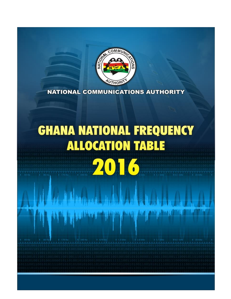

#### NATIONAL COMMUNICATIONS AUTHORITY

# **GHANA NATIONAL FREQUENCY ALLOCATION TABLE**

 $\left( 0\right)$ 

16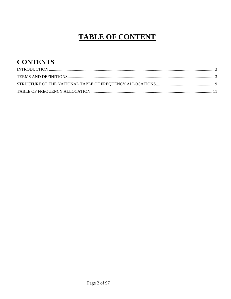# **TABLE OF CONTENT**

## **CONTENTS**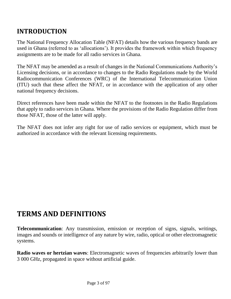#### <span id="page-2-0"></span>**INTRODUCTION**

The National Frequency Allocation Table (NFAT) details how the various frequency bands are used in Ghana (referred to as 'allocations'). It provides the framework within which frequency assignments are to be made for all radio services in Ghana.

The NFAT may be amended as a result of changes in the National Communications Authority's Licensing decisions, or in accordance to changes to the Radio Regulations made by the World Radiocommunication Conferences (WRC) of the International Telecommunication Union (ITU) such that these affect the NFAT, or in accordance with the application of any other national frequency decisions.

Direct references have been made within the NFAT to the footnotes in the Radio Regulations that apply to radio services in Ghana. Where the provisions of the Radio Regulation differ from those NFAT, those of the latter will apply.

The NFAT does not infer any right for use of radio services or equipment, which must be authorized in accordance with the relevant licensing requirements.

### <span id="page-2-1"></span>**TERMS AND DEFINITIONS**

**Telecommunication**: Any transmission, emission or reception of signs, signals, writings, images and sounds or intelligence of any nature by wire, radio, optical or other electromagnetic systems.

**Radio waves or hertzian waves**: Electromagnetic waves of frequencies arbitrarily lower than 3 000 GHz, propagated in space without artificial guide.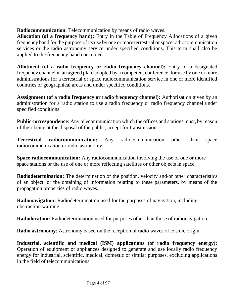**Radiocommunication**: Telecommunication by means of radio waves.

**Allocation (of a frequency band):** Entry in the Table of Frequency Allocations of a given frequency band for the purpose of its use by one or more terrestrial or space radiocommunication services or the radio astronomy service under specified conditions. This term shall also be applied to the frequency band concerned.

**Allotment (of a radio frequency or radio frequency channel):** Entry of a designated frequency channel in an agreed plan, adopted by a competent conference, for use by one or more administrations for a terrestrial or space radiocommunication service in one or more identified countries or geographical areas and under specified conditions.

**Asssignment (of a radio frequency or radio frequency channel):** Authorization given by an administration for a radio station to use a radio frequency or radio frequency channel under specified conditions.

**Public correspondence**: Any telecommunication which the offices and stations must, by reason of their being at the disposal of the public, accept for transmission

**Terrestrial radiocommunication:** Any radiocommunication other than space radiocommunication or radio astronomy.

**Space radiocommunication:** Any radiocommunication involving the use of one or more space stations or the use of one or more reflecting satellites or other objects in space.

**Radiodetermination:** The determination of the position, velocity and/or other characteristics of an object, or the obtaining of information relating to these parameters, by means of the propagation properties of radio waves.

**Radionavigation:** Radiodetermination used for the purposes of navigation, including obstruction warning.

**Radiolocation:** Radiodetermination used for purposes other than those of radionavigation.

**Radio astronomy**: Astronomy based on the reception of radio waves of cosmic origin.

**Industrial, scientific and medical (ISM) applications (of radio frequency energy):** Operation of equipment or appliances designed to generate and use locally radio frequency energy for industrial, scientific, medical, domestic or similar purposes, excluding applications in the field of telecommunications.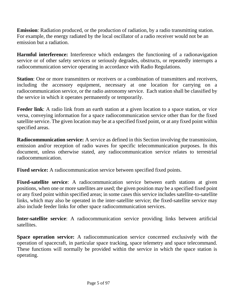**Emission**: Radiation produced, or the production of radiation, by a radio transmitting station. For example, the energy radiated by the local oscillator of a radio receiver would not be an emission but a radiation.

**Harmful interference:** Interference which endangers the functioning of a radionavigation service or of other safety services or seriously degrades, obstructs, or repeatedly interrupts a radiocommunication service operating in accordance with Radio Regulations.

**Station**: One or more transmitters or receivers or a combination of transmitters and receivers, including the accessory equipment, necessary at one location for carrying on a radiocommunication service, or the radio astronomy service. Each station shall be classified by the service in which it operates permanently or temporarily.

**Feeder link**: A radio link from an earth station at a given location to a space station, or vice versa, conveying information for a space radiocommunication service other than for the fixed satellite service. The given location may be at a specified fixed point, or at any fixed point within specified areas.

**Radiocommunication service:** A service as defined in this Section involving the transmission, emission and/or reception of radio waves for specific telecommunication purposes. In this document, unless otherwise stated, any radiocommunication service relates to terrestrial radiocommunication.

**Fixed service:** A radiocommunication service between specified fixed points.

**Fixed-satellite service**: A radiocommunication service between earth stations at given positions, when one or more satellites are used; the given position may be a specified fixed point or any fixed point within specified areas; in some cases this service includes satellite-to-satellite links, which may also be operated in the inter-satellite service; the fixed-satellite service may also include feeder links for other space radiocommunication services.

**Inter-satellite service**: A radiocommunication service providing links between artificial satellites.

**Space operation service:** A radiocommunication service concerned exclusively with the operation of spacecraft, in particular space tracking, space telemetry and space telecommand. These functions will normally be provided within the service in which the space station is operating.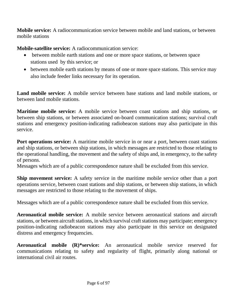**Mobile service:** A radiocommunication service between mobile and land stations, or between mobile stations

**Mobile-satellite service:** A radiocommunication service:

- between mobile earth stations and one or more space stations, or between space stations used by this service; or
- between mobile earth stations by means of one or more space stations. This service may also include feeder links necessary for its operation.

**Land mobile service:** A mobile service between base stations and land mobile stations, or between land mobile stations.

**Maritime mobile service:** A mobile service between coast stations and ship stations, or between ship stations, or between associated on-board communication stations; survival craft stations and emergency position-indicating radiobeacon stations may also participate in this service.

**Port operations service:** A maritime mobile service in or near a port, between coast stations and ship stations, or between ship stations, in which messages are restricted to those relating to the operational handling, the movement and the safety of ships and, in emergency, to the safety of persons.

Messages which are of a public correspondence nature shall be excluded from this service.

**Ship movement service:** A safety service in the maritime mobile service other than a port operations service, between coast stations and ship stations, or between ship stations, in which messages are restricted to those relating to the movement of ships.

Messages which are of a public correspondence nature shall be excluded from this service.

**Aeronautical mobile service:** A mobile service between aeronautical stations and aircraft stations, or between aircraft stations, in which survival craft stations may participate; emergency position-indicating radiobeacon stations may also participate in this service on designated distress and emergency frequencies.

**Aeronautical mobile (R)\*service:** An aeronautical mobile service reserved for communications relating to safety and regularity of flight, primarily along national or international civil air routes.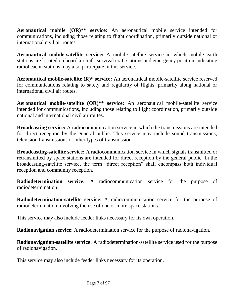**Aeronautical mobile (OR)\*\* service:** An aeronautical mobile service intended for communications, including those relating to flight coordination, primarily outside national or international civil air routes.

**Aeronautical mobile-satellite service:** A mobile-satellite service in which mobile earth stations are located on board aircraft; survival craft stations and emergency position-indicating radiobeacon stations may also participate in this service.

**Aeronautical mobile-satellite (R)\* service:** An aeronautical mobile-satellite service reserved for communications relating to safety and regularity of flights, primarily along national or international civil air routes.

**Aeronautical mobile-satellite (OR)\*\* service:** An aeronautical mobile-satellite service intended for communications, including those relating to flight coordination, primarily outside national and international civil air routes.

**Broadcasting service:** A radiocommunication service in which the transmissions are intended for direct reception by the general public. This service may include sound transmissions, television transmissions or other types of transmission.

**Broadcasting-satellite service:** A radiocommunication service in which signals transmitted or retransmitted by space stations are intended for direct reception by the general public. In the broadcasting-satellite service, the term "direct reception" shall encompass both individual reception and community reception.

**Radiodetermination service:** A radiocommunication service for the purpose of radiodetermination.

**Radiodetermination-satellite service**: A radiocommunication service for the purpose of radiodetermination involving the use of one or more space stations.

This service may also include feeder links necessary for its own operation.

**Radionavigation service**: A radiodetermination service for the purpose of radionavigation.

**Radionavigation-satellite service:** A radiodetermination-satellite service used for the purpose of radionavigation.

This service may also include feeder links necessary for its operation.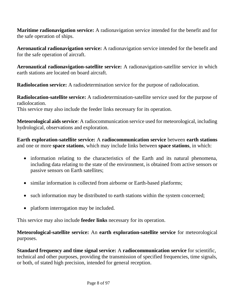**Maritime radionavigation service:** A radionavigation service intended for the benefit and for the safe operation of ships.

**Aeronautical radionavigation service:** A radionavigation service intended for the benefit and for the safe operation of aircraft.

**Aeronautical radionavigation-satellite service:** A radionavigation-satellite service in which earth stations are located on board aircraft.

**Radiolocation service:** A radiodetermination service for the purpose of radiolocation.

**Radiolocation-satellite service:** A radiodetermination-satellite service used for the purpose of radiolocation.

This service may also include the feeder links necessary for its operation.

**Meteorological aids service**: A radiocommunication service used for meteorological, including hydrological, observations and exploration.

**Earth exploration-satellite service:** A **radiocommunication service** between **earth stations**  and one or more **space stations**, which may include links between **space stations**, in which:

- information relating to the characteristics of the Earth and its natural phenomena, including data relating to the state of the environment, is obtained from active sensors or passive sensors on Earth satellites;
- similar information is collected from airborne or Earth-based platforms;
- such information may be distributed to earth stations within the system concerned;
- platform interrogation may be included.

This service may also include **feeder links** necessary for its operation.

**Meteorological-satellite service:** An **earth exploration-satellite service** for meteorological purposes.

**Standard frequency and time signal service:** A **radiocommunication service** for scientific, technical and other purposes, providing the transmission of specified frequencies, time signals, or both, of stated high precision, intended for general reception.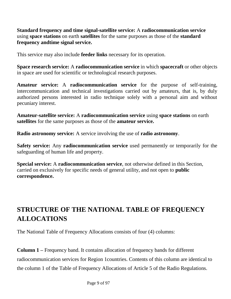**Standard frequency and time signal-satellite service:** A **radiocommunication service**  using **space stations** on earth **satellites** for the same purposes as those of the **standard frequency andtime signal service.**

This service may also include **feeder links** necessary for its operation.

**Space research service:** A **radiocommunication service** in which **spacecraft** or other objects in space are used for scientific or technological research purposes.

**Amateur service:** A **radiocommunication service** for the purpose of self-training, intercommunication and technical investigations carried out by amateurs, that is, by duly authorized persons interested in radio technique solely with a personal aim and without pecuniary interest.

**Amateur-satellite service:** A **radiocommunication service** using **space stations** on earth **satellites** for the same purposes as those of the **amateur service.**

**Radio astronomy service:** A service involving the use of **radio astronomy**.

**Safety service:** Any **radiocommunication service** used permanently or temporarily for the safeguarding of human life and property.

**Special service:** A **radiocommunication service**, not otherwise defined in this Section, carried on exclusively for specific needs of general utility, and not open to **public correspondence.**

### <span id="page-8-0"></span>**STRUCTURE OF THE NATIONAL TABLE OF FREQUENCY ALLOCATIONS**

The National Table of Frequency Allocations consists of four (4) columns:

**Column 1 –** Frequency band. It contains allocation of frequency bands for different radiocommunication services for Region 1countries. Contents of this column are identical to the column 1 of the Table of Frequency Allocations of Article 5 of the Radio Regulations.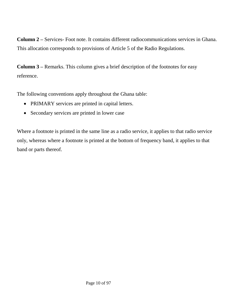**Column 2 –** Services- Foot note. It contains different radiocommunications services in Ghana. This allocation corresponds to provisions of Article 5 of the Radio Regulations.

**Column 3 –** Remarks. This column gives a brief description of the footnotes for easy reference.

The following conventions apply throughout the Ghana table:

- PRIMARY services are printed in capital letters.
- Secondary services are printed in lower case

Where a footnote is printed in the same line as a radio service, it applies to that radio service only, whereas where a footnote is printed at the bottom of frequency band, it applies to that band or parts thereof.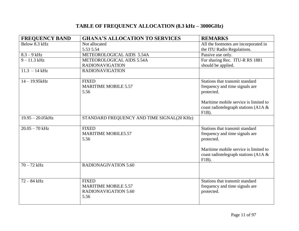#### **TABLE OF FREQUENCY ALLOCATION (8.3 kHz – 3000GHz)**

<span id="page-10-0"></span>

| <b>FREQUENCY BAND</b>    | <b>GHANA'S ALLOCATION TO SERVICES</b>      | <b>REMARKS</b>                        |
|--------------------------|--------------------------------------------|---------------------------------------|
| Below 8.3 kHz            | Not allocated                              | All the footnotes are incorporated in |
|                          | 5.53 5.54                                  | the ITU Radio Regulations.            |
| $8.3 - 9$ kHz            | METEOROLOGICAL AIDS 5.54A                  | Passive use only.                     |
| $9 - 11.3$ kHz           | METEOROLOGICAL AIDS 5.54A                  | For sharing Rec. ITU-R RS 1881        |
|                          | <b>RADIONAVIGATION</b>                     | should be applied.                    |
| $11.3 - 14$ kHz          | <b>RADIONAVIGATION</b>                     |                                       |
|                          |                                            |                                       |
| $14 - 19.95kHz$          | <b>FIXED</b>                               | Stations that transmit standard       |
|                          | <b>MARITIME MOBILE 5.57</b>                | frequency and time signals are        |
|                          | 5.56                                       | protected.                            |
|                          |                                            | Maritime mobile service is limited to |
|                          |                                            | coast radiotelegraph stations (A1A &  |
|                          |                                            | $F1B$ ).                              |
| $19.95 - 20.05kHz$       | STANDARD FREQUENCY AND TIME SIGNAL(20 KHz) |                                       |
|                          |                                            |                                       |
| $20.05 - 70$ kHz         | <b>FIXED</b>                               | Stations that transmit standard       |
|                          | <b>MARITIME MOBILE5.57</b>                 | frequency and time signals are        |
|                          | 5.56                                       | protected.                            |
|                          |                                            |                                       |
|                          |                                            | Maritime mobile service is limited to |
|                          |                                            | coast radiotelegraph stations (A1A &  |
|                          |                                            | $F1B$ ).                              |
| $\overline{70} - 72$ kHz | <b>RADIONAGIVATION 5.60</b>                |                                       |
|                          |                                            |                                       |
| $72 - 84$ kHz            | <b>FIXED</b>                               | Stations that transmit standard       |
|                          | <b>MARITIME MOBILE 5.57</b>                | frequency and time signals are        |
|                          | <b>RADIONAVIGATION 5.60</b>                | protected.                            |
|                          | 5.56                                       |                                       |
|                          |                                            |                                       |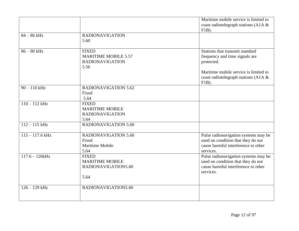|                   |                                                                               | Maritime mobile service is limited to<br>coast radiotelegraph stations (A1A &<br>$F1B$ ).                                                                                    |
|-------------------|-------------------------------------------------------------------------------|------------------------------------------------------------------------------------------------------------------------------------------------------------------------------|
| $84 - 86$ kHz     | <b>RADIONAVIGATION</b><br>5.60                                                |                                                                                                                                                                              |
| $86 - 90$ kHz     | <b>FIXED</b><br><b>MARITIME MOBILE 5.57</b><br><b>RADIONAVIGATION</b><br>5.56 | Stations that transmit standard<br>frequency and time signals are<br>protected.<br>Maritime mobile service is limited to<br>coast radiotelegraph stations (A1A &<br>$F1B$ ). |
| $90 - 110$ kHz    | <b>RADIONAVIGATION 5.62</b><br>Fixed<br>5.64                                  |                                                                                                                                                                              |
| $110 - 112$ kHz   | <b>FIXED</b><br><b>MARITIME MOBILE</b><br><b>RADIONAVIGATION</b><br>5.64      |                                                                                                                                                                              |
| $112 - 115$ kHz   | <b>RADIONAVIGATION 5.60</b>                                                   |                                                                                                                                                                              |
| $115 - 117.6$ kHz | <b>RADIONAVIGATION 5.60</b><br>Fixed<br>Maritime Mobile<br>5.64               | Pulse radionavigation systems may be<br>used on condition that they do not<br>cause harmful interference to other<br>services.                                               |
| $117.6 - 126kHz$  | <b>FIXED</b><br><b>MARITIME MOBILE</b><br>RADIONAVIGATION5.60<br>5.64         | Pulse radionavigation systems may be<br>used on condition that they do not<br>cause harmful interference to other<br>services.                                               |
| $126 - 129$ kHz   | RADIONAVIGATION5.60                                                           |                                                                                                                                                                              |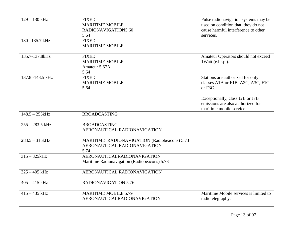| $129 - 130$ kHz   | <b>FIXED</b><br><b>MARITIME MOBILE</b>              | Pulse radionavigation systems may be<br>used on condition that they do not                       |
|-------------------|-----------------------------------------------------|--------------------------------------------------------------------------------------------------|
|                   | RADIONAVIGATION5.60                                 | cause harmful interference to other                                                              |
|                   | 5.64                                                | services.                                                                                        |
| 130-135.7 kHz     | <b>FIXED</b>                                        |                                                                                                  |
|                   | <b>MARITIME MOBILE</b>                              |                                                                                                  |
| 135.7-137.8kHz    | <b>FIXED</b>                                        | Amateur Operators should not exceed                                                              |
|                   | <b>MARITIME MOBILE</b>                              | 1Watt (e.i.r.p.).                                                                                |
|                   | Amateur 5.67A                                       |                                                                                                  |
|                   | 5.64                                                |                                                                                                  |
| 137.8 -148.5 kHz  | <b>FIXED</b>                                        | Stations are authorized for only                                                                 |
|                   | <b>MARITIME MOBILE</b><br>5.64                      | classes A1A or F1B, A2C, A3C, F1C<br>or F3C.                                                     |
|                   |                                                     | Exceptionally, class J2B or J7B<br>emissions are also authorized for<br>maritime mobile service. |
| $148.5 - 255kHz$  | <b>BROADCASTING</b>                                 |                                                                                                  |
| $255 - 283.5$ kHz | <b>BROADCASTING</b>                                 |                                                                                                  |
|                   | AERONAUTICAL RADIONAVIGATION                        |                                                                                                  |
| $283.5 - 315kHz$  | <b>MARITIME RADIONAVIGATION (Radiobeacons) 5.73</b> |                                                                                                  |
|                   | AERONAUTICAL RADIONAVIGATION<br>5.74                |                                                                                                  |
| $315 - 325kHz$    | <b>AERONAUTICALRADIONAVIGATION</b>                  |                                                                                                  |
|                   | Maritime Radionavigation (Radiobeacons) 5.73        |                                                                                                  |
| $325 - 405$ kHz   | AERONAUTICAL RADIONAVIGATION                        |                                                                                                  |
| $405 - 415$ kHz   | <b>RADIONAVIGATION 5.76</b>                         |                                                                                                  |
| $415 - 435$ kHz   | <b>MARITIME MOBILE 5.79</b>                         | Maritime Mobile services is limited to                                                           |
|                   | AERONAUTICALRADIONAVIGATION                         | radiotelegraphy.                                                                                 |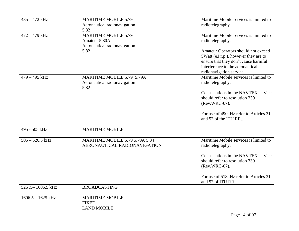| $435 - 472$ kHz     | <b>MARITIME MOBILE 5.79</b><br>Aeronautical radionavigation                                  | Maritime Mobile services is limited to<br>radiotelegraphy.                                                                                                                                                                                         |
|---------------------|----------------------------------------------------------------------------------------------|----------------------------------------------------------------------------------------------------------------------------------------------------------------------------------------------------------------------------------------------------|
| $472 - 479$ kHz     | 5.82<br><b>MARITIME MOBILE 5.79</b><br>Amateur 5.80A<br>Aeronautical radionavigation<br>5.82 | Maritime Mobile services is limited to<br>radiotelegraphy.<br>Amateur Operators should not exceed<br>5Watt (e.i.r.p.), however they are to<br>ensure that they don't cause harmful<br>interference to the aeronautical<br>radionavigation service. |
| $479 - 495$ kHz     | MARITIME MOBILE 5.79 5.79A<br>Aeronautical radionavigation<br>5.82                           | Maritime Mobile services is limited to<br>radiotelegraphy.<br>Coast stations in the NAVTEX service<br>should refer to resolution 339<br>(Rev.WRC-07).<br>For use of 490kHz refer to Articles 31<br>and 52 of the ITU RR                            |
| 495 - 505 kHz       | <b>MARITIME MOBILE</b>                                                                       |                                                                                                                                                                                                                                                    |
| $505 - 526.5$ kHz   | MARITIME MOBILE 5.79 5.79A 5.84<br>AERONAUTICAL RADIONAVIGATION                              | Maritime Mobile services is limited to<br>radiotelegraphy.<br>Coast stations in the NAVTEX service<br>should refer to resolution 339<br>(Rev.WRC-07).<br>For use of 518kHz refer to Articles 31<br>and 52 of ITU RR.                               |
| 526.5-1606.5 kHz    | <b>BROADCASTING</b>                                                                          |                                                                                                                                                                                                                                                    |
| $1606.5 - 1625$ kHz | <b>MARITIME MOBILE</b><br><b>FIXED</b><br><b>LAND MOBILE</b>                                 |                                                                                                                                                                                                                                                    |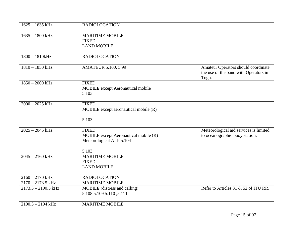| $1625 - 1635$ kHz     | <b>RADIOLOCATION</b>                                                                        |                                                                                       |
|-----------------------|---------------------------------------------------------------------------------------------|---------------------------------------------------------------------------------------|
| $1635 - 1800$ kHz     | <b>MARITIME MOBILE</b><br><b>FIXED</b><br><b>LAND MOBILE</b>                                |                                                                                       |
| 1800 - 1810kHz        | <b>RADIOLOCATION</b>                                                                        |                                                                                       |
| 1810 - 1850 kHz       | <b>AMATEUR 5.100, 5.99</b>                                                                  | Amateur Operators should coordinate<br>the use of the band with Operators in<br>Togo. |
| $1850 - 2000$ kHz     | <b>FIXED</b><br><b>MOBILE</b> except Aeronautical mobile<br>5.103                           |                                                                                       |
| $2000 - 2025$ kHz     | <b>FIXED</b><br>MOBILE except aeronautical mobile (R)<br>5.103                              |                                                                                       |
| $2025 - 2045$ kHz     | <b>FIXED</b><br>MOBILE except Aeronautical mobile (R)<br>Meteorological Aids 5.104<br>5.103 | Meteorological aid services is limited<br>to oceanographic buoy station.              |
| $2045 - 2160$ kHz     | <b>MARITIME MOBILE</b><br><b>FIXED</b><br><b>LAND MOBILE</b>                                |                                                                                       |
| $2160 - 2170$ kHz     | <b>RADIOLOCATION</b>                                                                        |                                                                                       |
| $2170 - 2173.5$ kHz   | <b>MARITIME MOBILE</b>                                                                      |                                                                                       |
| $2173.5 - 2190.5$ kHz | MOBILE (distress and calling)<br>5.108 5.109 5.110 ,5.111                                   | Refer to Articles 31 & 52 of ITU RR.                                                  |
| $2190.5 - 2194$ kHz   | <b>MARITIME MOBILE</b>                                                                      |                                                                                       |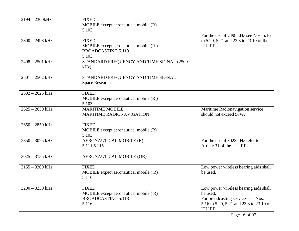| 2194 - 2300kHz    | <b>FIXED</b><br>MOBILE except aeronautical mobile (R)<br>5.103                              |                                                                                                                                                      |
|-------------------|---------------------------------------------------------------------------------------------|------------------------------------------------------------------------------------------------------------------------------------------------------|
| $2300 - 2498$ kHz | <b>FIXED</b><br>MOBILE except aeronautical mobile (R)<br><b>BROADCASTING 5.113</b><br>5.103 | For the use of 2498 kHz see Nos. 5.16<br>to 5.20, 5.21 and 23.3 to 23.10 of the<br><b>ITU RR.</b>                                                    |
| 2498 - 2501 kHz   | STANDARD FREQUENCY AND TIME SIGNAL (2500<br>$kHz$ )                                         |                                                                                                                                                      |
| $2501 - 2502$ kHz | STANDARD FREQUENCY AND TIME SIGNAL<br><b>Space Research</b>                                 |                                                                                                                                                      |
| $2502 - 2625$ kHz | <b>FIXED</b><br>MOBILE except aeronautical mobile $(R)$<br>5.103                            |                                                                                                                                                      |
| $2625 - 2650$ kHz | <b>MARITIME MOBILE</b><br><b>MARITIME RADIONAVIGATION</b>                                   | Maritime Radionavigation service<br>should not exceed 50W.                                                                                           |
| $2650 - 2850$ kHz | <b>FIXED</b><br>MOBILE except aeronautical mobile (R)<br>5.103                              |                                                                                                                                                      |
| $2850 - 3025$ kHz | AERONAUTICAL MOBILE (R)<br>5.111,5.115                                                      | For the use of 3023 kHz refer to<br>Article 31 of the ITU RR.                                                                                        |
| $3025 - 3155$ kHz | AERONAUTICAL MOBILE (OR)                                                                    |                                                                                                                                                      |
| $3155 - 3200$ kHz | <b>FIXED</b><br>MOBILE expect aeronautical mobile $(R)$<br>5.116                            | Low power wireless hearing aids shall<br>be used.                                                                                                    |
| $3200 - 3230$ kHz | <b>FIXED</b><br>MOBILE except aeronautical mobile (R)<br><b>BROADCASTING 5.113</b><br>5.116 | Low power wireless hearing aids shall<br>be used.<br>For broadcasting services see Nos.<br>5.16 to 5.20, 5.21 and 23.3 to 23.10 of<br><b>ITU RR.</b> |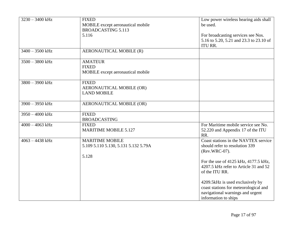| $3230 - 3400$ kHz | <b>FIXED</b><br>MOBILE except aeronautical mobile<br><b>BROADCASTING 5.113</b><br>5.116 | Low power wireless hearing aids shall<br>be used.<br>For broadcasting services see Nos.<br>5.16 to 5.20, 5.21 and 23.3 to 23.10 of<br><b>ITU RR.</b>                                                                                                                                                                                |
|-------------------|-----------------------------------------------------------------------------------------|-------------------------------------------------------------------------------------------------------------------------------------------------------------------------------------------------------------------------------------------------------------------------------------------------------------------------------------|
| $3400 - 3500$ kHz | AERONAUTICAL MOBILE (R)                                                                 |                                                                                                                                                                                                                                                                                                                                     |
| $3500 - 3800$ kHz | <b>AMATEUR</b><br><b>FIXED</b><br>MOBILE except aeronautical mobile                     |                                                                                                                                                                                                                                                                                                                                     |
| 3800 - 3900 kHz   | <b>FIXED</b><br>AERONAUTICAL MOBILE (OR)<br><b>LAND MOBILE</b>                          |                                                                                                                                                                                                                                                                                                                                     |
| 3900 - 3950 kHz   | AERONAUTICAL MOBILE (OR)                                                                |                                                                                                                                                                                                                                                                                                                                     |
| $3950 - 4000$ kHz | <b>FIXED</b><br><b>BROADCASTING</b>                                                     |                                                                                                                                                                                                                                                                                                                                     |
| $4000 - 4063$ kHz | <b>FIXED</b><br><b>MARITIME MOBILE 5.127</b>                                            | For Maritime mobile service see No.<br>52.220 and Appendix 17 of the ITU<br>RR.                                                                                                                                                                                                                                                     |
| $4063 - 4438$ kHz | <b>MARITIME MOBILE</b><br>5.109 5.110 5.130, 5.131 5.132 5.79A<br>5.128                 | Coast stations in the NAVTEX service<br>should refer to resolution 339<br>(Rev.WRC-07).<br>For the use of 4125 kHz, 4177.5 kHz,<br>4207.5 kHz refer to Article 31 and 52<br>of the ITU RR.<br>4209.5kHz is used exclusively by<br>coast stations for meteorological and<br>navigational warnings and urgent<br>information to ships |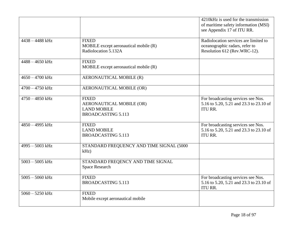|                   |                                                                                             | 4210kHz is used for the transmission<br>of maritime safety information (MSI)<br>see Appendix 17 of ITU RR. |
|-------------------|---------------------------------------------------------------------------------------------|------------------------------------------------------------------------------------------------------------|
| $4438 - 4488$ kHz | <b>FIXED</b><br>MOBILE except aeronautical mobile (R)<br>Radiolocation 5.132A               | Radiolocation services are limited to<br>oceanographic radars, refer to<br>Resolution 612 (Rev.WRC-12).    |
| $4488 - 4650$ kHz | <b>FIXED</b><br>MOBILE except aeronautical mobile (R)                                       |                                                                                                            |
| $4650 - 4700$ kHz | AERONAUTICAL MOBILE (R)                                                                     |                                                                                                            |
| $4700 - 4750$ kHz | AERONAUTICAL MOBILE (OR)                                                                    |                                                                                                            |
| $4750 - 4850$ kHz | <b>FIXED</b><br>AERONAUTICAL MOBILE (OR)<br><b>LAND MOBILE</b><br><b>BROADCASTING 5.113</b> | For broadcasting services see Nos.<br>5.16 to 5.20, 5.21 and 23.3 to 23.10 of<br><b>ITU RR.</b>            |
| 4850 - 4995 kHz   | <b>FIXED</b><br><b>LAND MOBILE</b><br><b>BROADCASTING 5.113</b>                             | For broadcasting services see Nos.<br>5.16 to 5.20, 5.21 and 23.3 to 23.10 of<br><b>ITU RR.</b>            |
| 4995 - 5003 kHz   | STANDARD FREQUENCY AND TIME SIGNAL (5000<br>$kHz$ )                                         |                                                                                                            |
| $5003 - 5005$ kHz | STANDARD FREQENCY AND TIME SIGNAL<br><b>Space Research</b>                                  |                                                                                                            |
| $5005 - 5060$ kHz | <b>FIXED</b><br><b>BROADCASTING 5.113</b>                                                   | For broadcasting services see Nos.<br>5.16 to 5.20, 5.21 and 23.3 to 23.10 of<br><b>ITU RR.</b>            |
| $5060 - 5250$ kHz | <b>FIXED</b><br>Mobile except aeronautical mobile                                           |                                                                                                            |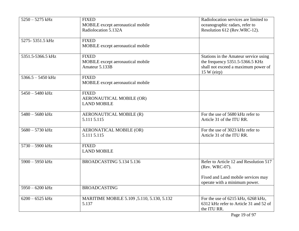| $5250 - 5275$ kHz   | <b>FIXED</b><br>MOBILE except aeronautical mobile<br>Radiolocation 5.132A | Radiolocation services are limited to<br>oceanographic radars, refer to<br>Resolution 612 (Rev.WRC-12).                         |
|---------------------|---------------------------------------------------------------------------|---------------------------------------------------------------------------------------------------------------------------------|
| 5275-5351.5 kHz     | <b>FIXED</b><br>MOBILE except aeronautical mobile                         |                                                                                                                                 |
| 5351.5-5366.5 kHz   | <b>FIXED</b><br>MOBILE except aeronautical mobile<br>Amateur 5.133B       | Stations in the Amateur service using<br>the frequency 5351.5-5366.5 KHz<br>shall not exceed a maximum power of<br>15 W (eirp)  |
| $5366.5 - 5450$ kHz | <b>FIXED</b><br>MOBILE except aeronautical mobile                         |                                                                                                                                 |
| 5450 - 5480 kHz     | <b>FIXED</b><br>AERONAUTICAL MOBILE (OR)<br><b>LAND MOBILE</b>            |                                                                                                                                 |
| $5480 - 5680$ kHz   | AERONAUTICAL MOBILE (R)<br>5.111 5.115                                    | For the use of 5680 kHz refer to<br>Article 31 of the ITU RR.                                                                   |
| $5680 - 5730$ kHz   | AERONATICAL MOBILE (OR)<br>5.111 5.115                                    | For the use of 3023 kHz refer to<br>Article 31 of the ITU RR.                                                                   |
| 5730 - 5900 kHz     | <b>FIXED</b><br><b>LAND MOBILE</b>                                        |                                                                                                                                 |
| 5900 - 5950 kHz     | BROADCASTING 5.134 5.136                                                  | Refer to Article 12 and Resolution 517<br>(Rev. WRC-07).<br>Fixed and Land mobile services may<br>operate with a minimum power. |
| $5950 - 6200$ kHz   | <b>BROADCASTING</b>                                                       |                                                                                                                                 |
| $6200 - 6525$ kHz   | MARITIME MOBILE 5.109, 5.110, 5.130, 5.132<br>5.137                       | For the use of 6215 kHz, 6268 kHz,<br>6312 kHz refer to Article 31 and 52 of<br>the ITU RR.                                     |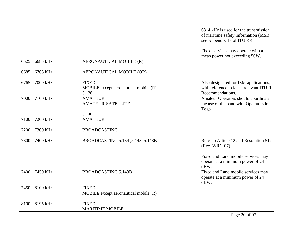| $6525 - 6685$ kHz | AERONAUTICAL MOBILE (R)                                        | 6314 kHz is used for the transmission<br>of maritime safety information (MSI)<br>see Appendix 17 of ITU RR.<br>Fixed services may operate with a<br>mean power not exceeding 50W. |
|-------------------|----------------------------------------------------------------|-----------------------------------------------------------------------------------------------------------------------------------------------------------------------------------|
|                   |                                                                |                                                                                                                                                                                   |
| $6685 - 6765$ kHz | AERONAUTICAL MOBILE (OR)                                       |                                                                                                                                                                                   |
| $6765 - 7000$ kHz | <b>FIXED</b><br>MOBILE except aeronautical mobile (R)<br>5.138 | Also designated for ISM applications,<br>with reference to latest relevant ITU-R<br>Recommendations.                                                                              |
| $7000 - 7100$ kHz | <b>AMATEUR</b><br><b>AMATEUR-SATELLITE</b><br>5.140            | Amateur Operators should coordinate<br>the use of the band with Operators in<br>Togo.                                                                                             |
| $7100 - 7200$ kHz | <b>AMATEUR</b>                                                 |                                                                                                                                                                                   |
| $7200 - 7300$ kHz | <b>BROADCASTING</b>                                            |                                                                                                                                                                                   |
| 7300 - 7400 kHz   | BROADCASTING 5.134, 5.143, 5.143B                              | Refer to Article 12 and Resolution 517<br>(Rev. WRC-07).<br>Fixed and Land mobile services may<br>operate at a minimum power of 24<br>dBW.                                        |
| $7400 - 7450$ kHz | <b>BROADCASTING 5.143B</b>                                     | Fixed and Land mobile services may<br>operate at a minimum power of 24<br>dBW.                                                                                                    |
| 7450 - 8100 kHz   | <b>FIXED</b><br>MOBILE except aeronautical mobile (R)          |                                                                                                                                                                                   |
| $8100 - 8195$ kHz | <b>FIXED</b><br><b>MARITIME MOBILE</b>                         |                                                                                                                                                                                   |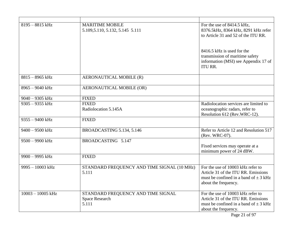| 8195 - 8815 kHz     | <b>MARITIME MOBILE</b><br>5.109, 5.110, 5.132, 5.145 5.111           | For the use of 8414.5 kHz,<br>8376.5kHz, 8364 kHz, 8291 kHz refer<br>to Article 31 and 52 of the ITU RR.                                      |
|---------------------|----------------------------------------------------------------------|-----------------------------------------------------------------------------------------------------------------------------------------------|
|                     |                                                                      | 8416.5 kHz is used for the<br>transmission of maritime safety<br>information (MSI) see Appendix 17 of<br><b>ITU RR.</b>                       |
| 8815 - 8965 kHz     | AERONAUTICAL MOBILE (R)                                              |                                                                                                                                               |
| 8965 - 9040 kHz     | AERONAUTICAL MOBILE (OR)                                             |                                                                                                                                               |
| 9040 - 9305 kHz     | <b>FIXED</b>                                                         |                                                                                                                                               |
| $9305 - 9355$ kHz   | <b>FIXED</b><br>Radiolocation 5.145A                                 | Radiolocation services are limited to<br>oceanographic radars, refer to<br>Resolution 612 (Rev.WRC-12).                                       |
| 9355 - 9400 kHz     | <b>FIXED</b>                                                         |                                                                                                                                               |
| $9400 - 9500$ kHz   | BROADCASTING 5.134, 5.146                                            | Refer to Article 12 and Resolution 517<br>(Rev. WRC-07).                                                                                      |
| 9500 - 9900 kHz     | BROADCASTING 5.147                                                   | Fixed services may operate at a<br>minimum power of 24 dBW.                                                                                   |
| 9900 - 9995 kHz     | <b>FIXED</b>                                                         |                                                                                                                                               |
| $9995 - 10003$ kHz  | STANDARD FREQUENCY AND TIME SIGNAL (10 MHz)<br>5.111                 | For the use of 10003 kHz refer to<br>Article 31 of the ITU RR. Emissions<br>must be confined in a band of $\pm$ 3 kHz<br>about the frequency. |
| $10003 - 10005$ kHz | STANDARD FREQUENCY AND TIME SIGNAL<br><b>Space Research</b><br>5.111 | For the use of 10003 kHz refer to<br>Article 31 of the ITU RR. Emissions<br>must be confined in a band of $\pm$ 3 kHz<br>about the frequency. |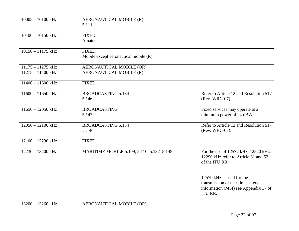| $10005 - 10100$ kHz | AERONAUTICAL MOBILE (R)<br>5.111                      |                                                                                                                        |
|---------------------|-------------------------------------------------------|------------------------------------------------------------------------------------------------------------------------|
| $10100 - 10150$ kHz | <b>FIXED</b><br>Amateur                               |                                                                                                                        |
| $10150 - 11175$ kHz | <b>FIXED</b><br>Mobile except aeronautical mobile (R) |                                                                                                                        |
| $11175 - 11275$ kHz | AERONAUTICAL MOBILE (OR)                              |                                                                                                                        |
| $11275 - 11400$ kHz | AERONAUTICAL MOBILE (R)                               |                                                                                                                        |
| $11400 - 11600$ kHz | <b>FIXED</b>                                          |                                                                                                                        |
| $11600 - 11650$ kHz | <b>BROADCASTING 5.134</b><br>5.146                    | Refer to Article 12 and Resolution 517<br>(Rev. WRC-07).                                                               |
| $11650 - 12050$ kHz | <b>BROADCASTING</b><br>5.147                          | Fixed services may operate at a<br>minimum power of 24 dBW.                                                            |
| $12050 - 12100$ kHz | <b>BROADCASTING 5.134</b><br>5.146                    | Refer to Article 12 and Resolution 517<br>(Rev. WRC-07).                                                               |
| $12100 - 12230$ kHz | <b>FIXED</b>                                          |                                                                                                                        |
| 12230 - 13200 kHz   | MARITIME MOBILE 5.109, 5.110 5.132 5.145              | For the use of 12577 kHz, 12520 kHz,<br>12290 kHz refer to Article 31 and 52<br>of the ITU RR.                         |
|                     |                                                       | 12579 kHz is used for the<br>transmission of maritime safety<br>information (MSI) see Appendix 17 of<br><b>ITU RR.</b> |
| 13200 - 13260 kHz   | AERONAUTICAL MOBILE (OR)                              |                                                                                                                        |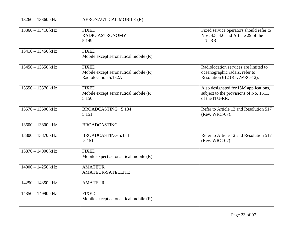| 13260 - 13360 kHz | AERONAUTICAL MOBILE (R)                                                       |                                                                                                         |
|-------------------|-------------------------------------------------------------------------------|---------------------------------------------------------------------------------------------------------|
| 13360 - 13410 kHz | <b>FIXED</b><br>RADIO ASTRONOMY<br>5.149                                      | Fixed service operators should refer to<br>Nos. 4.5, 4.6 and Article 29 of the<br><b>ITU-RR.</b>        |
| 13410 - 13450 kHz | <b>FIXED</b><br>Mobile except aeronautical mobile (R)                         |                                                                                                         |
| 13450 - 13550 kHz | <b>FIXED</b><br>Mobile except aeronautical mobile (R)<br>Radiolocation 5.132A | Radiolocation services are limited to<br>oceanographic radars, refer to<br>Resolution 612 (Rev.WRC-12). |
| 13550 - 13570 kHz | <b>FIXED</b><br>Mobile except aeronautical mobile (R)<br>5.150                | Also designated for ISM applications,<br>subject to the provisions of No. 15.13<br>of the ITU-RR.       |
| 13570 - 13600 kHz | BROADCASTING 5.134<br>5.151                                                   | Refer to Article 12 and Resolution 517<br>(Rev. WRC-07).                                                |
| 13600 - 13800 kHz | <b>BROADCASTING</b>                                                           |                                                                                                         |
| 13800 - 13870 kHz | <b>BROADCASTING 5.134</b><br>5.151                                            | Refer to Article 12 and Resolution 517<br>(Rev. WRC-07).                                                |
| 13870 - 14000 kHz | <b>FIXED</b><br>Mobile expect aeronautical mobile (R)                         |                                                                                                         |
| 14000 - 14250 kHz | <b>AMATEUR</b><br><b>AMATEUR-SATELLITE</b>                                    |                                                                                                         |
| 14250 - 14350 kHz | <b>AMATEUR</b>                                                                |                                                                                                         |
| 14350 - 14990 kHz | <b>FIXED</b><br>Mobile except aeronautical mobile (R)                         |                                                                                                         |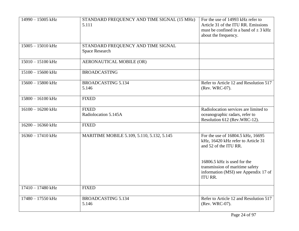| $14990 - 15005$ kHz | STANDARD FREQUENCY AND TIME SIGNAL (15 MHz)<br>5.111        | For the use of 14993 kHz refer to<br>Article 31 of the ITU RR. Emissions<br>must be confined in a band of $\pm$ 3 kHz<br>about the frequency. |
|---------------------|-------------------------------------------------------------|-----------------------------------------------------------------------------------------------------------------------------------------------|
| $15005 - 15010$ kHz | STANDARD FREQUENCY AND TIME SIGNAL<br><b>Space Research</b> |                                                                                                                                               |
| $15010 - 15100$ kHz | AERONAUTICAL MOBILE (OR)                                    |                                                                                                                                               |
| $15100 - 15600$ kHz | <b>BROADCASTING</b>                                         |                                                                                                                                               |
| $15600 - 15800$ kHz | <b>BROADCASTING 5.134</b><br>5.146                          | Refer to Article 12 and Resolution 517<br>(Rev. WRC-07).                                                                                      |
| $15800 - 16100$ kHz | <b>FIXED</b>                                                |                                                                                                                                               |
| $16100 - 16200$ kHz | <b>FIXED</b><br>Radiolocation 5.145A                        | Radiolocation services are limited to<br>oceanographic radars, refer to<br>Resolution 612 (Rev.WRC-12).                                       |
| $16200 - 16360$ kHz | <b>FIXED</b>                                                |                                                                                                                                               |
| $16360 - 17410$ kHz | MARITIME MOBILE 5.109, 5.110, 5.132, 5.145                  | For the use of 16804.5 kHz, 16695<br>kHz, 16420 kHz refer to Article 31<br>and 52 of the ITU RR.                                              |
|                     |                                                             | 16806.5 kHz is used for the<br>transmission of maritime safety<br>information (MSI) see Appendix 17 of<br><b>ITU RR.</b>                      |
| $17410 - 17480$ kHz | <b>FIXED</b>                                                |                                                                                                                                               |
| 17480 - 17550 kHz   | <b>BROADCASTING 5.134</b><br>5.146                          | Refer to Article 12 and Resolution 517<br>(Rev. WRC-07).                                                                                      |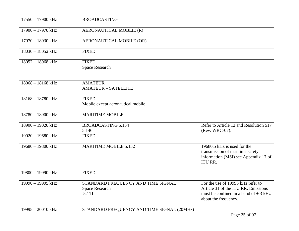| 17550 - 17900 kHz   | <b>BROADCASTING</b>                                                  |                                                                                                                                               |
|---------------------|----------------------------------------------------------------------|-----------------------------------------------------------------------------------------------------------------------------------------------|
| 17900 - 17970 kHz   | AERONAUTICAL MOBLIE (R)                                              |                                                                                                                                               |
| 17970 - 18030 kHz   | AERONAUTICAL MOBILE (OR)                                             |                                                                                                                                               |
| 18030 - 18052 kHz   | <b>FIXED</b>                                                         |                                                                                                                                               |
| 18052 - 18068 kHz   | <b>FIXED</b><br><b>Space Research</b>                                |                                                                                                                                               |
| 18068 - 18168 kHz   | <b>AMATEUR</b><br><b>AMATEUR - SATELLITE</b>                         |                                                                                                                                               |
| 18168 - 18780 kHz   | <b>FIXED</b><br>Mobile except aeronautical mobile                    |                                                                                                                                               |
| 18780 - 18900 kHz   | <b>MARITIME MOBILE</b>                                               |                                                                                                                                               |
| 18900 - 19020 kHz   | <b>BROADCASTING 5.134</b><br>5.146                                   | Refer to Article 12 and Resolution 517<br>(Rev. WRC-07).                                                                                      |
| 19020 - 19680 kHz   | <b>FIXED</b>                                                         |                                                                                                                                               |
| $19680 - 19800$ kHz | <b>MARITIME MOBILE 5.132</b>                                         | 19680.5 kHz is used for the<br>transmission of maritime safety<br>information (MSI) see Appendix 17 of<br><b>ITU RR.</b>                      |
| 19800 - 19990 kHz   | <b>FIXED</b>                                                         |                                                                                                                                               |
| 19990 - 19995 kHz   | STANDARD FREQUENCY AND TIME SIGNAL<br><b>Space Research</b><br>5.111 | For the use of 19993 kHz refer to<br>Article 31 of the ITU RR. Emissions<br>must be confined in a band of $\pm$ 3 kHz<br>about the frequency. |
| 19995 - 20010 kHz   | STANDARD FREQUENCY AND TIME SIGNAL (20MHz)                           |                                                                                                                                               |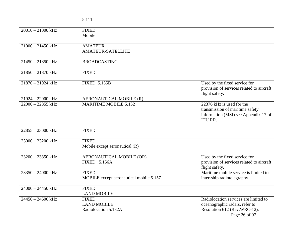|                     | 5.111                                                   |                                                                            |
|---------------------|---------------------------------------------------------|----------------------------------------------------------------------------|
| $20010 - 21000$ kHz | <b>FIXED</b>                                            |                                                                            |
|                     | Mobile                                                  |                                                                            |
| $21000 - 21450$ kHz | <b>AMATEUR</b>                                          |                                                                            |
|                     | <b>AMATEUR-SATELLITE</b>                                |                                                                            |
| $21450 - 21850$ kHz | <b>BROADCASTING</b>                                     |                                                                            |
| $21850 - 21870$ kHz | <b>FIXED</b>                                            |                                                                            |
| 21870 - 21924 kHz   | <b>FIXED 5.155B</b>                                     | Used by the fixed service for<br>provision of services related to aircraft |
|                     |                                                         | flight safety.                                                             |
| $21924 - 22000$ kHz | AERONAUTICAL MOBILE (R)                                 |                                                                            |
| $22000 - 22855$ kHz | <b>MARITIME MOBILE 5.132</b>                            | 22376 kHz is used for the                                                  |
|                     |                                                         | transmission of maritime safety                                            |
|                     |                                                         | information (MSI) see Appendix 17 of<br><b>ITU RR.</b>                     |
| $22855 - 23000$ kHz | <b>FIXED</b>                                            |                                                                            |
| $23000 - 23200$ kHz | <b>FIXED</b>                                            |                                                                            |
|                     | Mobile except aeronautical (R)                          |                                                                            |
| 23200 - 23350 kHz   | AERONAUTICAL MOBILE (OR)                                | Used by the fixed service for                                              |
|                     | <b>FIXED 5.156A</b>                                     | provision of services related to aircraft                                  |
|                     |                                                         | flight safety.<br>Maritime mobile service is limited to                    |
| $23350 - 24000$ kHz | <b>FIXED</b><br>MOBILE except aeronautical mobile 5.157 | inter-ship radiotelegraphy.                                                |
|                     |                                                         |                                                                            |
| 24000 - 24450 kHz   | <b>FIXED</b>                                            |                                                                            |
|                     | <b>LAND MOBILE</b>                                      |                                                                            |
| $24450 - 24600$ kHz | <b>FIXED</b>                                            | Radiolocation services are limited to                                      |
|                     | <b>LAND MOBILE</b><br>Radiolocation 5.132A              | oceanographic radars, refer to<br>Resolution 612 (Rev.WRC-12).             |
|                     |                                                         | $D = 26.67$                                                                |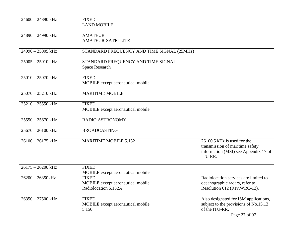| 24600 - 24890 kHz   | <b>FIXED</b>                               |                                       |
|---------------------|--------------------------------------------|---------------------------------------|
|                     | <b>LAND MOBILE</b>                         |                                       |
|                     |                                            |                                       |
| 24890 - 24990 kHz   | <b>AMATEUR</b>                             |                                       |
|                     | <b>AMATEUR-SATELLITE</b>                   |                                       |
|                     |                                            |                                       |
| 24990 - 25005 kHz   | STANDARD FREQUENCY AND TIME SIGNAL (25MHz) |                                       |
|                     |                                            |                                       |
| $25005 - 25010$ kHz | STANDARD FREQUENCY AND TIME SIGNAL         |                                       |
|                     |                                            |                                       |
|                     | Space Research                             |                                       |
| $25010 - 25070$ kHz | <b>FIXED</b>                               |                                       |
|                     |                                            |                                       |
|                     | MOBILE except aeronautical mobile          |                                       |
| $25070 - 25210$ kHz | <b>MARITIME MOBILE</b>                     |                                       |
|                     |                                            |                                       |
| $25210 - 25550$ kHz | <b>FIXED</b>                               |                                       |
|                     | MOBILE except aeronautical mobile          |                                       |
|                     |                                            |                                       |
| $25550 - 25670$ kHz | <b>RADIO ASTRONOMY</b>                     |                                       |
|                     |                                            |                                       |
| $25670 - 26100$ kHz | <b>BROADCASTING</b>                        |                                       |
|                     |                                            |                                       |
| $26100 - 26175$ kHz | <b>MARITIME MOBILE 5.132</b>               | 26100.5 kHz is used for the           |
|                     |                                            | transmission of maritime safety       |
|                     |                                            | information (MSI) see Appendix 17 of  |
|                     |                                            | <b>ITU RR.</b>                        |
|                     |                                            |                                       |
| $26175 - 26200$ kHz | <b>FIXED</b>                               |                                       |
|                     | MOBILE except aeronautical mobile          |                                       |
| $26200 - 26350kHz$  | <b>FIXED</b>                               | Radiolocation services are limited to |
|                     | MOBILE except aeronautical mobile          | oceanographic radars, refer to        |
|                     | Radiolocation 5.132A                       | Resolution 612 (Rev.WRC-12).          |
|                     |                                            |                                       |
| $26350 - 27500$ kHz | <b>FIXED</b>                               | Also designated for ISM applications, |
|                     | MOBILE except aeronautical mobile          | subject to the provisions of No.15.13 |
|                     | 5.150                                      | of the ITU-RR.                        |
|                     |                                            | $\sim$ $\sim$ $\sim$                  |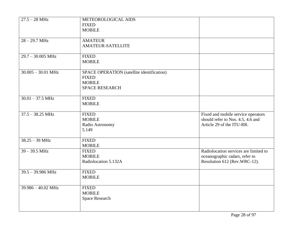| $27.5 - 28$ MHz              | METEOROLOGICAL AIDS                        |                                       |
|------------------------------|--------------------------------------------|---------------------------------------|
|                              | <b>FIXED</b>                               |                                       |
|                              | <b>MOBILE</b>                              |                                       |
|                              |                                            |                                       |
| $28 - 29.7$ MHz              | <b>AMATEUR</b>                             |                                       |
|                              | <b>AMATEUR-SATELLITE</b>                   |                                       |
|                              |                                            |                                       |
| $29.7 - 30.005 \text{ MHz}$  | <b>FIXED</b>                               |                                       |
|                              | <b>MOBILE</b>                              |                                       |
|                              |                                            |                                       |
| $30.005 - 30.01$ MHz         | SPACE OPERATION (satellite identification) |                                       |
|                              | <b>FIXED</b>                               |                                       |
|                              | <b>MOBILE</b>                              |                                       |
|                              | SPACE RESEARCH                             |                                       |
|                              |                                            |                                       |
| $30.01 - 37.5$ MHz           | <b>FIXED</b>                               |                                       |
|                              | <b>MOBILE</b>                              |                                       |
|                              |                                            |                                       |
| $37.5 - 38.25 \text{ MHz}$   | <b>FIXED</b>                               | Fixed and mobile service operators    |
|                              | <b>MOBILE</b>                              | should refer to Nos. 4.5, 4.6 and     |
|                              | Radio Astronomy                            | Article 29 of the ITU-RR.             |
|                              | 5.149                                      |                                       |
|                              |                                            |                                       |
| $38.25 - 39$ MHz             | <b>FIXED</b>                               |                                       |
|                              | <b>MOBILE</b>                              |                                       |
| $39 - 39.5$ MHz              | <b>FIXED</b>                               | Radiolocation services are limited to |
|                              | <b>MOBILE</b>                              | oceanographic radars, refer to        |
|                              | Radiolocation 5.132A                       | Resolution 612 (Rev.WRC-12).          |
|                              |                                            |                                       |
| $39.5 - 39.986 \text{ MHz}$  | <b>FIXED</b>                               |                                       |
|                              | <b>MOBILE</b>                              |                                       |
|                              |                                            |                                       |
| $39.986 - 40.02 \text{ MHz}$ | <b>FIXED</b>                               |                                       |
|                              | <b>MOBILE</b>                              |                                       |
|                              | Space Research                             |                                       |
|                              |                                            |                                       |
|                              |                                            |                                       |
|                              |                                            |                                       |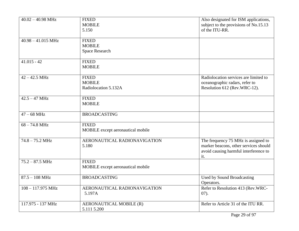| $40.02 - 40.98$ MHz          | <b>FIXED</b><br><b>MOBILE</b><br>5.150                 | Also designated for ISM applications,<br>subject to the provisions of No.15.13<br>of the ITU-RR.                             |
|------------------------------|--------------------------------------------------------|------------------------------------------------------------------------------------------------------------------------------|
| $40.98 - 41.015 \text{ MHz}$ | <b>FIXED</b><br><b>MOBILE</b><br><b>Space Research</b> |                                                                                                                              |
| $41.015 - 42$                | <b>FIXED</b><br><b>MOBILE</b>                          |                                                                                                                              |
| $42 - 42.5$ MHz              | <b>FIXED</b><br><b>MOBILE</b><br>Radiolocation 5.132A  | Radiolocation services are limited to<br>oceanographic radars, refer to<br>Resolution 612 (Rev.WRC-12).                      |
| $42.5 - 47$ MHz              | <b>FIXED</b><br><b>MOBILE</b>                          |                                                                                                                              |
| $47 - 68$ MHz                | <b>BROADCASTING</b>                                    |                                                                                                                              |
| $68 - 74.8$ MHz              | <b>FIXED</b><br>MOBILE except aeronautical mobile      |                                                                                                                              |
| $74.8 - 75.2 \text{ MHz}$    | AERONAUTICAL RADIONAVIGATION<br>5.180                  | The frequency 75 MHz is assigned to<br>marker beacons, other services should<br>avoid causing harmful interference to<br>it. |
| $75.2 - 87.5$ MHz            | <b>FIXED</b><br>MOBILE except aeronautical mobile      |                                                                                                                              |
| $87.5 - 108 \text{ MHz}$     | <b>BROADCASTING</b>                                    | Used by Sound Broadcasting<br>Operators.                                                                                     |
| $108 - 117.975$ MHz          | AERONAUTICAL RADIONAVIGATION<br>5.197A                 | Refer to Resolution 413 (Rev.WRC-<br>$(07)$ .                                                                                |
| 117.975 - 137 MHz            | AERONAUTICAL MOBILE (R)<br>5.111 5.200                 | Refer to Article 31 of the ITU RR.                                                                                           |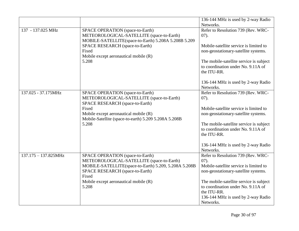|                         |                                                                                                                                                                                    | 136-144 MHz is used by 2-way Radio<br>Networks.                                                                                                 |
|-------------------------|------------------------------------------------------------------------------------------------------------------------------------------------------------------------------------|-------------------------------------------------------------------------------------------------------------------------------------------------|
| 137 - 137.025 MHz       | SPACE OPERATION (space-to-Earth)<br>METEOROLOGICAL-SATELLITE (space-to-Earth)<br>MOBILE-SATELLITE(space-to-Earth) 5.208A 5.208B 5.209                                              | Refer to Resolution 739 (Rev. WRC-<br>$(07)$ .                                                                                                  |
|                         | SPACE RESEARCH (space-to-Earth)<br>Fixed<br>Mobile except aeronautical mobile (R)                                                                                                  | Mobile-satellite service is limited to<br>non-geostationary-satellite systems.                                                                  |
|                         | 5.208                                                                                                                                                                              | The mobile-satellite service is subject<br>to coordination under No. 9.11A of<br>the ITU-RR.                                                    |
|                         |                                                                                                                                                                                    | 136-144 MHz is used by 2-way Radio<br>Networks.                                                                                                 |
| 137.025 - 37.175MHz     | SPACE OPERATION (space-to-Earth)<br>METEOROLOGICAL-SATELLITE (space-to-Earth)<br>SPACE RESEARCH (space-to-Earth)                                                                   | Refer to Resolution 739 (Rev. WRC-<br>07).                                                                                                      |
|                         | Fixed<br>Mobile except aeronautical mobile (R)<br>Mobile-Satellite (space-to-earth) 5.209 5.208A 5.208B                                                                            | Mobile-satellite service is limited to<br>non-geostationary-satellite systems.                                                                  |
|                         | 5.208                                                                                                                                                                              | The mobile-satellite service is subject<br>to coordination under No. 9.11A of<br>the ITU-RR.                                                    |
|                         |                                                                                                                                                                                    | 136-144 MHz is used by 2-way Radio<br>Networks.                                                                                                 |
| $137.175 - 137.825 MHz$ | SPACE OPERATION (space-to-Earth)<br>METEOROLOGICAL-SATELLITE (space-to-Earth)<br>MOBILE-SATELLITE(space-to-Earth) 5.209, 5.208A 5.208B<br>SPACE RESEARCH (space-to-Earth)<br>Fixed | Refer to Resolution 739 (Rev. WRC-<br>$(07)$ .<br>Mobile-satellite service is limited to<br>non-geostationary-satellite systems.                |
|                         | Mobile except aeronautical mobile (R)<br>5.208                                                                                                                                     | The mobile-satellite service is subject<br>to coordination under No. 9.11A of<br>the ITU-RR.<br>136-144 MHz is used by 2-way Radio<br>Networks. |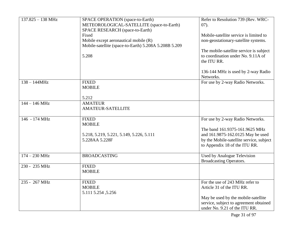| $137.825 - 138 \text{ MHz}$ | <b>SPACE OPERATION</b> (space-to-Earth)<br>METEOROLOGICAL-SATELLITE (space-to-Earth)<br>SPACE RESEARCH (space-to-Earth)<br>Fixed<br>Mobile except aeronautical mobile (R)<br>Mobile-satellite (space-to-Earth) 5.208A 5.208B 5.209<br>5.208 | Refer to Resolution 739 (Rev. WRC-<br>$(07)$ .<br>Mobile-satellite service is limited to<br>non-geostationary-satellite systems.<br>The mobile-satellite service is subject<br>to coordination under No. 9.11A of<br>the ITU RR.<br>136-144 MHz is used by 2-way Radio<br>Networks. |
|-----------------------------|---------------------------------------------------------------------------------------------------------------------------------------------------------------------------------------------------------------------------------------------|-------------------------------------------------------------------------------------------------------------------------------------------------------------------------------------------------------------------------------------------------------------------------------------|
| $138 - 144 MHz$             | <b>FIXED</b><br><b>MOBILE</b><br>5.212                                                                                                                                                                                                      | For use by 2-way Radio Networks.                                                                                                                                                                                                                                                    |
| $144 - 146$ MHz             | <b>AMATEUR</b><br><b>AMATEUR-SATELLITE</b>                                                                                                                                                                                                  |                                                                                                                                                                                                                                                                                     |
| 146 - 174 MHz               | <b>FIXED</b><br><b>MOBILE</b><br>5.218, 5.219, 5.221, 5.149, 5.226, 5.111<br>5.228AA 5.228F                                                                                                                                                 | For use by 2-way Radio Networks.<br>The band 161.9375-161.9625 MHz<br>and 161.9875-162.0125 May be used<br>by the Mobile-satellite service, subject<br>to Appendix 18 of the ITU RR.                                                                                                |
| $174 - 230$ MHz             | <b>BROADCASTING</b>                                                                                                                                                                                                                         | Used by Analogue Television<br><b>Broadcasting Operators.</b>                                                                                                                                                                                                                       |
| 230 - 235 MHz               | <b>FIXED</b><br><b>MOBILE</b>                                                                                                                                                                                                               |                                                                                                                                                                                                                                                                                     |
| 235 - 267 MHz               | <b>FIXED</b><br><b>MOBILE</b><br>5.111 5.254 ,5.256                                                                                                                                                                                         | For the use of 243 MHz refer to<br>Article 31 of the ITU RR.<br>May be used by the mobile-satellite<br>service, subject to agreement obtained<br>under No. 9.21 of the ITU RR.                                                                                                      |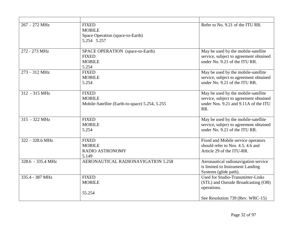| $267 - 272$ MHz           | <b>FIXED</b><br><b>MOBILE</b><br>Space Operation (space-to-Earth)<br>5.254 5.257 | Refer to No. 9.21 of the ITU RR.                                                                                                   |
|---------------------------|----------------------------------------------------------------------------------|------------------------------------------------------------------------------------------------------------------------------------|
| 272 - 273 MHz             | SPACE OPERATION (space-to-Earth)<br><b>FIXED</b><br><b>MOBILE</b><br>5.254       | May be used by the mobile-satellite<br>service, subject to agreement obtained<br>under No. 9.21 of the ITU RR.                     |
| $273 - 312$ MHz           | <b>FIXED</b><br><b>MOBILE</b><br>5.254                                           | May be used by the mobile-satellite<br>service, subject to agreement obtained<br>under No. 9.21 of the ITU RR.                     |
| 312 - 315 MHz             | <b>FIXED</b><br><b>MOBILE</b><br>Mobile-Satellite (Earth-to-space) 5.254, 5.255  | May be used by the mobile-satellite<br>service, subject to agreement obtained<br>under Nos. 9.21 and 9.11A of the ITU<br>RR.       |
| 315 - 322 MHz             | <b>FIXED</b><br><b>MOBILE</b><br>5.254                                           | May be used by the mobile-satellite<br>service, subject to agreement obtained<br>under No. 9.21 of the ITU RR.                     |
| $322 - 328.6 \text{ MHz}$ | <b>FIXED</b><br><b>MOBILE</b><br><b>RADIO ASTRONOMY</b><br>5.149                 | Fixed and Mobile service operators<br>should refer to Nos. 4.5, 4.6 and<br>Article 29 of the ITU-RR.                               |
| 328.6 - 335.4 MHz         | AERONAUTICAL RADIONAVIGATION 5.258                                               | Aeronautical radionavigation service<br>is limited to Instrument Landing<br>Systems (glide path).                                  |
| 335.4 - 387 MHz           | <b>FIXED</b><br><b>MOBILE</b><br>55.254                                          | <b>Used for Studio-Transmitter-Links</b><br>(STL) and Outside Broadcasting (OB)<br>operations.<br>See Resolution 739 (Rev. WRC-15) |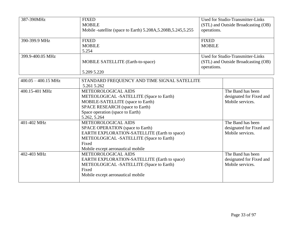| 387-390MHz            | <b>FIXED</b><br><b>MOBILE</b><br>Mobile -satellite (space to Earth) 5.208A, 5.208B, 5.245, 5.255                                                                                                   | <b>Used for Studio-Transmitter-Links</b><br>(STL) and Outside Broadcasting (OB)<br>operations. |                                                                   |
|-----------------------|----------------------------------------------------------------------------------------------------------------------------------------------------------------------------------------------------|------------------------------------------------------------------------------------------------|-------------------------------------------------------------------|
| 390-399.9 MHz         | <b>FIXED</b><br><b>MOBILE</b><br>5.254                                                                                                                                                             | <b>FIXED</b><br><b>MOBILE</b>                                                                  |                                                                   |
| 399.9-400.05 MHz      | MOBILE SATELLITE (Earth-to-space)<br>5.209 5.220                                                                                                                                                   | <b>Used for Studio-Transmitter-Links</b><br>(STL) and Outside Broadcasting (OB)<br>operations. |                                                                   |
|                       |                                                                                                                                                                                                    |                                                                                                |                                                                   |
| $400.05 - 400.15$ MHz | STANDARD FREQUENCY AND TIME SIGNAL SATELLITE<br>5.261 5.262                                                                                                                                        |                                                                                                |                                                                   |
| 400.15-401 MHz        | METEOROLOGICAL AIDS<br>METEOLOGICAL -SATELLITE (Space to Earth)<br>MOBILE-SATELLITE (space to Earth)<br><b>SPACE RESEARCH</b> (space to Earth)<br>Space operation (space to Earth)<br>5.262, 5.264 |                                                                                                | The Band has been<br>designated for Fixed and<br>Mobile services. |
| 401-402 MHz           | METEOROLOGICAL AIDS<br>SPACE OPERATION (space to Earth)<br>EARTH EXPLORATION-SATELLITE (Earth to space)<br>METEOLOGICAL -SATELLITE (Space to Earth)<br>Fixed<br>Mobile except aeronautical mobile  |                                                                                                | The Band has been<br>designated for Fixed and<br>Mobile services. |
| 402-403 MHz           | <b>METEOROLOGICAL AIDS</b><br>EARTH EXPLORATION-SATELLITE (Earth to space)<br>METEOLOGICAL -SATELLITE (Space to Earth)<br>Fixed<br>Mobile except aeronautical mobile                               |                                                                                                | The Band has been<br>designated for Fixed and<br>Mobile services. |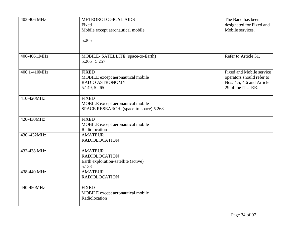| 403-406 MHz  | METEOROLOGICAL AIDS                   | The Band has been         |
|--------------|---------------------------------------|---------------------------|
|              | Fixed                                 | designated for Fixed and  |
|              | Mobile except aeronautical mobile     | Mobile services.          |
|              |                                       |                           |
|              | 5.265                                 |                           |
|              |                                       |                           |
|              |                                       |                           |
| 406-406.1MHz | MOBILE- SATELLITE (space-to-Earth)    | Refer to Article 31.      |
|              | 5.266 5.257                           |                           |
|              |                                       |                           |
| 406.1-410MHz | <b>FIXED</b>                          | Fixed and Mobile service  |
|              | MOBILE except aeronautical mobile     | operators should refer to |
|              | <b>RADIO ASTRONOMY</b>                | Nos. 4.5, 4.6 and Article |
|              | 5.149, 5.265                          | 29 of the ITU-RR.         |
| 410-420MHz   | <b>FIXED</b>                          |                           |
|              | MOBILE except aeronautical mobile     |                           |
|              | SPACE RESEARCH (space-to-space) 5.268 |                           |
|              |                                       |                           |
| 420-430MHz   | <b>FIXED</b>                          |                           |
|              | MOBILE except aeronautical mobile     |                           |
|              | Radiolocation                         |                           |
| 430-432MHz   | <b>AMATEUR</b>                        |                           |
|              | <b>RADIOLOCATION</b>                  |                           |
|              |                                       |                           |
| 432-438 MHz  | <b>AMATEUR</b>                        |                           |
|              | <b>RADIOLOCATION</b>                  |                           |
|              | Earth exploration-satellite (active)  |                           |
|              | 5.138                                 |                           |
| 438-440 MHz  | <b>AMATEUR</b>                        |                           |
|              | <b>RADIOLOCATION</b>                  |                           |
|              |                                       |                           |
| 440-450MHz   | <b>FIXED</b>                          |                           |
|              | MOBILE except aeronautical mobile     |                           |
|              | Radiolocation                         |                           |
|              |                                       |                           |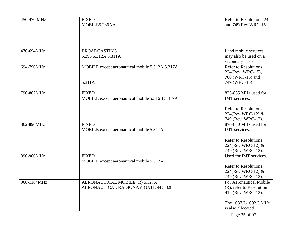| 450-470 MHz | <b>FIXED</b><br>MOBILE5.286AA                                        | Refer to Resolution 224<br>and 749(Rev.WRC-15.                            |
|-------------|----------------------------------------------------------------------|---------------------------------------------------------------------------|
|             |                                                                      |                                                                           |
| 470-694MHz  | <b>BROADCASTING</b><br>5.296 5.312A 5.311A                           | Land mobile services<br>may also be used on a<br>secondary basis.         |
| 694-790MHz  | MOBILE except aeronautical mobile 5.312A 5.317A                      | <b>Refer to Resolutions</b><br>224(Rev. WRC-15),<br>760 (WRC-15) and      |
|             | 5.311A                                                               | 749 (WRC-15)                                                              |
| 790-862MHz  | <b>FIXED</b><br>MOBILE except aeronautical mobile 5.316B 5.317A      | 825-835 MHz used for<br>IMT services.                                     |
|             |                                                                      | <b>Refer to Resolutions</b><br>224(Rev.WRC-12) &<br>749 (Rev. WRC-12).    |
| 862-890MHz  | <b>FIXED</b><br>MOBILE except aeronautical mobile 5.317A             | 870-880 MHz used for<br>IMT services.                                     |
|             |                                                                      | <b>Refer to Resolutions</b><br>224(Rev.WRC-12) &<br>749 (Rev. WRC-12).    |
| 890-960MHz  | <b>FIXED</b><br>MOBILE except aeronautical mobile 5.317A             | Used for IMT services.                                                    |
|             |                                                                      | <b>Refer to Resolutions</b><br>224(Rev.WRC-12) &<br>749 (Rev. WRC-12).    |
| 960-1164MHz | AERONAUTICAL MOBILE (R) 5.327A<br>AERONAUTICAL RADIONAVIGATION 5.328 | For Aeronautical Mobile<br>(R), refer to Resolution<br>417 (Rev. WRC-12). |
|             |                                                                      | The 1087.7-1092.3 MHz<br>is also allocated                                |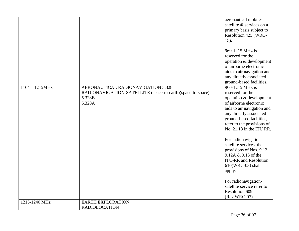|                   |                                                                                                                      | aeronautical mobile-<br>satellite ® services on a<br>primary basis subject to<br>Resolution 425 (WRC-<br>15).<br>960-1215 MHz is<br>reserved for the<br>operation & development<br>of airborne electronic<br>aids to air navigation and<br>any directly associated<br>ground-based facilities.                                                                                                                                                                                                              |
|-------------------|----------------------------------------------------------------------------------------------------------------------|-------------------------------------------------------------------------------------------------------------------------------------------------------------------------------------------------------------------------------------------------------------------------------------------------------------------------------------------------------------------------------------------------------------------------------------------------------------------------------------------------------------|
| $1164 - 1215 MHz$ | AERONAUTICAL RADIONAVIGATION 5.328<br>RADIONAVIGATION-SATELLITE (space-to-earth)(space-to-space)<br>5.328B<br>5.328A | 960-1215 MHz is<br>reserved for the<br>operation & development<br>of airborne electronic<br>aids to air navigation and<br>any directly associated<br>ground-based facilities,<br>refer to the provisions of<br>No. 21.18 in the ITU RR.<br>For radionavigation<br>satellite services, the<br>provisions of Nos. 9.12,<br>9.12A & 9.13 of the<br><b>ITU-RR</b> and Resolution<br>610(WRC-03) shall<br>apply.<br>For radionavigation-<br>satellite service refer to<br><b>Resolution 609</b><br>(Rev.WRC-07). |
| 1215-1240 MHz     | <b>EARTH EXPLORATION</b><br><b>RADIOLOCATION</b>                                                                     |                                                                                                                                                                                                                                                                                                                                                                                                                                                                                                             |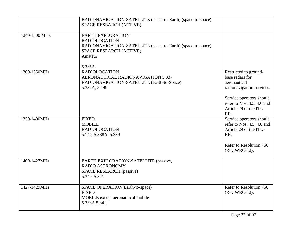|               | RADIONAVIGATION-SATELLITE (space-to-Earth) (space-to-space)<br>SPACE RESEARCH (ACTIVE)                                                                          |                                                                                                                                                                                  |
|---------------|-----------------------------------------------------------------------------------------------------------------------------------------------------------------|----------------------------------------------------------------------------------------------------------------------------------------------------------------------------------|
| 1240-1300 MHz | <b>EARTH EXPLORATION</b><br><b>RADIOLOCATION</b><br>RADIONAVIGATION-SATELLITE (space-to-Earth) (space-to-space)<br>SPACE RESEARCH (ACTIVE)<br>Amateur<br>5.335A |                                                                                                                                                                                  |
| 1300-1350MHz  | <b>RADIOLOCATION</b><br>AERONAUTICAL RADIONAVIGATION 5.337<br>RADIONAVIGATION-SATELLITE (Earth-to-Space)<br>5.337A, 5.149                                       | Restricted to ground-<br>base radars for<br>aeronautical<br>radionavigation services.<br>Service operators should<br>refer to Nos. 4.5, 4.6 and<br>Article 29 of the ITU-<br>RR. |
| 1350-1400MHz  | <b>FIXED</b><br><b>MOBILE</b><br><b>RADIOLOCATION</b><br>5.149, 5.338A, 5.339                                                                                   | Service operators should<br>refer to Nos. 4.5, 4.6 and<br>Article 29 of the ITU-<br>RR.<br>Refer to Resolution 750<br>(Rev.WRC-12).                                              |
| 1400-1427MHz  | EARTH EXPLORATION-SATELLITE (passive)<br><b>RADIO ASTRONOMY</b><br><b>SPACE RESEARCH (passive)</b><br>5.340, 5.341                                              |                                                                                                                                                                                  |
| 1427-1429MHz  | SPACE OPERATION(Earth-to-space)<br><b>FIXED</b><br>MOBILE except aeronautical mobile<br>5.338A 5.341                                                            | Refer to Resolution 750<br>(Rev.WRC-12).                                                                                                                                         |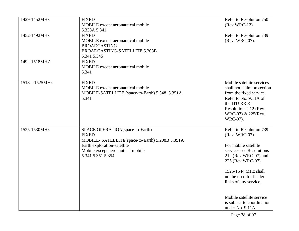| 1429-1452MHz     | <b>FIXED</b><br>MOBILE except aeronautical mobile<br>5.338A 5.341                                                                                                                           | Refer to Resolution 750<br>(Rev.WRC-12).                                                                                                                                                                                                                                                           |
|------------------|---------------------------------------------------------------------------------------------------------------------------------------------------------------------------------------------|----------------------------------------------------------------------------------------------------------------------------------------------------------------------------------------------------------------------------------------------------------------------------------------------------|
| 1452-1492MHz     | <b>FIXED</b><br>MOBILE except aeronautical mobile<br><b>BROADCASTING</b><br>BROADCASTING-SATELLITE 5.208B<br>5.341 5.345                                                                    | Refer to Resolution 739<br>(Rev. WRC-07).                                                                                                                                                                                                                                                          |
| 1492-1518MHZ     | <b>FIXED</b><br>MOBILE except aeronautical mobile<br>5.341                                                                                                                                  |                                                                                                                                                                                                                                                                                                    |
| $1518 - 1525MHz$ | <b>FIXED</b><br>MOBILE except aeronautical mobile<br>MOBILE-SATELLITE (space-to-Earth) 5.348, 5.351A<br>5.341                                                                               | Mobile satellite services<br>shall not claim protection<br>from the fixed service.<br>Refer to No. 9.11A of<br>the ITU RR &<br>Resolutions 212 (Rev.<br>WRC-07) & 225(Rev.<br>WRC-07).                                                                                                             |
| 1525-1530MHz     | SPACE OPERATION(space-to-Earth)<br><b>FIXED</b><br>MOBILE- SATELLITE(space-to-Earth) 5.208B 5.351A<br>Earth exploration-satellite<br>Mobile except aeronautical mobile<br>5.341 5.351 5.354 | Refer to Resolution 739<br>(Rev. WRC-07).<br>For mobile satellite<br>services see Resolutions<br>212 (Rev.WRC-07) and<br>225 (Rev.WRC-07).<br>1525-1544 MHz shall<br>not be used for feeder<br>links of any service.<br>Mobile satellite service<br>is subject to coordination<br>under No. 9.11A. |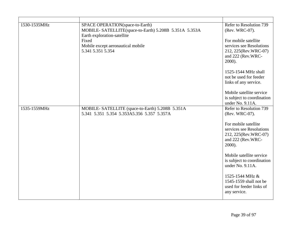| 1530-1535MHz | SPACE OPERATION(space-to-Earth)<br>MOBILE- SATELLITE(space-to-Earth) 5.208B 5.351A 5.353A<br>Earth exploration-satellite<br>Fixed<br>Mobile except aeronautical mobile<br>5.341 5.351 5.354 | Refer to Resolution 739<br>(Rev. WRC-07).<br>For mobile satellite<br>services see Resolutions<br>212, 225(Rev.WRC-07)<br>and 222 (Rev.WRC-<br>$2000$ ).<br>1525-1544 MHz shall<br>not be used for feeder<br>links of any service.<br>Mobile satellite service<br>is subject to coordination<br>under No. 9.11A.                |
|--------------|---------------------------------------------------------------------------------------------------------------------------------------------------------------------------------------------|--------------------------------------------------------------------------------------------------------------------------------------------------------------------------------------------------------------------------------------------------------------------------------------------------------------------------------|
| 1535-1559MHz | MOBILE- SATELLITE (space-to-Earth) 5.208B 5.351A<br>5.341 5.351 5.354 5.353A5.356 5.357 5.357A                                                                                              | Refer to Resolution 739<br>(Rev. WRC-07).<br>For mobile satellite<br>services see Resolutions<br>212, 225(Rev.WRC-07)<br>and 222 (Rev.WRC-<br>$2000$ ).<br>Mobile satellite service<br>is subject to coordination<br>under No. 9.11A.<br>1525-1544 MHz &<br>1545-1559 shall not be<br>used for feeder links of<br>any service. |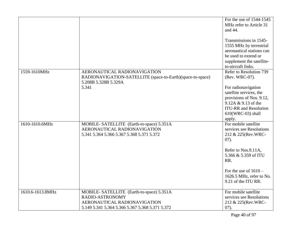|                  |                                                                                                                                                | For the use of 1544-1545<br>MHz refer to Article 31<br>and 44.<br>Transmissions in 1545-<br>1555 MHz by terrestrial<br>aeronautical stations can<br>be used to extend or<br>supplement the satellite-<br>to-aircraft links.      |
|------------------|------------------------------------------------------------------------------------------------------------------------------------------------|----------------------------------------------------------------------------------------------------------------------------------------------------------------------------------------------------------------------------------|
| 1559-1610MHz     | AERONAUTICAL RADIONAVIGATION<br>RADIONAVIGATION-SATELLITE (space-to-Earth)(space-to-space)<br>5.208B 5.328B 5.329A<br>5.341                    | Refer to Resolution 739<br>(Rev. WRC-07).<br>For radionavigation<br>satellite services, the<br>provisions of Nos. 9.12,<br>9.12A & 9.13 of the<br><b>ITU-RR</b> and Resolution<br>610(WRC-03) shall                              |
| 1610-1610.6MHz   | MOBILE-SATELLITE (Earth-to-space) 5.351A<br>AERONAUTICAL RADIONAVIGATION<br>5.341 5.364 5.366 5.367 5.368 5.371 5.372                          | apply.<br>For mobile satellite<br>services see Resolutions<br>212 & 225(Rev.WRC-<br>$(07)$ .<br>Refer to Nos.9.11A,<br>5.366 & 5.359 of ITU<br>RR.<br>For the use of $1610 -$<br>1626.5 MHz, refer to No.<br>9.21 of the ITU RR. |
| 1610.6-1613.8MHz | MOBILE-SATELLITE (Earth-to-space) 5.351A<br>RADIO-ASTRONOMY<br>AERONAUTICAL RADIONAVIGATION<br>5.149 5.341 5.364 5.366 5.367 5.368 5.371 5.372 | For mobile satellite<br>services see Resolutions<br>212 & 225(Rev.WRC-<br>07).                                                                                                                                                   |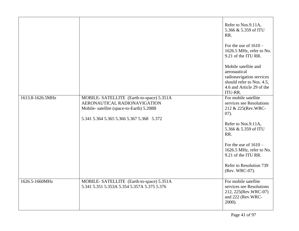|                  |                                                                                                                       | Refer to Nos.9.11A,<br>5.366 & 5.359 of ITU<br>RR.                                                                         |
|------------------|-----------------------------------------------------------------------------------------------------------------------|----------------------------------------------------------------------------------------------------------------------------|
|                  |                                                                                                                       |                                                                                                                            |
|                  |                                                                                                                       | For the use of $1610 -$                                                                                                    |
|                  |                                                                                                                       | 1626.5 MHz, refer to No.<br>9.21 of the ITU RR.                                                                            |
|                  |                                                                                                                       | Mobile satellite and<br>aeronautical<br>radionavigation services<br>should refer to Nos. 4.5,<br>4.6 and Article 29 of the |
|                  |                                                                                                                       | ITU-RR.                                                                                                                    |
| 1613.8-1626.5MHz | MOBILE- SATELLITE (Earth-to-space) 5.351A<br>AERONAUTICAL RADIONAVIGATION<br>Mobile-satellite (space-to-Earth) 5.208B | For mobile satellite<br>services see Resolutions<br>212 & 225(Rev.WRC-                                                     |
|                  |                                                                                                                       | $(07)$ .                                                                                                                   |
|                  | 5.341 5.364 5.365 5.366 5.367 5.368 5.372                                                                             | Refer to Nos.9.11A,<br>5.366 & 5.359 of ITU<br>RR.                                                                         |
|                  |                                                                                                                       | For the use of $1610 -$<br>1626.5 MHz, refer to No.<br>9.21 of the ITU RR.                                                 |
|                  |                                                                                                                       | Refer to Resolution 739<br>(Rev. WRC-07).                                                                                  |
| 1626.5-1660MHz   | MOBILE-SATELLITE (Earth-to-space) 5.351A<br>5.341 5.351 5.353A 5.354 5.357A 5.375 5.376                               | For mobile satellite<br>services see Resolutions<br>212, 225(Rev.WRC-07)<br>and 222 (Rev.WRC-<br>2000).                    |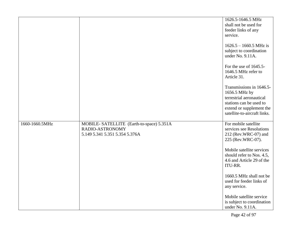|                |                                                                                               | 1626.5-1646.5 MHz<br>shall not be used for<br>feeder links of any<br>service.                                                                                |
|----------------|-----------------------------------------------------------------------------------------------|--------------------------------------------------------------------------------------------------------------------------------------------------------------|
|                |                                                                                               | $1626.5 - 1660.5$ MHz is<br>subject to coordination<br>under No. 9.11A.                                                                                      |
|                |                                                                                               | For the use of 1645.5-<br>1646.5 MHz refer to<br>Article 31.                                                                                                 |
|                |                                                                                               | Transmissions in 1646.5-<br>1656.5 MHz by<br>terrestrial aeronautical<br>stations can be used to<br>extend or supplement the<br>satellite-to-aircraft links. |
| 1660-1660.5MHz | MOBILE-SATELLITE (Earth-to-space) 5.351A<br>RADIO-ASTRONOMY<br>5.149 5.341 5.351 5.354 5.376A | For mobile satellite<br>services see Resolutions<br>212 (Rev.WRC-07) and<br>225 (Rev.WRC-07).                                                                |
|                |                                                                                               | Mobile satellite services<br>should refer to Nos. 4.5,<br>4.6 and Article 29 of the<br>ITU-RR.                                                               |
|                |                                                                                               | 1660.5 MHz shall not be<br>used for feeder links of<br>any service.                                                                                          |
|                |                                                                                               | Mobile satellite service<br>is subject to coordination<br>under No. 9.11A.                                                                                   |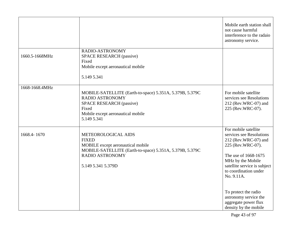|                |                                                                                                                                                                                      | Mobile earth station shall<br>not cause harmful<br>interference to the radaio<br>astronomy service.                                                                                                                                                                                                                 |
|----------------|--------------------------------------------------------------------------------------------------------------------------------------------------------------------------------------|---------------------------------------------------------------------------------------------------------------------------------------------------------------------------------------------------------------------------------------------------------------------------------------------------------------------|
| 1660.5-1668MHz | RADIO-ASTRONOMY<br><b>SPACE RESEARCH (passive)</b><br>Fixed<br>Mobile except aeronautical mobile<br>5.149 5.341                                                                      |                                                                                                                                                                                                                                                                                                                     |
| 1668-1668.4MHz | MOBILE-SATELLITE (Earth-to-space) 5.351A, 5.379B, 5.379C<br><b>RADIO ASTRONOMY</b><br><b>SPACE RESEARCH (passive)</b><br>Fixed<br>Mobile except aeronautical mobile<br>5.149 5.341   | For mobile satellite<br>services see Resolutions<br>212 (Rev.WRC-07) and<br>225 (Rev.WRC-07).                                                                                                                                                                                                                       |
| 1668.4-1670    | METEOROLOGICAL AIDS<br><b>FIXED</b><br>MOBILE except aeronautical mobile<br>MOBILE-SATELLITE (Earth-to-space) 5.351A, 5.379B, 5.379C<br><b>RADIO ASTRONOMY</b><br>5.149 5.341 5.379D | For mobile satellite<br>services see Resolutions<br>212 (Rev.WRC-07) and<br>225 (Rev.WRC-07).<br>The use of 1668-1675<br>MHz by the Mobile<br>satellite service is subject<br>to coordination under<br>No. 9.11A.<br>To protect the radio<br>astronomy service the<br>aggregate power flux<br>density by the mobile |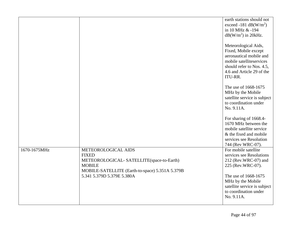|              |                                                                                                                                                                                    | earth stations should not<br>exceed -181 dB(W/m <sup>2</sup> )<br>in 10 MHz & -194<br>$dB(W/m^2)$ in 20kHz.                                                                                                       |
|--------------|------------------------------------------------------------------------------------------------------------------------------------------------------------------------------------|-------------------------------------------------------------------------------------------------------------------------------------------------------------------------------------------------------------------|
|              |                                                                                                                                                                                    | Meteorological Aids,<br>Fixed, Mobile except<br>aeronautical mobile and<br>mobile satelliteservices<br>should refer to Nos. 4.5,<br>4.6 and Article 29 of the<br>ITU-RR.                                          |
|              |                                                                                                                                                                                    | The use of 1668-1675<br>MHz by the Mobile<br>satellite service is subject<br>to coordination under<br>No. 9.11A.                                                                                                  |
|              |                                                                                                                                                                                    | For sharing of 1668.4-<br>1670 MHz between the<br>mobile satellite service<br>& the fixed and mobile<br>services see Resolution<br>744 (Rev WRC-07).                                                              |
| 1670-1675MHz | METEOROLOGICAL AIDS<br><b>FIXED</b><br>METEOROLOGICAL- SATELLITE(space-to-Earth)<br><b>MOBILE</b><br>MOBILE-SATELLITE (Earth-to-space) 5.351A 5.379B<br>5.341 5.379D 5.379E 5.380A | For mobile satellite<br>services see Resolutions<br>212 (Rev.WRC-07) and<br>225 (Rev.WRC-07).<br>The use of 1668-1675<br>MHz by the Mobile<br>satellite service is subject<br>to coordination under<br>No. 9.11A. |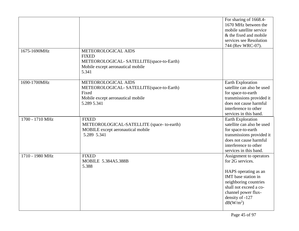| 1675-1690MHz    | METEOROLOGICAL AIDS<br><b>FIXED</b><br>METEOROLOGICAL- SATELLITE(space-to-Earth)<br>Mobile except aeronautical mobile<br>5.341 | For sharing of 1668.4-<br>1670 MHz between the<br>mobile satellite service<br>& the fixed and mobile<br>services see Resolution<br>744 (Rev WRC-07).                                                   |
|-----------------|--------------------------------------------------------------------------------------------------------------------------------|--------------------------------------------------------------------------------------------------------------------------------------------------------------------------------------------------------|
| 1690-1700MHz    | METEOROLOGICAL AIDS<br>METEOROLOGICAL- SATELLITE(space-to-Earth)<br>Fixed<br>Mobile except aeronautical mobile<br>5.289 5.341  | Earth Exploration<br>satellite can also be used<br>for space-to-earth<br>transmissions provided it<br>does not cause harmful<br>interference to other<br>services in this band.                        |
| 1700 - 1710 MHz | <b>FIXED</b><br>METEOROLOGICAL-SATELLITE (space-to-earth)<br>MOBILE except aeronautical mobile<br>5.289 5.341                  | Earth Exploration<br>satellite can also be used<br>for space-to-earth<br>transmissions provided it<br>does not cause harmful<br>interference to other<br>services in this band.                        |
| 1710 - 1980 MHz | <b>FIXED</b><br><b>MOBILE 5.384A5.388B</b><br>5.388                                                                            | Assignment to operators<br>for 2G services.<br>HAPS operating as an<br>IMT base station in<br>neighboring countries<br>shall not exceed a co-<br>channel power flux-<br>density of -127<br>$dB(W/m^2)$ |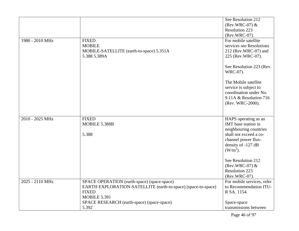|                 |                                                               | See Resolution 212                               |
|-----------------|---------------------------------------------------------------|--------------------------------------------------|
|                 |                                                               | (Rev.WRC-07) $&$                                 |
|                 |                                                               | <b>Resolution 223</b>                            |
| 1980 - 2010 MHz | <b>FIXED</b>                                                  | (Rev.WRC-07).<br>For mobile satellite            |
|                 | <b>MOBILE</b>                                                 | services see Resolutions                         |
|                 | MOBILE-SATELLITE (earth-to-space) 5.351A                      | 212 (Rev.WRC-07) and                             |
|                 | 5.388 5.389A                                                  | 225 (Rev.WRC-07).                                |
|                 |                                                               |                                                  |
|                 |                                                               | See Resolution 223 (Rev.<br>WRC-07).             |
|                 |                                                               | The Mobile satellite<br>service is subject to    |
|                 |                                                               | coordination under No.                           |
|                 |                                                               | 9.11A & Resolution 716                           |
|                 |                                                               | (Rev. WRC-2000).                                 |
|                 |                                                               |                                                  |
|                 |                                                               |                                                  |
| 2010 - 2025 MHz | <b>FIXED</b>                                                  | HAPS operating as an                             |
|                 | MOBILE 5.388B                                                 | IMT base station in                              |
|                 |                                                               | neighbouring countries<br>shall not exceed a co- |
|                 | 5.388                                                         | channel power flux-                              |
|                 |                                                               | density of -127 dB                               |
|                 |                                                               | $(W/m2)$ .                                       |
|                 |                                                               |                                                  |
|                 |                                                               | See Resolution 212                               |
|                 |                                                               | (Rev.WRC-07) $&$                                 |
|                 |                                                               | <b>Resolution 223</b>                            |
|                 |                                                               | (Rev.WRC-07).                                    |
| 2025 - 2110 MHz | SPACE OPERATION (earth-space) (space-space)                   | For mobile services, refer                       |
|                 | EARTH EXPLORATION-SATELLITE (earth-to-space) (space-to-space) | to Recommendation ITU-                           |
|                 | <b>FIXED</b>                                                  | R SA. 1154.                                      |
|                 | <b>MOBILE 5.391</b>                                           |                                                  |
|                 | SPACE RESEARCH (earth-space) (space-space)                    | Space-space                                      |
|                 | 5.392                                                         | transmissions between                            |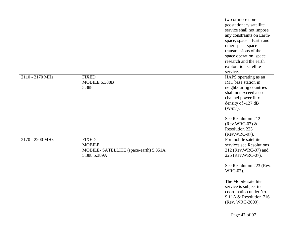|                 |                                                                                         | two or more non-<br>geostationary satellite<br>service shall not impose<br>any constraints on Earth-<br>space, space - Earth and<br>other space-space<br>transmissions of the<br>space operation, space<br>research and the earth<br>exploration satellite<br>service.          |
|-----------------|-----------------------------------------------------------------------------------------|---------------------------------------------------------------------------------------------------------------------------------------------------------------------------------------------------------------------------------------------------------------------------------|
| 2110 - 2170 MHz | <b>FIXED</b><br>MOBILE 5.388B<br>5.388                                                  | HAPS operating as an<br>IMT base station in<br>neighbouring countries<br>shall not exceed a co-<br>channel power flux-<br>density of -127 dB<br>$(W/m2)$ .<br>See Resolution 212<br>(Rev.WRC-07) $&$<br><b>Resolution 223</b>                                                   |
| 2170 - 2200 MHz | <b>FIXED</b><br><b>MOBILE</b><br>MOBILE- SATELLITE (space-earth) 5.351A<br>5.388 5.389A | (Rev.WRC-07).<br>For mobile satellite<br>services see Resolutions<br>212 (Rev.WRC-07) and<br>225 (Rev.WRC-07).<br>See Resolution 223 (Rev.<br>WRC-07).<br>The Mobile satellite<br>service is subject to<br>coordination under No.<br>9.11A & Resolution 716<br>(Rev. WRC-2000). |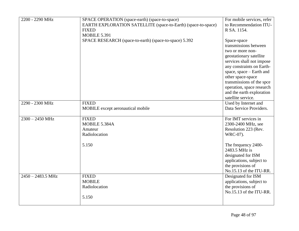| 2200 - 2290 MHz     | SPACE OPERATION (space-earth) (space-to-space)                | For mobile services, refer |
|---------------------|---------------------------------------------------------------|----------------------------|
|                     | EARTH EXPLORATION SATELLITE (space-to-Earth) (space-to-space) | to Recommendation ITU-     |
|                     | <b>FIXED</b>                                                  | R SA, 1154.                |
|                     | <b>MOBILE 5.391</b>                                           |                            |
|                     | SPACE RESEARCH (space-to-earth) (space-to-space) 5.392        | Space-space                |
|                     |                                                               | transmissions between      |
|                     |                                                               | two or more non-           |
|                     |                                                               | geostationary satellite    |
|                     |                                                               | services shall not impose  |
|                     |                                                               | any constraints on Earth-  |
|                     |                                                               | space, space - Earth and   |
|                     |                                                               | other space-space          |
|                     |                                                               | transmissions of the spce  |
|                     |                                                               | operation, space research  |
|                     |                                                               | and the earth exploration  |
|                     |                                                               | satellite service.         |
| 2290 - 2300 MHz     | <b>FIXED</b>                                                  | Used by Internet and       |
|                     | MOBILE except aeronautical mobile                             | Data Service Providers.    |
|                     |                                                               |                            |
| $2300 - 2450$ MHz   | <b>FIXED</b>                                                  | For IMT services in        |
|                     | MOBILE 5.384A                                                 | 2300-2400 MHz, see         |
|                     | Amateur                                                       | Resolution 223 (Rev.       |
|                     | Radiolocation                                                 | WRC-07).                   |
|                     |                                                               |                            |
|                     | 5.150                                                         | The frequency 2400-        |
|                     |                                                               | 2483.5 MHz is              |
|                     |                                                               | designated for ISM         |
|                     |                                                               | applications, subject to   |
|                     |                                                               | the provisions of          |
|                     |                                                               | No.15.13 of the ITU-RR.    |
| $2450 - 2483.5$ MHz | <b>FIXED</b>                                                  | Designated for ISM         |
|                     | <b>MOBILE</b>                                                 | applications, subject to   |
|                     | Radiolocation                                                 | the provisions of          |
|                     |                                                               | No.15.13 of the ITU-RR.    |
|                     | 5.150                                                         |                            |
|                     |                                                               |                            |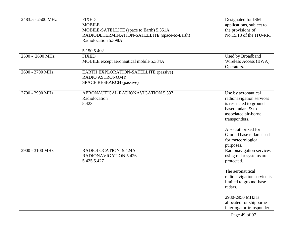| 2483.5 - 2500 MHz | <b>FIXED</b><br><b>MOBILE</b><br>MOBILE-SATELLITE (space to Earth) 5.351A<br>RADIODETERMINATION-SATELLITE (space-to-Earth)<br>Radiolocation 5.398A<br>5.150 5.402 | Designated for ISM<br>applications, subject to<br>the provisions of<br>No.15.13 of the ITU-RR.                                                                                                                                       |
|-------------------|-------------------------------------------------------------------------------------------------------------------------------------------------------------------|--------------------------------------------------------------------------------------------------------------------------------------------------------------------------------------------------------------------------------------|
| 2500 - 2690 MHz   | <b>FIXED</b><br>MOBILE except aeronautical mobile 5.384A                                                                                                          | Used by Broadband<br>Wireless Access (BWA)<br>Operators.                                                                                                                                                                             |
| 2690 - 2700 MHz   | EARTH EXPLORATION-SATELLITE (passive)<br><b>RADIO ASTRONOMY</b><br><b>SPACE RESEARCH (passive)</b>                                                                |                                                                                                                                                                                                                                      |
| 2700 - 2900 MHz   | AERONAUTICAL RADIONAVIGATION 5.337<br>Radiolocation<br>5.423                                                                                                      | Use by aeronautical<br>radionavigation services<br>is restricted to ground<br>based radars & to<br>associated air-borne<br>transponders.<br>Also authorized for<br>Ground base radars used<br>for meteorological<br>purposes.        |
| 2900 - 3100 MHz   | RADIOLOCATION 5.424A<br><b>RADIONAVIGATION 5.426</b><br>5.425 5.427                                                                                               | Radionavigation services<br>using radar systems are<br>protected.<br>The aeronautical<br>radionavigation service is<br>limited to ground-base<br>radars.<br>2930-2950 MHz is<br>allocated for shipborne<br>interrogator-transponder. |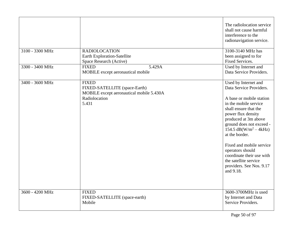|                 |                                                                                                                     | The radiolocation service<br>shall not cause harmful<br>interference to the<br>radionavigation service.                                                                                                                                                                                                                                                                                                       |
|-----------------|---------------------------------------------------------------------------------------------------------------------|---------------------------------------------------------------------------------------------------------------------------------------------------------------------------------------------------------------------------------------------------------------------------------------------------------------------------------------------------------------------------------------------------------------|
| 3100 - 3300 MHz | <b>RADIOLOCATION</b><br>Earth Exploration-Satellite<br>Space Research (Active)                                      | 3100-3140 MHz has<br>been assigned to for<br>Fixed Services.                                                                                                                                                                                                                                                                                                                                                  |
| 3300 - 3400 MHz | 5.429A<br><b>FIXED</b><br>MOBILE except aeronautical mobile                                                         | Used by Internet and<br>Data Service Providers.                                                                                                                                                                                                                                                                                                                                                               |
| 3400 - 3600 MHz | <b>FIXED</b><br>FIXED-SATELLITE (space-Earth)<br>MOBILE except aeronautical mobile 5.430A<br>Radiolocation<br>5.431 | Used by Internet and<br>Data Service Providers.<br>A base or mobile station<br>in the mobile service<br>shall ensure that the<br>power flux density<br>produced at 3m above<br>ground does not exceed -<br>154.5 dB(W/m <sup>2</sup> – 4kHz)<br>at the border.<br>Fixed and mobile service<br>operators should<br>coordinate their use with<br>the satellite service<br>providers. See Nos. 9.17<br>and 9.18. |
| 3600 - 4200 MHz | <b>FIXED</b><br>FIXED-SATELLITE (space-earth)<br>Mobile                                                             | 3600-3700MHz is used<br>by Internet and Data<br>Service Providers.                                                                                                                                                                                                                                                                                                                                            |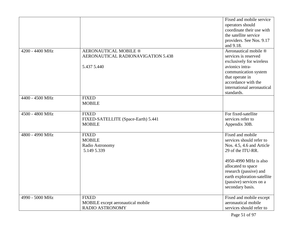|                 |                                                                                   | Fixed and mobile service<br>operators should<br>coordinate their use with<br>the satellite service<br>providers. See Nos. 9.17<br>and 9.18.                                                                                                           |
|-----------------|-----------------------------------------------------------------------------------|-------------------------------------------------------------------------------------------------------------------------------------------------------------------------------------------------------------------------------------------------------|
| 4200 - 4400 MHz | <b>AERONAUTICAL MOBILE ®</b><br>AERONAUTICAL RADIONAVIGATION 5.438<br>5.437 5.440 | Aeronautical mobile ®<br>services is reserved<br>exclusively for wireless<br>avionics intra-<br>communication system<br>that operate in<br>accordance with the<br>international aeronautical<br>standards.                                            |
| 4400 - 4500 MHz | <b>FIXED</b><br><b>MOBILE</b>                                                     |                                                                                                                                                                                                                                                       |
| 4500 - 4800 MHz | <b>FIXED</b><br>FIXED-SATELLITE (Space-Earth) 5.441<br><b>MOBILE</b>              | For fixed-satellite<br>services refer to<br>Appendix 30B.                                                                                                                                                                                             |
| 4800 - 4990 MHz | <b>FIXED</b><br><b>MOBILE</b><br>Radio Astronomy<br>5.149 5.339                   | Fixed and mobile<br>services should refer to<br>Nos. 4.5, 4.6 and Article<br>29 of the ITU-RR.<br>4950-4990 MHz is also<br>allocated to space<br>research (passive) and<br>earth exploration-satellite<br>(passive) services on a<br>secondary basis. |
| 4990 - 5000 MHz | <b>FIXED</b><br>MOBILE except aeronautical mobile<br><b>RADIO ASTRONOMY</b>       | Fixed and mobile except<br>aeronautical mobile<br>services should refer to                                                                                                                                                                            |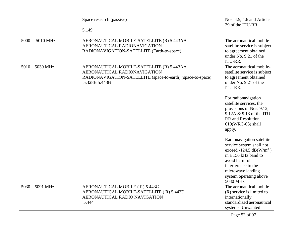|                           | Space research (passive)<br>5.149                                                                                                                         | Nos. 4.5, 4.6 and Article<br>29 of the ITU-RR.                                                                                                                                                                                                                                                                                                                                                                                                                                                               |
|---------------------------|-----------------------------------------------------------------------------------------------------------------------------------------------------------|--------------------------------------------------------------------------------------------------------------------------------------------------------------------------------------------------------------------------------------------------------------------------------------------------------------------------------------------------------------------------------------------------------------------------------------------------------------------------------------------------------------|
| $5000 - 5010 \text{ MHz}$ | AERONAUTICAL MOBILE-SATELLITE (R) 5.443AA<br>AERONAUTICAL RADIONAVIGATION<br>RADIONAVIGATION-SATELLITE (Earth-to-space)                                   | The aeronautical mobile-<br>satellite service is subject<br>to agreement obtained<br>under No. 9.21 of the<br><b>ITU-RR.</b>                                                                                                                                                                                                                                                                                                                                                                                 |
| $5010 - 5030$ MHz         | AERONAUTICAL MOBILE-SATELLITE (R) 5.443AA<br>AERONAUTICAL RADIONAVIGATION<br>RADIONAVIGATION-SATELLITE (space-to-earth) (space-to-space)<br>5.328B 5.443B | The aeronautical mobile-<br>satellite service is subject<br>to agreement obtained<br>under No. 9.21 of the<br>ITU-RR.<br>For radionavigation<br>satellite services, the<br>provisions of Nos. 9.12,<br>9.12A & 9.13 of the ITU-<br><b>RR</b> and Resolution<br>610(WRC-03) shall<br>apply.<br>Radionavigation satellite<br>service system shall not<br>exceed -124.5 $dB(W/m^2)$<br>in a 150 kHz band to<br>avoid harmful<br>interference to the<br>microwave landing<br>system operating above<br>5030 MHz. |
| $5030 - 5091$ MHz         | AERONAUTICAL MOBILE (R) 5.443C<br>AERONAUTICAL MOBILE-SATELLITE (R) 5.443D<br>AERONAUTICAL RADIO NAVIGATION<br>5.444                                      | The aeronautical mobile<br>(R) service is limited to<br>internationally<br>standardized aeronautical<br>systems. Unwanted                                                                                                                                                                                                                                                                                                                                                                                    |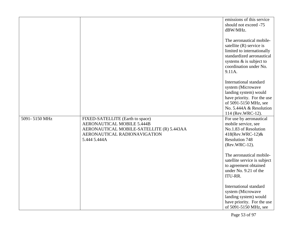|               |                                                                                                                                                                    | emissions of this service<br>should not exceed -75<br>dBW/MHz.<br>The aeronautical mobile-<br>satellite $(R)$ service is<br>limited to internationally<br>standardized aeronautical<br>systems $\&$ is subject to<br>coordination under No.<br>9.11A. |
|---------------|--------------------------------------------------------------------------------------------------------------------------------------------------------------------|-------------------------------------------------------------------------------------------------------------------------------------------------------------------------------------------------------------------------------------------------------|
|               |                                                                                                                                                                    | International standard<br>system (Microwave<br>landing system) would<br>have priority. For the use<br>of 5091-5150 MHz, see<br>No. 5.444A & Resolution<br>114 (Rev.WRC-12).                                                                           |
| 5091-5150 MHz | FIXED-SATELLITE (Earth to space)<br><b>AERONAUTICAL MOBILE 5.444B</b><br>AERONAUTICAL MOBILE-SATELLITE (R) 5.443AA<br>AERONAUTICAL RADIONAVIGATION<br>5.444 5.444A | For use by aeronautical<br>mobile service, see<br>No.1.83 of Resolution<br>$418$ (Rev.WRC-12) &<br><b>Resolution 748</b><br>(Rev.WRC-12).                                                                                                             |
|               |                                                                                                                                                                    | The aeronautical mobile-<br>satellite service is subject<br>to agreement obtained<br>under No. 9.21 of the<br>ITU-RR.                                                                                                                                 |
|               |                                                                                                                                                                    | International standard<br>system (Microwave<br>landing system) would<br>have priority. For the use<br>of 5091-5150 MHz, see                                                                                                                           |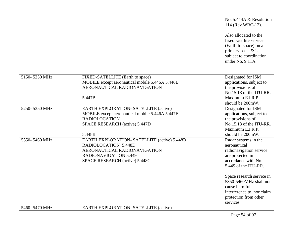|               |                                                                                                                                                                        | No. 5.444A & Resolution<br>114 (Rev.WRC-12).<br>Also allocated to the<br>fixed satellite service<br>(Earth-to-space) on a<br>primary basis $&$ is<br>subject to coordination<br>under No. $9.11A$ .                                                                            |
|---------------|------------------------------------------------------------------------------------------------------------------------------------------------------------------------|--------------------------------------------------------------------------------------------------------------------------------------------------------------------------------------------------------------------------------------------------------------------------------|
| 5150-5250 MHz | FIXED-SATELLITE (Earth to space)<br>MOBILE except aeronautical mobile 5.446A 5.446B<br>AERONAUTICAL RADIONAVIGATION<br>5.447B                                          | Designated for ISM<br>applications, subject to<br>the provisions of<br>No.15.13 of the ITU-RR.<br>Maximum E.I.R.P.<br>should be 200mW.                                                                                                                                         |
| 5250-5350 MHz | EARTH EXPLORATION- SATELLITE (active)<br>MOBILE except aeronautical mobile 5.446A 5.447F<br><b>RADIOLOCATION</b><br>SPACE RESEARCH (active) 5.447D<br>5.448B           | Designated for ISM<br>applications, subject to<br>the provisions of<br>No.15.13 of the ITU-RR.<br>Maximum E.I.R.P.<br>should be 200mW.                                                                                                                                         |
| 5350-5460 MHz | EARTH EXPLORATION- SATELLITE (active) 5.448B<br>RADIOLOCATION 5.448D<br>AERONAUTICAL RADIONAVIGATION<br><b>RADIONAVIGATION 5.449</b><br>SPACE RESEARCH (active) 5.448C | Radar systems in the<br>aeronautical<br>radionavigation service<br>are protected in<br>accordance with No.<br>5.449 of the ITU-RR.<br>Space research service in<br>5350-5460MHz shall not<br>cause harmful<br>interference to, nor claim<br>protection from other<br>services. |
| 5460-5470 MHz | <b>EARTH EXPLORATION- SATELLITE (active)</b>                                                                                                                           |                                                                                                                                                                                                                                                                                |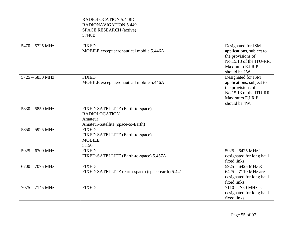|                           | <b>RADIOLOCATION 5.448D</b>                       |                          |
|---------------------------|---------------------------------------------------|--------------------------|
|                           | <b>RADIONAVIGATION 5.449</b>                      |                          |
|                           | SPACE RESEARCH (active)                           |                          |
|                           | 5.448B                                            |                          |
|                           |                                                   |                          |
| $5470 - 5725$ MHz         | <b>FIXED</b>                                      | Designated for ISM       |
|                           | MOBILE except aeronautical mobile 5.446A          | applications, subject to |
|                           |                                                   | the provisions of        |
|                           |                                                   | No.15.13 of the ITU-RR.  |
|                           |                                                   | Maximum E.I.R.P.         |
|                           |                                                   | should be 1W.            |
| $5725 - 5830$ MHz         | <b>FIXED</b>                                      | Designated for ISM       |
|                           | MOBILE except aeronautical mobile 5.446A          | applications, subject to |
|                           |                                                   | the provisions of        |
|                           |                                                   | No.15.13 of the ITU-RR.  |
|                           |                                                   | Maximum E.I.R.P.         |
|                           |                                                   | should be 4W.            |
| $5830 - 5850$ MHz         | FIXED-SATELLITE (Earth-to-space)                  |                          |
|                           | <b>RADIOLOCATION</b>                              |                          |
|                           | Amateur                                           |                          |
|                           | Amateur-Satellite (space-to-Earth)                |                          |
| $5850 - 5925$ MHz         | <b>FIXED</b>                                      |                          |
|                           | FIXED-SATELLITE (Earth-to-space)                  |                          |
|                           | <b>MOBILE</b>                                     |                          |
|                           | 5.150                                             |                          |
| $5925 - 6700 \text{ MHz}$ | <b>FIXED</b>                                      | $5925 - 6425$ MHz is     |
|                           | FIXED-SATELLITE (Earth-to-space) 5.457A           | designated for long haul |
|                           |                                                   | fixed links.             |
| $6700 - 7075$ MHz         | <b>FIXED</b>                                      | $5925 - 6425$ MHz &      |
|                           | FIXED-SATELLITE (earth-space) (space-earth) 5.441 | $6425 - 7110$ MHz are    |
|                           |                                                   | designated for long haul |
|                           |                                                   | fixed links.             |
| $7075 - 7145$ MHz         | <b>FIXED</b>                                      | 7110 - 7750 MHz is       |
|                           |                                                   | designated for long haul |
|                           |                                                   | fixed links.             |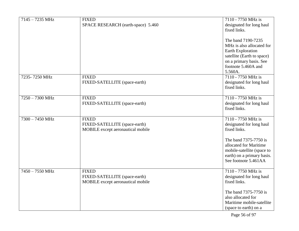| $7145 - 7235$ MHz | <b>FIXED</b><br>SPACE RESEARCH (earth-space) 5.460                                 | 7110 - 7750 MHz is<br>designated for long haul<br>fixed links.<br>The band 7190-7235<br>MHz is also allocated for<br><b>Earth Exploration</b><br>satellite (Earth to space)<br>on a primary basis. See<br>footnote 5.460A and<br>5.560A. |
|-------------------|------------------------------------------------------------------------------------|------------------------------------------------------------------------------------------------------------------------------------------------------------------------------------------------------------------------------------------|
| 7235-7250 MHz     | <b>FIXED</b><br>FIXED-SATELLITE (space-earth)                                      | 7110 - 7750 MHz is<br>designated for long haul<br>fixed links.                                                                                                                                                                           |
| $7250 - 7300$ MHz | <b>FIXED</b><br>FIXED-SATELLITE (space-earth)                                      | 7110 - 7750 MHz is<br>designated for long haul<br>fixed links.                                                                                                                                                                           |
| $7300 - 7450$ MHz | <b>FIXED</b><br>FIXED-SATELLITE (space-earth)<br>MOBILE except aeronautical mobile | 7110 - 7750 MHz is<br>designated for long haul<br>fixed links.<br>The band 7375-7750 is<br>allocated for Maritime<br>mobile-satellite (space to<br>earth) on a primary basis.<br>See footnote 5.461AA                                    |
| $7450 - 7550$ MHz | <b>FIXED</b><br>FIXED-SATELLITE (space-earth)<br>MOBILE except aeronautical mobile | 7110 - 7750 MHz is<br>designated for long haul<br>fixed links.<br>The band 7375-7750 is<br>also allocated for<br>Maritime mobile-satellite<br>(space to earth) on a                                                                      |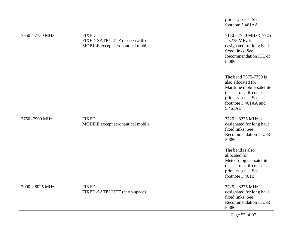|                           |                                                                                    | primary basis. See<br>footnote 5.461AA                                                                                                                     |
|---------------------------|------------------------------------------------------------------------------------|------------------------------------------------------------------------------------------------------------------------------------------------------------|
| $7550 - 7750 \text{ MHz}$ | <b>FIXED</b><br>FIXED-SATELLITE (space-earth)<br>MOBILE except aeronautical mobile | 7110 - 7750 MHz& 7725<br>$-8275$ MHz is<br>designated for long haul<br>fixed links. See<br><b>Recommendation ITU-R</b><br>F.386.                           |
|                           |                                                                                    | The band 7375-7750 is<br>also allocated for<br>Maritime mobile-satellite<br>(space to earth) on a<br>primary basis. See<br>footnote 5.461AA and<br>5.461AB |
| 7750 - 7900 MHz           | <b>FIXED</b><br>MOBILE except aeronautical mobile                                  | $7725 - 8275$ MHz is<br>designated for long haul<br>fixed links. See<br><b>Recommendation ITU-R</b><br>F.386.                                              |
|                           |                                                                                    | The band is also<br>allocated for<br>Meteorological-satellite<br>(space to earth) on a<br>primary basis. See<br>footnote 5.461B                            |
| $7900 - 8025 \text{ MHz}$ | <b>FIXED</b><br>FIXED-SATELLITE (earth-space)                                      | $7725 - 8275$ MHz is<br>designated for long haul<br>fixed links. See<br><b>Recommendation ITU-R</b><br>F.386.                                              |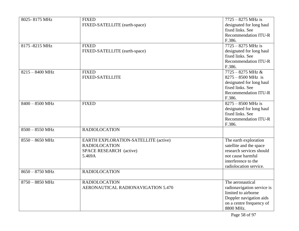| 8025-8175 MHz             | <b>FIXED</b>                         | $7725 - 8275$ MHz is        |
|---------------------------|--------------------------------------|-----------------------------|
|                           | FIXED-SATELLITE (earth-space)        | designated for long haul    |
|                           |                                      | fixed links. See            |
|                           |                                      | <b>Recommendation ITU-R</b> |
|                           |                                      | F.386.                      |
| 8175 - 8215 MHz           | <b>FIXED</b>                         | $7725 - 8275$ MHz is        |
|                           | FIXED-SATELLITE (earth-space)        | designated for long haul    |
|                           |                                      | fixed links. See            |
|                           |                                      | <b>Recommendation ITU-R</b> |
|                           |                                      | F.386.                      |
| $8215 - 8400 \text{ MHz}$ | <b>FIXED</b>                         | $7725 - 8275$ MHz &         |
|                           | <b>FIXED-SATELLITE</b>               | $8275 - 8500$ MHz is        |
|                           |                                      | designated for long haul    |
|                           |                                      | fixed links. See            |
|                           |                                      | <b>Recommendation ITU-R</b> |
|                           |                                      | F.386.                      |
| $8400 - 8500$ MHz         | <b>FIXED</b>                         | $8275 - 8500$ MHz is        |
|                           |                                      | designated for long haul    |
|                           |                                      | fixed links. See            |
|                           |                                      | <b>Recommendation ITU-R</b> |
|                           |                                      | F.386.                      |
| $8500 - 8550$ MHz         | <b>RADIOLOCATION</b>                 |                             |
|                           |                                      |                             |
| $8550 - 8650$ MHz         | EARTH EXPLORATION-SATELLITE (active) | The earth exploration       |
|                           | <b>RADIOLOCATION</b>                 | satellite and the space     |
|                           | SPACE RESEARCH (active)              | research services should    |
|                           | 5.469A                               | not cause harmful           |
|                           |                                      | interference to the         |
|                           |                                      | radiolocation service.      |
| $8650 - 8750$ MHz         | <b>RADIOLOCATION</b>                 |                             |
|                           |                                      |                             |
| $8750 - 8850$ MHz         | <b>RADIOLOCATION</b>                 | The aeronautical            |
|                           | AERONAUTICAL RADIONAVIGATION 5.470   | radionavigation service is  |
|                           |                                      | limited to airborne         |
|                           |                                      | Doppler navigation aids     |
|                           |                                      | on a centre frequency of    |
|                           |                                      | 8800 MHz.                   |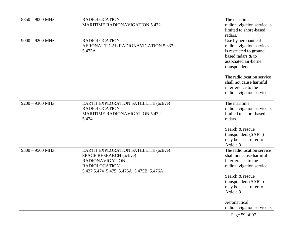| $8850 - 9000 \text{ MHz}$ | <b>RADIOLOCATION</b><br><b>MARITIME RADIONAVIGATION 5.472</b>                                                                                                      | The maritime<br>radionavigation service is<br>limited to shore-based<br>radars.                                                                                                                                                                     |
|---------------------------|--------------------------------------------------------------------------------------------------------------------------------------------------------------------|-----------------------------------------------------------------------------------------------------------------------------------------------------------------------------------------------------------------------------------------------------|
| $9000 - 9200$ MHz         | <b>RADIOLOCATION</b><br>AERONAUTICAL RADIONAVIGATION 5.337<br>5.473A                                                                                               | Use by aeronautical<br>radionavigation services<br>is restricted to ground<br>based radars & to<br>associated air-borne<br>transponders.<br>The radiolocation service<br>shall not cause harmful<br>interference to the<br>radionavigation service. |
| $9200 - 9300$ MHz         | <b>EARTH EXPLORATION SATELLITE (active)</b><br><b>RADIOLOCATION</b><br><b>MARITIME RADIONAVIGATION 5.472</b><br>5.474                                              | The maritime<br>radionavigation service is<br>limited to shore-based<br>radars.<br>Search & rescue<br>transponders (SART)<br>may be used, refer to<br>Article 31.                                                                                   |
| $9300 - 9500$ MHz         | EARTH EXPLORATION SATELLITE (active)<br><b>SPACE RESEARCH (active)</b><br><b>RADIONAVIGATION</b><br><b>RADIOLOCATION</b><br>5.427 5.474 5.475 5.475A 5.475B 5.476A | The radiolocation service<br>shall not cause harmful<br>interference to the<br>radionavigation service.<br>Search & rescue<br>transponders (SART)<br>may be used, refer to<br>Article 31.<br>Aeronautical<br>radionavigation service is             |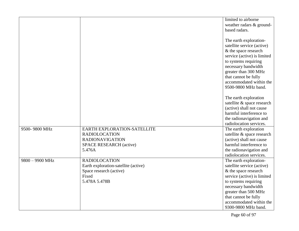|                 |                                      | limited to airborne         |
|-----------------|--------------------------------------|-----------------------------|
|                 |                                      | weather radars & ground-    |
|                 |                                      | based radars.               |
|                 |                                      |                             |
|                 |                                      | The earth exploration-      |
|                 |                                      | satellite service (active)  |
|                 |                                      | & the space research        |
|                 |                                      | service (active) is limited |
|                 |                                      | to systems requiring        |
|                 |                                      | necessary bandwidth         |
|                 |                                      | greater than 300 MHz        |
|                 |                                      | that cannot be fully        |
|                 |                                      | accommodated within the     |
|                 |                                      | 9500-9800 MHz band.         |
|                 |                                      |                             |
|                 |                                      | The earth exploration       |
|                 |                                      | satellite & space research  |
|                 |                                      | (active) shall not cause    |
|                 |                                      | harmful interference to     |
|                 |                                      | the radionavigation and     |
|                 |                                      | radiolocation services.     |
| 9500-9800 MHz   | EARTH EXPLORATION-SATELLITE          | The earth exploration       |
|                 | <b>RADIOLOCATION</b>                 | satellite & space research  |
|                 | <b>RADIONAVIGATION</b>               | (active) shall not cause    |
|                 | <b>SPACE RESEARCH (active)</b>       | harmful interference to     |
|                 | 5.476A                               | the radionavigation and     |
|                 |                                      | radiolocation services.     |
| 9800 - 9900 MHz | <b>RADIOLOCATION</b>                 | The earth exploration-      |
|                 | Earth exploration-satellite (active) | satellite service (active)  |
|                 | Space research (active)              | & the space research        |
|                 | Fixed                                | service (active) is limited |
|                 | 5.478A 5.478B                        | to systems requiring        |
|                 |                                      | necessary bandwidth         |
|                 |                                      | greater than 500 MHz        |
|                 |                                      | that cannot be fully        |
|                 |                                      | accommodated within the     |
|                 |                                      | 9300-9800 MHz band.         |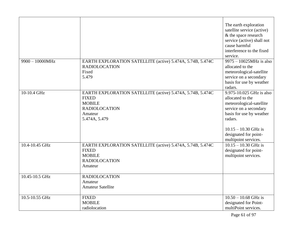|                 |                                                                            | The earth exploration               |
|-----------------|----------------------------------------------------------------------------|-------------------------------------|
|                 |                                                                            | satellite service (active)          |
|                 |                                                                            | & the space research                |
|                 |                                                                            | service (active) shall not          |
|                 |                                                                            | cause harmful                       |
|                 |                                                                            | interference to the fixed           |
|                 |                                                                            | service.                            |
| 9900 - 10000MHz | EARTH EXPLORATION SATELLITE (active) 5.474A, 5.74B, 5.474C                 | 9975 - 10025MHz is also             |
|                 | <b>RADIOLOCATION</b>                                                       | allocated to the                    |
|                 | Fixed                                                                      | meteorological-satellite            |
|                 | 5.479                                                                      | service on a secondary              |
|                 |                                                                            | basis for use by weather            |
| 10-10.4 GHz     |                                                                            | radars.<br>9.975-10.025 GHz is also |
|                 | EARTH EXPLORATION SATELLITE (active) 5.474A, 5.74B, 5.474C<br><b>FIXED</b> | allocated to the                    |
|                 | <b>MOBILE</b>                                                              |                                     |
|                 | <b>RADIOLOCATION</b>                                                       | meteorological-satellite            |
|                 | Amateur                                                                    | service on a secondary              |
|                 | 5.474A, 5.479                                                              | basis for use by weather<br>radars. |
|                 |                                                                            |                                     |
|                 |                                                                            | $10.15 - 10.30$ GHz is              |
|                 |                                                                            | designated for point-               |
|                 |                                                                            | multipoint services.                |
| 10.4-10.45 GHz  | EARTH EXPLORATION SATELLITE (active) 5.474A, 5.74B, 5.474C                 | $10.15 - 10.30$ GHz is              |
|                 | <b>FIXED</b>                                                               | designated for point-               |
|                 | <b>MOBILE</b>                                                              | multipoint services.                |
|                 | <b>RADIOLOCATION</b>                                                       |                                     |
|                 | Amateur                                                                    |                                     |
|                 |                                                                            |                                     |
| 10.45-10.5 GHz  | <b>RADIOLOCATION</b>                                                       |                                     |
|                 | Amateur                                                                    |                                     |
|                 | <b>Amateur Satellite</b>                                                   |                                     |
|                 |                                                                            |                                     |
| 10.5-10.55 GHz  | <b>FIXED</b>                                                               | $10.50 - 10.68$ GHz is              |
|                 | <b>MOBILE</b>                                                              | designated for Point-               |
|                 | radiolocation                                                              | multiPoint services.                |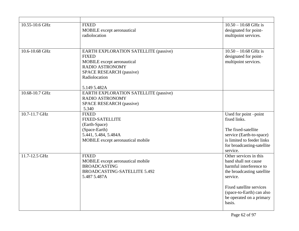| 10.55-10.6 GHz    | <b>FIXED</b>                                 | $10.50 - 10.68$ GHz is     |
|-------------------|----------------------------------------------|----------------------------|
|                   | MOBILE except aeronautical                   | designated for point-      |
|                   | radiolocation                                | multipoint services.       |
|                   |                                              |                            |
|                   |                                              |                            |
| 10.6-10.68 GHz    | <b>EARTH EXPLORATION SATELLITE (passive)</b> | $10.50 - 10.68$ GHz is     |
|                   | <b>FIXED</b>                                 | designated for point-      |
|                   | MOBILE except aeronautical                   | multipoint services.       |
|                   | <b>RADIO ASTRONOMY</b>                       |                            |
|                   | <b>SPACE RESEARCH (passive)</b>              |                            |
|                   | Radiolocation                                |                            |
|                   |                                              |                            |
|                   | 5.149 5.482A                                 |                            |
| 10.68-10.7 GHz    | <b>EARTH EXPLORATION SATELLITE (passive)</b> |                            |
|                   | RADIO ASTRONOMY                              |                            |
|                   | <b>SPACE RESEARCH (passive)</b>              |                            |
|                   | 5.340                                        |                            |
| $10.7 - 11.7$ GHz | <b>FIXED</b>                                 | Used for point -point      |
|                   | <b>FIXED-SATELLITE</b>                       | fixed links.               |
|                   | (Earth-Space)                                |                            |
|                   | (Space-Earth)                                | The fixed-satellite        |
|                   | 5.441, 5.484, 5.484A                         | service (Earth-to-space)   |
|                   | MOBILE except aeronautical mobile            | is limited to feeder links |
|                   |                                              | for broadcasting-satellite |
|                   |                                              | service.                   |
| 11.7-12.5 GHz     | <b>FIXED</b>                                 | Other services in this     |
|                   | MOBILE except aeronautical mobile            | band shall not cause       |
|                   | <b>BROADCASTING</b>                          | harmful interference to    |
|                   | <b>BROADCASTING-SATELLITE 5.492</b>          | the broadcasting satellite |
|                   | 5.487 5.487A                                 | service.                   |
|                   |                                              |                            |
|                   |                                              | Fixed satellite services   |
|                   |                                              | (space-to-Earth) can also  |
|                   |                                              | be operated on a primary   |
|                   |                                              | basis.                     |
|                   |                                              |                            |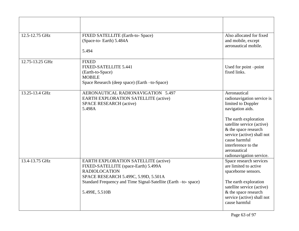| 12.5-12.75 GHz  | FIXED SATELLITE (Earth-to-Space)<br>(Space-to-Earth) 5.484A<br>5.494                                                                                                                                                             | Also allocated for fixed<br>and mobile, except<br>aeronautical mobile.                                                                                                                                                                                                                |
|-----------------|----------------------------------------------------------------------------------------------------------------------------------------------------------------------------------------------------------------------------------|---------------------------------------------------------------------------------------------------------------------------------------------------------------------------------------------------------------------------------------------------------------------------------------|
| 12.75-13.25 GHz | <b>FIXED</b><br>FIXED-SATELLITE 5.441<br>(Earth-to-Space)<br><b>MOBILE</b><br>Space Research (deep space) (Earth -to-Space)                                                                                                      | Used for point -point<br>fixed links.                                                                                                                                                                                                                                                 |
| 13.25-13.4 GHz  | AERONAUTICAL RADIONAVIGATION 5.497<br>EARTH EXPLORATION SATELLITE (active)<br><b>SPACE RESEARCH (active)</b><br>5.498A                                                                                                           | Aeronautical<br>radionavigation service is<br>limited to Doppler<br>navigation aids.<br>The earth exploration<br>satellite service (active)<br>& the space research<br>service (active) shall not<br>cause harmful<br>interference to the<br>aeronautical<br>radionavigation service. |
| 13.4-13.75 GHz  | EARTH EXPLORATION SATELLITE (active)<br>FIXED-SATELLITE (space-Earth) 5.499A<br><b>RADIOLOCATION</b><br>SPACE RESEARCH 5.499C, 5.99D, 5.501A<br>Standard Frequency and Time Signal-Satellite (Earth -to-space)<br>5.499E, 5.510B | Space research services<br>are limited to active<br>spaceborne sensors.<br>The earth exploration<br>satellite service (active)<br>& the space research<br>service (active) shall not<br>cause harmful                                                                                 |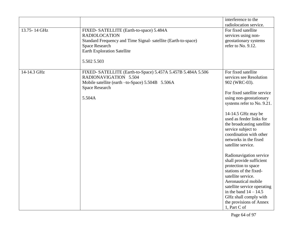|              |                                                                                                                                                                                                                 | interference to the<br>radiolocation service.                                                                                                                                                                                                                                                                                                                                                                                                                                                                                                                                                                              |
|--------------|-----------------------------------------------------------------------------------------------------------------------------------------------------------------------------------------------------------------|----------------------------------------------------------------------------------------------------------------------------------------------------------------------------------------------------------------------------------------------------------------------------------------------------------------------------------------------------------------------------------------------------------------------------------------------------------------------------------------------------------------------------------------------------------------------------------------------------------------------------|
| 13.75-14 GHz | FIXED- SATELLITE (Earth-to-space) 5.484A<br><b>RADIOLOCATION</b><br>Standard Frequency and Time Signal-satellite (Earth-to-space)<br><b>Space Research</b><br><b>Earth Exploration Satellite</b><br>5.502 5.503 | For fixed satellite<br>services using non-<br>geostationary systems<br>refer to No. 9.12.                                                                                                                                                                                                                                                                                                                                                                                                                                                                                                                                  |
| 14-14.3 GHz  | FIXED- SATELLITE (Earth-to-Space) 5.457A 5.457B 5.484A 5.506<br>RADIONAVIGATION 5.504<br>Mobile satellite (earth -to-Space) 5.504B 5.506A<br><b>Space Research</b><br>5.504A                                    | For fixed satellite<br>services see Resolution<br>902 (WRC-03).<br>For fixed satellite service<br>using non-geostationary<br>systems refer to No. 9.21.<br>14-14.5 GHz may be<br>used as feeder links for<br>the broadcasting satellite<br>service subject to<br>coordination with other<br>networks in the fixed<br>satellite service.<br>Radionavigation service<br>shall provide sufficient<br>protection to space<br>stations of the fixed-<br>satellite service.<br>Aeronautical mobile<br>satellite service operating<br>in the band $14 - 14.5$<br>GHz shall comply with<br>the provisions of Annex<br>1, Part C of |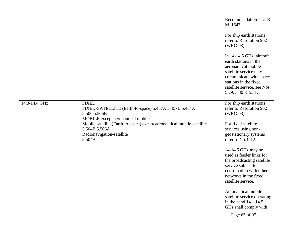|                 |                                                                                                                                                                                                                                                              | <b>Recommendation ITU-R</b><br>M. 1643.<br>For ship earth stations<br>refer to Resolution 902<br>(WRC-03).<br>In 14-14.5 GHz, aircraft<br>earth stations in the<br>aeronautical mobile<br>satellite service may<br>communicate with space<br>stations in the fixed<br>satellite service, see Nos.<br>5.29, 5.30 & 5.31.                                                                                                                                |
|-----------------|--------------------------------------------------------------------------------------------------------------------------------------------------------------------------------------------------------------------------------------------------------------|--------------------------------------------------------------------------------------------------------------------------------------------------------------------------------------------------------------------------------------------------------------------------------------------------------------------------------------------------------------------------------------------------------------------------------------------------------|
| 14.3-14.4 $GHz$ | <b>FIXED</b><br>FIXED-SATELLITE (Earth-to-space) 5.457A 5.457B 5.484A<br>5.506 5.506B<br>MOBILE except aeronautical mobile<br>Mobile satellite (Earth-to-space) except aeronautical mobile-satellite<br>5.504B 5.506A<br>Radionavigation-satellite<br>5.504A | For ship earth stations<br>refer to Resolution 902<br>(WRC-03).<br>For fixed satellite<br>services using non-<br>geostationary systems<br>refer to No. 9.12.<br>14-14.5 GHz may be<br>used as feeder links for<br>the broadcasting satellite<br>service subject to<br>coordination with other<br>networks in the fixed<br>satellite service.<br>Aeronautical mobile<br>satellite service operating<br>in the band $14 - 14.5$<br>GHz shall comply with |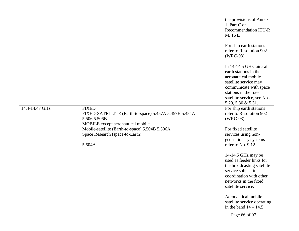|                |                                                                                                                                                                                                                            | the provisions of Annex<br>1, Part C of<br>Recommendation ITU-R<br>M. 1643.<br>For ship earth stations<br>refer to Resolution 902<br>(WRC-03).                                                                                                                                                                                                                                                                                |
|----------------|----------------------------------------------------------------------------------------------------------------------------------------------------------------------------------------------------------------------------|-------------------------------------------------------------------------------------------------------------------------------------------------------------------------------------------------------------------------------------------------------------------------------------------------------------------------------------------------------------------------------------------------------------------------------|
|                |                                                                                                                                                                                                                            | In 14-14.5 GHz, aircraft<br>earth stations in the<br>aeronautical mobile<br>satellite service may<br>communicate with space<br>stations in the fixed<br>satellite service, see Nos.<br>5.29, 5.30 & 5.31.                                                                                                                                                                                                                     |
| 14.4-14.47 GHz | <b>FIXED</b><br>FIXED-SATELLITE (Earth-to-space) 5.457A 5.457B 5.484A<br>5.506 5.506B<br>MOBILE except aeronautical mobile<br>Mobile-satellite (Earth-to-space) 5.504B 5.506A<br>Space Research (space-to-Earth)<br>5.504A | For ship earth stations<br>refer to Resolution 902<br>(WRC-03).<br>For fixed satellite<br>services using non-<br>geostationary systems<br>refer to No. 9.12.<br>14-14.5 GHz may be<br>used as feeder links for<br>the broadcasting satellite<br>service subject to<br>coordination with other<br>networks in the fixed<br>satellite service.<br>Aeronautical mobile<br>satellite service operating<br>in the band $14 - 14.5$ |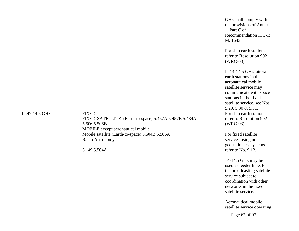|                |                                                                                                                                                                                                                  | GHz shall comply with<br>the provisions of Annex<br>1, Part C of<br><b>Recommendation ITU-R</b><br>M. 1643.<br>For ship earth stations<br>refer to Resolution 902<br>(WRC-03).                                                                                                                |
|----------------|------------------------------------------------------------------------------------------------------------------------------------------------------------------------------------------------------------------|-----------------------------------------------------------------------------------------------------------------------------------------------------------------------------------------------------------------------------------------------------------------------------------------------|
|                |                                                                                                                                                                                                                  | In 14-14.5 GHz, aircraft<br>earth stations in the<br>aeronautical mobile<br>satellite service may<br>communicate with space<br>stations in the fixed<br>satellite service, see Nos.<br>5.29, 5.30 & 5.31.                                                                                     |
| 14.47-14.5 GHz | <b>FIXED</b><br>FIXED-SATELLITE (Earth-to-space) 5.457A 5.457B 5.484A<br>5.506 5.506B<br>MOBILE except aeronautical mobile<br>Mobile satellite (Earth-to-space) 5.504B 5.506A<br>Radio Astronomy<br>5.149 5.504A | For ship earth stations<br>refer to Resolution 902<br>(WRC-03).<br>For fixed satellite<br>services using non-<br>geostationary systems<br>refer to No. 9.12.<br>14-14.5 GHz may be<br>used as feeder links for<br>the broadcasting satellite<br>service subject to<br>coordination with other |
|                |                                                                                                                                                                                                                  | networks in the fixed<br>satellite service.<br>Aeronautical mobile<br>satellite service operating                                                                                                                                                                                             |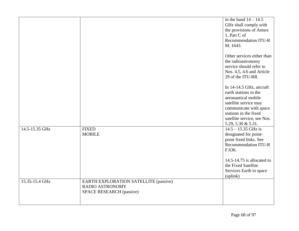|                |                                                                                                    | in the band $14 - 14.5$<br>GHz shall comply with<br>the provisions of Annex<br>1, Part C of<br><b>Recommendation ITU-R</b><br>M. 1643.                                                                        |
|----------------|----------------------------------------------------------------------------------------------------|---------------------------------------------------------------------------------------------------------------------------------------------------------------------------------------------------------------|
|                |                                                                                                    | Other services either than<br>the radioastronomy<br>service should refer to<br>Nos. 4.5, 4.6 and Article<br>29 of the ITU-RR.                                                                                 |
|                |                                                                                                    | In 14-14.5 GHz, aircraft<br>earth stations in the<br>aeronautical mobile<br>satellite service may<br>communicate with space<br>stations in the fixed<br>satellite service, see Nos.<br>5.29, 5.30 & 5.31.     |
| 14.5-15.35 GHz | <b>FIXED</b><br><b>MOBILE</b>                                                                      | $14.5 - 15.35$ GHz is<br>designated for point-<br>point fixed links. See<br><b>Recommendation ITU-R</b><br>F.636.<br>14.5-14.75 is allocated to<br>the Fixed Satellite<br>Services Earth to space<br>(uplink) |
| 15.35-15.4 GHz | EARTH EXPLORATION SATELLITE (passive)<br><b>RADIO ASTRONOMY</b><br><b>SPACE RESEARCH (passive)</b> |                                                                                                                                                                                                               |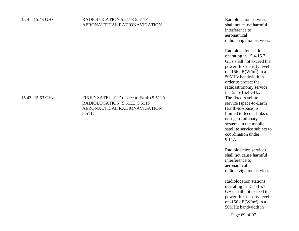| $15.4 - 15.43$ GHz | RADIOLOCATION 5.511E 5.511F<br>AERONAUTICAL RADIONAVIGATION                                                      | Radiolocation services<br>shall not cause harmful<br>interference to<br>aeronautical<br>radionavigation services.<br>Radiolocation stations<br>operating in 15.4-15.7<br>GHz shall not exceed the<br>power flux-density level<br>of -156 $dB(W/m^2)$ in a<br>50MHz bandwidth in<br>order to protect the<br>radioastronomy service<br>in 15.35-15.4 GHz. |
|--------------------|------------------------------------------------------------------------------------------------------------------|---------------------------------------------------------------------------------------------------------------------------------------------------------------------------------------------------------------------------------------------------------------------------------------------------------------------------------------------------------|
| 15.43-15.63 GHz    | FIXED-SATELLITE (space to Earth) 5.511A<br>RADIOLOCATION 5.511E 5.511F<br>AERONAUTICAL RADIONAVIGATION<br>5.511C | The fixed-satellite<br>service (space-to-Earth)<br>(Earth-to-space) is<br>limited to feeder links of<br>non-geostationary<br>systems in the mobile<br>satellite service subject to<br>coordination under<br>9.11A.                                                                                                                                      |
|                    |                                                                                                                  | Radiolocation services<br>shall not cause harmful<br>interference to<br>aeronautical<br>radionavigation services.                                                                                                                                                                                                                                       |
|                    |                                                                                                                  | Radiolocation stations<br>operating in 15.4-15.7<br>GHz shall not exceed the<br>power flux-density level<br>of -156 dB(W/m <sup>2</sup> ) in a<br>50MHz bandwidth in                                                                                                                                                                                    |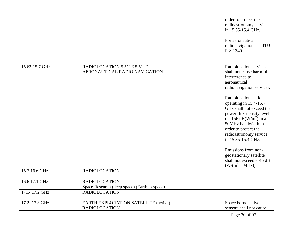|                |                                                                      | order to protect the<br>radioastronomy service<br>in 15.35-15.4 GHz.<br>For aeronautical<br>radionavigation, see ITU-<br>R S.1340.                                                                                                                                                                                                                                                                                                                          |
|----------------|----------------------------------------------------------------------|-------------------------------------------------------------------------------------------------------------------------------------------------------------------------------------------------------------------------------------------------------------------------------------------------------------------------------------------------------------------------------------------------------------------------------------------------------------|
| 15.63-15.7 GHz | RADIOLOCATION 5.511E 5.511F<br>AERONAUTICAL RADIO NAVIGATION         | Radiolocation services<br>shall not cause harmful<br>interference to<br>aeronautical<br>radionavigation services.<br>Radiolocation stations<br>operating in 15.4-15.7<br>GHz shall not exceed the<br>power flux-density level<br>of -156 $dB(W/m^2)$ in a<br>50MHz bandwidth in<br>order to protect the<br>radioastronomy service<br>in 15.35-15.4 GHz.<br>Emissions from non-<br>geostationary satellite<br>shall not exceed -146 dB<br>$(W/(m^2 - MHz)).$ |
| 15.7-16.6 GHz  | <b>RADIOLOCATION</b>                                                 |                                                                                                                                                                                                                                                                                                                                                                                                                                                             |
| 16.6-17.1 GHz  | <b>RADIOLOCATION</b><br>Space Research (deep space) (Earth to-space) |                                                                                                                                                                                                                                                                                                                                                                                                                                                             |
| 17.1-17.2 GHz  | <b>RADIOLOCATION</b>                                                 |                                                                                                                                                                                                                                                                                                                                                                                                                                                             |
| 17.2-17.3 GHz  | EARTH EXPLORATION SATELLITE (active)<br><b>RADIOLOCATION</b>         | Space borne active<br>sensors shall not cause                                                                                                                                                                                                                                                                                                                                                                                                               |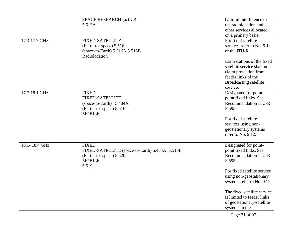|               | <b>SPACE RESEARCH (active)</b><br>5.513A                                                                           | harmful interference to<br>the radiolocation and<br>other services allocated<br>on a primary basis.                                                                                                                                                                                           |
|---------------|--------------------------------------------------------------------------------------------------------------------|-----------------------------------------------------------------------------------------------------------------------------------------------------------------------------------------------------------------------------------------------------------------------------------------------|
| 17.3-17.7 GHz | <b>FIXED-SATELLITE</b><br>(Earth-to-space) 5.516<br>(space-to-Earth) 5.516A 5.516B<br>Radiolocation                | For fixed satellite<br>services refer to No. 9.12<br>of the ITU-R.<br>Earth stations of the fixed<br>satellite service shall not<br>claim protection from                                                                                                                                     |
|               |                                                                                                                    | feeder links of the<br>Broadcasting satellite<br>service.                                                                                                                                                                                                                                     |
| 17.7-18.1 GHz | <b>FIXED</b><br><b>FIXED-SATELLITE</b><br>(space-to-Earth) 5.484A<br>(Earth-to-space) 5.516<br><b>MOBILE</b>       | Designated for point-<br>point fixed links. See<br><b>Recommendation ITU-R</b><br>F.595.<br>For fixed satellite<br>services using non-<br>geostationary systems<br>refer to No. 9.12.                                                                                                         |
| 18.1-18.4 GHz | <b>FIXED</b><br>FIXED-SATELLITE (space-to-Earth) 5.484A 5.516B<br>(Earth-to-space) 5.520<br><b>MOBILE</b><br>5.519 | Designated for point-<br>point fixed links. See<br><b>Recommendation ITU-R</b><br>F.595.<br>For fixed satellite service<br>using non-geostationary<br>systems refer to No. 9.12.<br>The fixed satellite service<br>is limited to feeder links<br>of geostationary-satellite<br>systems in the |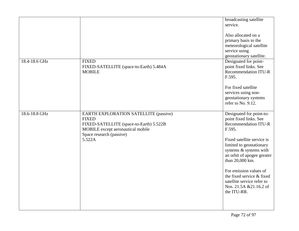|               |                                         | broadcasting satellite      |
|---------------|-----------------------------------------|-----------------------------|
|               |                                         | service.                    |
|               |                                         |                             |
|               |                                         | Also allocated on a         |
|               |                                         | primary basis to the        |
|               |                                         | meteorological satellite    |
|               |                                         | service using               |
|               |                                         | geostationary satellite.    |
| 18.4-18.6 GHz | <b>FIXED</b>                            | Designated for point-       |
|               | FIXED-SATELLITE (space-to-Earth) 5.484A | point fixed links. See      |
|               | <b>MOBILE</b>                           | <b>Recommendation ITU-R</b> |
|               |                                         | F.595.                      |
|               |                                         |                             |
|               |                                         | For fixed satellite         |
|               |                                         | services using non-         |
|               |                                         | geostationary systems       |
|               |                                         | refer to No. 9.12.          |
|               |                                         |                             |
| 18.6-18.8 GHz | EARTH EXPLORATION SATELLITE (passive)   | Designated for point-to-    |
|               | <b>FIXED</b>                            | point fixed links. See      |
|               | FIXED-SATELLITE (space-to-Earth) 5.522B | <b>Recommendation ITU-R</b> |
|               | MOBILE except aeronautical mobile       | F.595.                      |
|               | Space research (passive)                |                             |
|               | 5.522A                                  | Fixed satellite service is  |
|               |                                         | limited to geostationary    |
|               |                                         | systems & systems with      |
|               |                                         | an orbit of apogee greater  |
|               |                                         | than 20,000 km.             |
|               |                                         |                             |
|               |                                         | For emission values of      |
|               |                                         | the fixed service & fixed   |
|               |                                         | satellite service refer to  |
|               |                                         | Nos. 21.5A & 21.16.2 of     |
|               |                                         | the ITU-RR.                 |
|               |                                         |                             |
|               |                                         |                             |
|               |                                         |                             |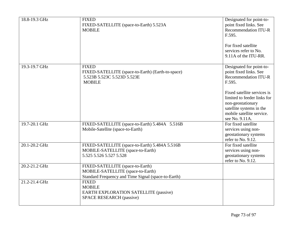| 18.8-19.3 GHz | <b>FIXED</b><br>FIXED-SATELLITE (space-to-Earth) 5.523A<br><b>MOBILE</b>                                                     | Designated for point-to-<br>point fixed links. See<br><b>Recommendation ITU-R</b><br>F.595.<br>For fixed satellite<br>services refer to No.<br>9.11A of the ITU-RR.                                                                                |
|---------------|------------------------------------------------------------------------------------------------------------------------------|----------------------------------------------------------------------------------------------------------------------------------------------------------------------------------------------------------------------------------------------------|
| 19.3-19.7 GHz | <b>FIXED</b><br>FIXED-SATELLITE (space-to-Earth) (Earth-to-space)<br>5.523B 5.523C 5.523D 5.523E<br><b>MOBILE</b>            | Designated for point-to-<br>point fixed links. See<br>Recommendation ITU-R<br>F.595.<br>Fixed satellite services is<br>limited to feeder links for<br>non-geostationary<br>satellite systems in the<br>mobile satellite service.<br>see No. 9.11A. |
| 19.7-20.1 GHz | FIXED-SATELLITE (space-to-Earth) 5.484A 5.516B<br>Mobile-Satellite (space-to-Earth)                                          | For fixed satellite<br>services using non-<br>geostationary systems<br>refer to No. 9.12.                                                                                                                                                          |
| 20.1-20.2 GHz | FIXED-SATELLITE (space-to-Earth) 5.484A 5.516B<br>MOBILE-SATELLITE (space-to-Earth)<br>5.525 5.526 5.527 5.528               | For fixed satellite<br>services using non-<br>geostationary systems<br>refer to No. 9.12.                                                                                                                                                          |
| 20.2-21.2 GHz | FIXED-SATELLITE (space-to-Earth)<br>MOBILE-SATELLITE (space-to-Earth)<br>Standard Frequency and Time Signal (space-to-Earth) |                                                                                                                                                                                                                                                    |
| 21.2-21.4 GHz | <b>FIXED</b><br><b>MOBILE</b><br><b>EARTH EXPLORATION SATELLITE (passive)</b><br><b>SPACE RESEARCH (passive)</b>             |                                                                                                                                                                                                                                                    |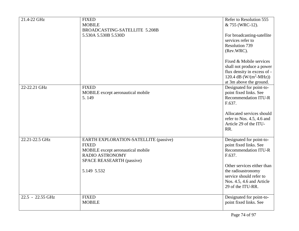| 21.4-22 GHz                | <b>FIXED</b><br><b>MOBILE</b><br><b>BROADCASTING-SATELLITE 5.208B</b><br>5.530A 5.530B 5.530D                                                                    | Refer to Resolution 555<br>& 755 (WRC-12).<br>For broadcasting-satellite<br>services refer to<br><b>Resolution 739</b><br>(Rev.WRC).<br>Fixed & Mobile services<br>shall not produce a power<br>flux density in excess of -<br>120.4 dB $(W/(m^2-MHz))$<br>at 3m above the ground. |
|----------------------------|------------------------------------------------------------------------------------------------------------------------------------------------------------------|------------------------------------------------------------------------------------------------------------------------------------------------------------------------------------------------------------------------------------------------------------------------------------|
| 22-22.21 GHz               | <b>FIXED</b><br>MOBILE except aeronautical mobile<br>5.149                                                                                                       | Designated for point-to-<br>point fixed links. See<br><b>Recommendation ITU-R</b><br>F.637.<br>Allocated services should<br>refer to Nos. 4.5, 4.6 and<br>Article 29 of the ITU-<br>RR.                                                                                            |
| 22.21-22.5 GHz             | EARTH EXPLORATION-SATELLITE (passive)<br><b>FIXED</b><br>MOBILE except aeronautical mobile<br><b>RADIO ASTRONOMY</b><br>SPACE REASEARTH (passive)<br>5.149 5.532 | Designated for point-to-<br>point fixed links. See<br><b>Recommendation ITU-R</b><br>F.637.<br>Other services either than<br>the radioastronomy<br>service should refer to<br>Nos. 4.5, 4.6 and Article<br>29 of the ITU-RR.                                                       |
| $22.5 - 22.55 \text{ GHz}$ | <b>FIXED</b><br><b>MOBILE</b>                                                                                                                                    | Designated for point-to-<br>point fixed links. See                                                                                                                                                                                                                                 |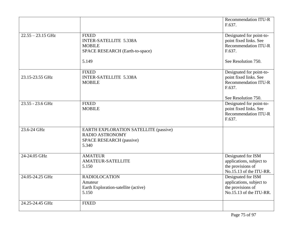|                     |                                                                                                             | <b>Recommendation ITU-R</b><br>F.637.                                                                              |
|---------------------|-------------------------------------------------------------------------------------------------------------|--------------------------------------------------------------------------------------------------------------------|
| $22.55 - 23.15$ GHz | <b>FIXED</b><br><b>INTER-SATELLITE 5.338A</b><br><b>MOBILE</b><br>SPACE RESEARCH (Earth-to-space)<br>5.149  | Designated for point-to-<br>point fixed links. See<br>Recommendation ITU-R<br>F.637.<br>See Resolution 750.        |
|                     |                                                                                                             |                                                                                                                    |
| 23.15-23.55 GHz     | <b>FIXED</b><br>INTER-SATELLITE 5.338A<br><b>MOBILE</b>                                                     | Designated for point-to-<br>point fixed links. See<br><b>Recommendation ITU-R</b><br>F.637.                        |
| 23.55 - 23.6 GHz    | <b>FIXED</b><br><b>MOBILE</b>                                                                               | See Resolution 750.<br>Designated for point-to-<br>point fixed links. See<br><b>Recommendation ITU-R</b><br>F.637. |
| 23.6-24 GHz         | <b>EARTH EXPLORATION SATELLITE (passive)</b><br><b>RADIO ASTRONOMY</b><br>SPACE RESEARCH (passive)<br>5.340 |                                                                                                                    |
| 24-24.05 GHz        | <b>AMATEUR</b><br><b>AMATEUR-SATELLITE</b><br>5.150                                                         | Designated for ISM<br>applications, subject to<br>the provisions of<br>No.15.13 of the ITU-RR.                     |
| 24.05-24.25 GHz     | <b>RADIOLOCATION</b><br>Amateur<br>Earth Exploration-satellite (active)<br>5.150                            | Designated for ISM<br>applications, subject to<br>the provisions of<br>No.15.13 of the ITU-RR.                     |
| 24.25-24.45 GHz     | <b>FIXED</b>                                                                                                |                                                                                                                    |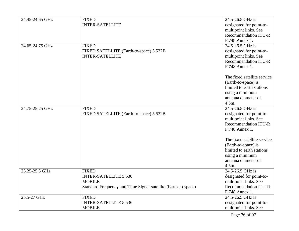| 24.45-24.65 GHz | <b>FIXED</b>                                                  | 24.5-26.5 GHz is            |
|-----------------|---------------------------------------------------------------|-----------------------------|
|                 | <b>INTER-SATELLITE</b>                                        | designated for point-to-    |
|                 |                                                               | multipoint links. See       |
|                 |                                                               | Recommendation ITU-R        |
|                 |                                                               | F.748 Annex 1.              |
| 24.65-24.75 GHz | <b>FIXED</b>                                                  | 24.5-26.5 GHz is            |
|                 | FIXED SATELLITE (Earth-to-space) 5.532B                       | designated for point-to-    |
|                 | <b>INTER-SATELLITE</b>                                        | multipoint links. See       |
|                 |                                                               | <b>Recommendation ITU-R</b> |
|                 |                                                               | F.748 Annex 1.              |
|                 |                                                               | The fixed satellite service |
|                 |                                                               | (Earth-to-space) is         |
|                 |                                                               | limited to earth stations   |
|                 |                                                               | using a minimum             |
|                 |                                                               | antenna diameter of         |
|                 |                                                               | $4.5m$ .                    |
| 24.75-25.25 GHz | <b>FIXED</b>                                                  | 24.5-26.5 GHz is            |
|                 | FIXED SATELLITE (Earth-to-space) 5.532B                       | designated for point-to-    |
|                 |                                                               | multipoint links. See       |
|                 |                                                               | <b>Recommendation ITU-R</b> |
|                 |                                                               | F.748 Annex 1.              |
|                 |                                                               | The fixed satellite service |
|                 |                                                               | (Earth-to-space) is         |
|                 |                                                               | limited to earth stations   |
|                 |                                                               | using a minimum             |
|                 |                                                               | antenna diameter of         |
|                 |                                                               | $4.5m$ .                    |
| 25.25-25.5 GHz  | <b>FIXED</b>                                                  | 24.5-26.5 GHz is            |
|                 | <b>INTER-SATELLITE 5.536</b>                                  | designated for point-to-    |
|                 | <b>MOBILE</b>                                                 | multipoint links. See       |
|                 | Standard Frequency and Time Signal-satellite (Earth-to-space) | Recommendation ITU-R        |
|                 |                                                               | F.748 Annex 1.              |
| 25.5-27 GHz     | <b>FIXED</b>                                                  | 24.5-26.5 GHz is            |
|                 | <b>INTER-SATELLITE 5.536</b>                                  | designated for point-to-    |
|                 | <b>MOBILE</b>                                                 | multipoint links. See       |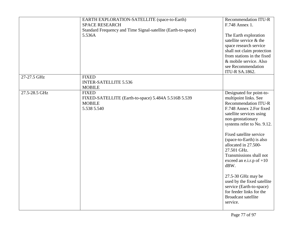|               | EARTH EXPLORATION-SATELLITE (space-to-Earth)<br><b>SPACE RESEARCH</b><br>Standard Frequency and Time Signal-satellite (Earth-to-space)<br>5.536A | <b>Recommendation ITU-R</b><br>F.748 Annex 1.<br>The Earth exploration<br>satellite service & the<br>space research service<br>shall not claim protection<br>from stations in the fixed<br>& mobile service. Also<br>see Recommendation<br><b>ITU-R SA.1862.</b>                                                                                                                                                                                                                                          |
|---------------|--------------------------------------------------------------------------------------------------------------------------------------------------|-----------------------------------------------------------------------------------------------------------------------------------------------------------------------------------------------------------------------------------------------------------------------------------------------------------------------------------------------------------------------------------------------------------------------------------------------------------------------------------------------------------|
| 27-27.5 GHz   | <b>FIXED</b><br><b>INTER-SATELLITE 5.536</b><br><b>MOBILE</b>                                                                                    |                                                                                                                                                                                                                                                                                                                                                                                                                                                                                                           |
| 27.5-28.5 GHz | <b>FIXED</b><br>FIXED-SATELLITE (Earth-to-space) 5.484A 5.516B 5.539<br><b>MOBILE</b><br>5.538 5.540                                             | Designated for point-to-<br>multipoint links. See<br>Recommendation ITU-R<br>F.748 Annex 2.For fixed<br>satellite services using<br>non-geostationary<br>systems refer to No. 9.12.<br>Fixed satellite service<br>(space-to-Earth) is also<br>allocated in 27.500-<br>27.501 GHz.<br>Transmissions shall not<br>exceed an e.i.r.p of $+10$<br>dBW.<br>27.5-30 GHz may be<br>used by the fixed satellite<br>service (Earth-to-space)<br>for feeder links for the<br><b>Broadcast satellite</b><br>service. |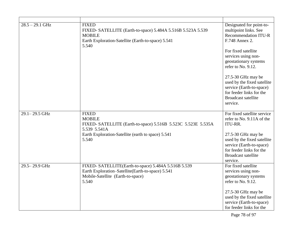| $28.5 - 29.1$ GHz | <b>FIXED</b><br>FIXED- SATELLITE (Earth-to-space) 5.484A 5.516B 5.523A 5.539<br><b>MOBILE</b><br>Earth Exploration-Satellite (Earth-to-space) 5.541<br>5.540                  | Designated for point-to-<br>multipoint links. See<br><b>Recommendation ITU-R</b><br>F.748 Annex 2.<br>For fixed satellite<br>services using non-<br>geostationary systems<br>refer to No. 9.12.<br>27.5-30 GHz may be<br>used by the fixed satellite<br>service (Earth-to-space)<br>for feeder links for the<br><b>Broadcast satellite</b><br>service. |
|-------------------|-------------------------------------------------------------------------------------------------------------------------------------------------------------------------------|--------------------------------------------------------------------------------------------------------------------------------------------------------------------------------------------------------------------------------------------------------------------------------------------------------------------------------------------------------|
| 29.1-29.5 GHz     | <b>FIXED</b><br><b>MOBILE</b><br>FIXED- SATELLITE (Earth-to-space) 5.516B 5.523C 5.523E 5.535A<br>5.539 5.541A<br>Earth Exploration-Satellite (earth to space) 5.541<br>5.540 | For fixed satellite service<br>refer to No. 9.11A of the<br><b>ITU-RR.</b><br>27.5-30 GHz may be<br>used by the fixed satellite<br>service (Earth-to-space)<br>for feeder links for the<br><b>Broadcast satellite</b><br>service.                                                                                                                      |
| 29.5-29.9 GHz     | FIXED- SATELLITE(Earth-to-space) 5.484A 5.516B 5.539<br>Earth Exploration-Satellite (Earth-to-space) 5.541<br>Mobile-Satellite (Earth-to-space)<br>5.540                      | For fixed satellite<br>services using non-<br>geostationary systems<br>refer to No. 9.12.<br>27.5-30 GHz may be<br>used by the fixed satellite<br>service (Earth-to-space)<br>for feeder links for the                                                                                                                                                 |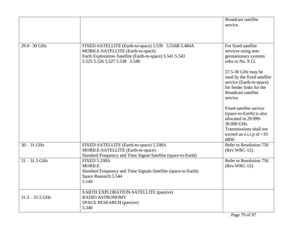|                   |                                                                                                                                                                                        | <b>Broadcast satellite</b><br>service.                                                                                                                                                                                                                                                                                                                                    |
|-------------------|----------------------------------------------------------------------------------------------------------------------------------------------------------------------------------------|---------------------------------------------------------------------------------------------------------------------------------------------------------------------------------------------------------------------------------------------------------------------------------------------------------------------------------------------------------------------------|
| 29.9-30 GHz       | FIXED-SATELLITE (Earth-to-space) 5.539 5.516B 5.484A<br>MOBILE-SATELLITE (Earth-to-space)<br>Earth Exploration-Satellite (Earth-to-space) 5.541 5.543<br>5.525 5.526 5.527 5.538 5.540 | For fixed satellite<br>services using non-<br>geostationary systems<br>refer to No. 9.12.<br>27.5-30 GHz may be<br>used by the fixed satellite<br>service (Earth-to-space)<br>for feeder links for the<br><b>Broadcast satellite</b><br>service.<br>Fixed satellite service<br>(space-to-Earth) is also<br>allocated in 29.999-<br>30.000 GHz.<br>Transmissions shall not |
|                   |                                                                                                                                                                                        | exceed an e.i.r.p of $+10$<br>dBW.                                                                                                                                                                                                                                                                                                                                        |
| $30 - 31$ GHz     | FIXED-SATELLITE (Earth-to-space) 5.338A<br>MOBILE-SATELLITE (Earth-to-space)<br>Standard Frequency and Time Signal-Satellite (space-to-Earth)                                          | Refer to Resolution 750<br>(Rev.WRC-12).                                                                                                                                                                                                                                                                                                                                  |
| $31 - 31.3$ GHz   | <b>FIXED 5.338A</b><br><b>MOBILE</b><br>Standard Frequency and Time Signals-Satellite (space-to-Earth)<br>Space Research 5.544<br>5.149                                                | Refer to Resolution 750<br>(Rev.WRC-12).                                                                                                                                                                                                                                                                                                                                  |
| $31.3 - 31.5$ GHz | EARTH EXPLORATION-SATELLITE (passive)<br><b>RADIO ASTRONOMY</b><br><b>SPACE RESEARCH (passive)</b><br>5.340                                                                            |                                                                                                                                                                                                                                                                                                                                                                           |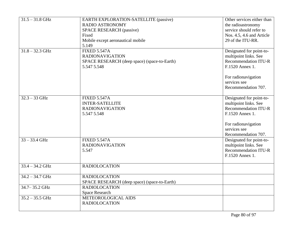| $31.5 - 31.8$ GHz       | <b>EARTH EXPLORATION-SATELLITE (passive)</b><br>RADIO ASTRONOMY<br><b>SPACE RESEARCH (passive)</b><br>Fixed<br>Mobile except aeronautical mobile | Other services either than<br>the radioastronomy<br>service should refer to<br>Nos. 4.5, 4.6 and Article<br>29 of the ITU-RR.                                     |
|-------------------------|--------------------------------------------------------------------------------------------------------------------------------------------------|-------------------------------------------------------------------------------------------------------------------------------------------------------------------|
|                         | 5.149                                                                                                                                            |                                                                                                                                                                   |
| $31.8 - 32.3$ GHz       | <b>FIXED 5.547A</b><br><b>RADIONAVIGATION</b><br>SPACE RESEARCH (deep space) (space-to-Earth)<br>5.547 5.548                                     | Designated for point-to-<br>multipoint links. See<br><b>Recommendation ITU-R</b><br>F.1520 Annex 1.<br>For radionavigation<br>services see<br>Recommendation 707. |
| $32.3 - 33 \text{ GHz}$ | <b>FIXED 5.547A</b><br><b>INTER-SATELLITE</b><br><b>RADIONAVIGATION</b><br>5.547 5.548                                                           | Designated for point-to-<br>multipoint links. See<br><b>Recommendation ITU-R</b><br>F.1520 Annex 1.<br>For radionavigation<br>services see<br>Recommendation 707. |
| $33 - 33.4 \text{ GHz}$ | <b>FIXED 5.547A</b><br><b>RADIONAVIGATION</b><br>5.547                                                                                           | Designated for point-to-<br>multipoint links. See<br>Recommendation ITU-R<br>F.1520 Annex 1.                                                                      |
| $33.4 - 34.2$ GHz       | <b>RADIOLOCATION</b>                                                                                                                             |                                                                                                                                                                   |
| $34.2 - 34.7$ GHz       | <b>RADIOLOCATION</b><br>SPACE RESEARCH (deep space) (space-to-Earth)                                                                             |                                                                                                                                                                   |
| 34.7-35.2 GHz           | <b>RADIOLOCATION</b><br><b>Space Research</b>                                                                                                    |                                                                                                                                                                   |
| $35.2 - 35.5$ GHz       | METEOROLOGICAL AIDS<br><b>RADIOLOCATION</b>                                                                                                      |                                                                                                                                                                   |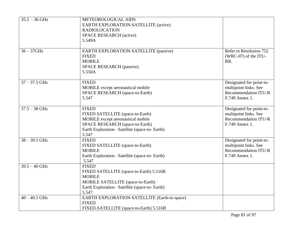| 35.5 - 36 GHz           | METEOROLOGICAL AIDS                             |                             |
|-------------------------|-------------------------------------------------|-----------------------------|
|                         |                                                 |                             |
|                         | EARTH EXPLORATION-SATELLITE (active)            |                             |
|                         | <b>RADIOLOCATION</b>                            |                             |
|                         | SPACE RESEARCH (active)                         |                             |
|                         | 5.549A                                          |                             |
| $36 - 37$ GHz           | EARTH EXPLORATION-SATELLITE (passive)           | Refer to Resolution 752     |
|                         | <b>FIXED</b>                                    | (WRC-07) of the ITU-        |
|                         | <b>MOBILE</b>                                   | RR.                         |
|                         | SPACE RESEARCH (passive)                        |                             |
|                         | 5.550A                                          |                             |
|                         |                                                 |                             |
| $37 - 37.5$ GHz         | <b>FIXED</b>                                    | Designated for point-to-    |
|                         | MOBILE except aeronautical mobile               | multipoint links. See       |
|                         | SPACE RESEARCH (space-to-Earth)                 | Recommendation ITU-R        |
|                         | 5.547                                           | F.749 Annex 1.              |
|                         |                                                 |                             |
| $37.5 - 38 \text{ GHz}$ | <b>FIXED</b>                                    | Designated for point-to-    |
|                         | FIXED SATELLITE (space-to-Earth)                | multipoint links. See       |
|                         | MOBILE except aeronautical mobile               | <b>Recommendation ITU-R</b> |
|                         | SPACE RESEARCH (space-to-Earth)                 | F.749 Annex 1.              |
|                         | Earth Exploration -Satellite (space-to-Earth)   |                             |
|                         | 5.547                                           |                             |
| $38 - 39.5$ GHz         | <b>FIXED</b>                                    | Designated for point-to-    |
|                         | FIXED SATELLITE (space-to-Earth)                | multipoint links. See       |
|                         | <b>MOBILE</b>                                   | <b>Recommendation ITU-R</b> |
|                         | Earth Exploration – Satellite (space-to- Earth) | F.749 Annex 1.              |
|                         | 5.547                                           |                             |
| $39.5 - 40$ GHz         | <b>FIXED</b>                                    |                             |
|                         | FIXED SATELLITE (space-to-Earth) 5.516B         |                             |
|                         | <b>MOBILE</b>                                   |                             |
|                         | MOBILE SATELLITE (space-to-Earth)               |                             |
|                         | Earth Exploration -Satellite (space-to-Earth)   |                             |
|                         | 5.547                                           |                             |
| $40 - 40.5$ GHz         | EARTH EXPLORATION-SATELLITE (Earth-to-space)    |                             |
|                         | <b>FIXED</b>                                    |                             |
|                         | FIXED-SATELLITE (space-to-Earth) 5.516B         |                             |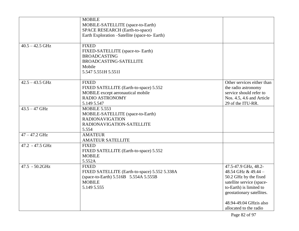|                   | <b>MOBILE</b>                                  |                            |
|-------------------|------------------------------------------------|----------------------------|
|                   | MOBILE-SATELLITE (space-to-Earth)              |                            |
|                   | SPACE RESEARCH (Earth-to-space)                |                            |
|                   | Earth Exploration - Satellite (space-to-Earth) |                            |
| $40.5 - 42.5$ GHz | <b>FIXED</b>                                   |                            |
|                   | FIXED-SATELLITE (space-to-Earth)               |                            |
|                   | <b>BROADCASTING</b>                            |                            |
|                   | <b>BROADCASTING-SATELLITE</b>                  |                            |
|                   | Mobile                                         |                            |
|                   | 5.547 5.551H 5.551I                            |                            |
| $42.5 - 43.5$ GHz | <b>FIXED</b>                                   | Other services either than |
|                   | FIXED SATELLITE (Earth-to-space) 5.552         | the radio astronomy        |
|                   | MOBILE except aeronautical mobile              | service should refer to    |
|                   | <b>RADIO ASTRONOMY</b>                         | Nos. 4.5, 4.6 and Article  |
|                   | 5.149 5.547                                    | 29 of the ITU-RR.          |
| $43.5 - 47$ GHz   | <b>MOBILE 5.553</b>                            |                            |
|                   | MOBILE-SATELLITE (space-to-Earth)              |                            |
|                   | <b>RADIONAVIGATION</b>                         |                            |
|                   | RADIONAVIGATION-SATELLITE                      |                            |
|                   | 5.554                                          |                            |
| $47 - 47.2$ GHz   | <b>AMATEUR</b>                                 |                            |
|                   | <b>AMATEUR SATELLITE</b>                       |                            |
| 47.2 - 47.5 GHz   | <b>FIXED</b>                                   |                            |
|                   | FIXED SATELLITE (Earth-to-space) 5.552         |                            |
|                   | <b>MOBILE</b>                                  |                            |
|                   | 5.552A                                         |                            |
| 47.5 - 50.2GHz    | <b>FIXED</b>                                   | 47.5-47.9 GHz, 48.2-       |
|                   | FIXED SATELLITE (Earth-to-space) 5.552 5.338A  | 48.54 GHz & 49.44 -        |
|                   | (space-to-Earth) 5.516B 5.554A 5.555B          | 50.2 GHz by the fixed      |
|                   | <b>MOBILE</b>                                  | satellite service (space-  |
|                   | 5.149 5.555                                    | to-Earth) is limited to    |
|                   |                                                | geostationary satellites.  |
|                   |                                                |                            |
|                   |                                                | 48.94-49.04 GHzis also     |
|                   |                                                | allocated to the radio     |
|                   |                                                |                            |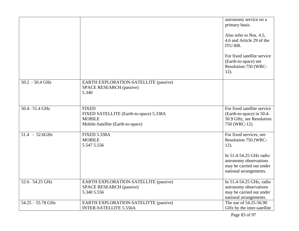|                     |                                                                                                               | astronomy service on a<br>primary basis.<br>Also refer to Nos. 4.5,<br>4.6 and Article 29 of the<br><b>ITU-RR.</b><br>For fixed satellite service<br>(Earth-to-space) see<br>Resolution 750 (WRC-<br>$12)$ . |
|---------------------|---------------------------------------------------------------------------------------------------------------|--------------------------------------------------------------------------------------------------------------------------------------------------------------------------------------------------------------|
| 50.2 - 50.4 GHz     | <b>EARTH EXPLORATION-SATELLITE (passive)</b><br><b>SPACE RESEARCH (passive)</b><br>5.340                      |                                                                                                                                                                                                              |
| 50.4-51.4 GHz       | <b>FIXED</b><br>FIXED SATELLITE (Earth-to-space) 5.338A<br><b>MOBILE</b><br>Mobile-Satellite (Earth-to-space) | For fixed satellite service<br>(Earth-to-space) in 50.4-<br>50.9 GHz, see Resolution<br>750 (WRC-12).                                                                                                        |
| 51.4 - 52.6GHz      | <b>FIXED 5.338A</b><br><b>MOBILE</b><br>5.547 5.556                                                           | For fixed services, see<br>Resolution 750 (WRC-<br>$12$ ).<br>In 51.4-54.25 GHz radio<br>astronomy observations<br>may be carried out under<br>national arrangements.                                        |
| 52.6-54.25 GHz      | EARTH EXPLORATION-SATELLITE (passive)<br><b>SPACE RESEARCH (passive)</b><br>5.340 5.556                       | In 51.4-54.25 GHz, radio<br>astronomy observations<br>may be carried out under<br>national arrangements.                                                                                                     |
| $54.25 - 55.78$ GHz | EARTH EXPLORATION-SATELITTE (passive)<br><b>INTER-SATELLITE 5.556A</b>                                        | The use of 54.25-56.90<br>GHz by the inter-satellite                                                                                                                                                         |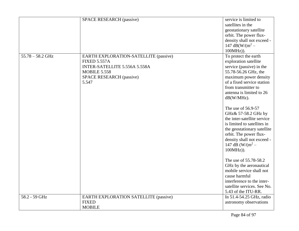| <b>SPACE RESEARCH (passive)</b><br>service is limited to<br>satellites in the<br>geostationary satellite<br>orbit. The power flux-<br>density shall not exceed -<br>147 dB(W/(m <sup>2</sup> –<br>$100MHz$ ).<br>$55.78 - 58.2$ GHz<br>To protect the earth<br><b>EARTH EXPLORATION-SATELLITE (passive)</b><br>exploration satellite<br><b>FIXED 5.557A</b><br>service (passive) in the<br>INTER-SATELLITE 5.556A 5.558A<br>55.78-56.26 GHz, the<br><b>MOBILE 5.558</b><br>maximum power density<br>SPACE RESEARCH (passive)<br>of a fixed service station<br>5.547<br>from transmitter to<br>antenna is limited to 26<br>$dB(W/MHz)$ .<br>The use of 56.9-57<br>GHz& 57-58.2 GHz by<br>the inter-satellite service |
|---------------------------------------------------------------------------------------------------------------------------------------------------------------------------------------------------------------------------------------------------------------------------------------------------------------------------------------------------------------------------------------------------------------------------------------------------------------------------------------------------------------------------------------------------------------------------------------------------------------------------------------------------------------------------------------------------------------------|
|                                                                                                                                                                                                                                                                                                                                                                                                                                                                                                                                                                                                                                                                                                                     |
| is limited to satellites in<br>the geostationary satellite<br>orbit. The power flux-<br>density shall not exceed -<br>147 dB (W/(m <sup>2</sup> –<br>$100MHz$ ).<br>The use of 55.78-58.2<br>GHz by the aeronautical<br>mobile service shall not<br>cause harmful<br>interference to the inter-<br>satellite services. See No.<br>5.43 of the ITU-RR.                                                                                                                                                                                                                                                                                                                                                               |
| 58.2 - 59 GHz<br>EARTH EXPLORATION SATELLITE (passive)<br>In 51.4-54.25 GHz, radio<br><b>FIXED</b><br>astronomy observations                                                                                                                                                                                                                                                                                                                                                                                                                                                                                                                                                                                        |
| <b>MOBILE</b>                                                                                                                                                                                                                                                                                                                                                                                                                                                                                                                                                                                                                                                                                                       |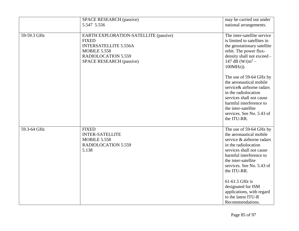|             | <b>SPACE RESEARCH (passive)</b><br>5.547 5.556                                                                                                                         | may be carried out under<br>national arrangements.                                                                                                                                                                                                                        |
|-------------|------------------------------------------------------------------------------------------------------------------------------------------------------------------------|---------------------------------------------------------------------------------------------------------------------------------------------------------------------------------------------------------------------------------------------------------------------------|
| 59-59.3 GHz | EARTH EXPLORATION-SATELLITE (passive)<br><b>FIXED</b><br><b>INTERSATELLITE 5.556A</b><br><b>MOBILE 5.558</b><br>RADIOLOCATION 5.559<br><b>SPACE RESEARCH (passive)</b> | The inter-satellite service<br>is limited to satellites in<br>the geostationary satellite<br>orbit. The power flux-<br>density shall not exceed -<br>147 dB (W/(m <sup>2</sup> –<br>$100MHz$ ).<br>The use of 59-64 GHz by<br>the aeronautical mobile                     |
|             |                                                                                                                                                                        | service& airborne radars<br>in the radiolocation<br>services shall not cause<br>harmful interference to<br>the inter-satellite<br>services. See No. 5.43 of<br>the ITU-RR.                                                                                                |
| 59.3-64 GHz | <b>FIXED</b><br><b>INTER-SATELLITE</b><br><b>MOBILE 5.558</b><br>RADIOLOCATION 5.559<br>5.138                                                                          | The use of 59-64 GHz by<br>the aeronautical mobile<br>service & airborne radars<br>in the radiolocation<br>services shall not cause<br>harmful interference to<br>the inter-satellite<br>services. See No. 5.43 of<br>the ITU-RR.<br>61-61.5 GHz is<br>designated for ISM |
|             |                                                                                                                                                                        | applications, with regard<br>to the latest ITU-R<br>Recommendations.                                                                                                                                                                                                      |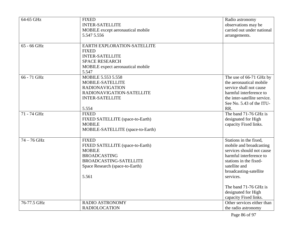| 64-65 GHz     | <b>FIXED</b><br><b>INTER-SATELLITE</b><br>MOBILE except aeronautical mobile<br>5.547 5.556                                                                     | Radio astronomy<br>observations may be<br>carried out under national<br>arrangements.                                                                                                                                                                                |
|---------------|----------------------------------------------------------------------------------------------------------------------------------------------------------------|----------------------------------------------------------------------------------------------------------------------------------------------------------------------------------------------------------------------------------------------------------------------|
| 65 - 66 GHz   | EARTH EXPLORATION-SATELLITE<br><b>FIXED</b><br><b>INTER-SATELLITE</b><br><b>SPACE RESEARCH</b><br>MOBILE expect aeronautical mobile<br>5.547                   |                                                                                                                                                                                                                                                                      |
| 66 - 71 GHz   | <b>MOBILE 5.553 5.558</b><br><b>MOBILE-SATELLITE</b><br><b>RADIONAVIGATION</b><br>RADIONAVIGATION-SATELLITE<br><b>INTER-SATELLITE</b><br>5.554                 | The use of 66-71 GHz by<br>the aeronautical mobile<br>service shall not cause<br>harmful interference to<br>the inter-satellite service.<br>See No. 5.43 of the ITU-<br>RR.                                                                                          |
| 71 - 74 GHz   | <b>FIXED</b><br>FIXED SATELLITE (space-to-Earth)<br><b>MOBILE</b><br>MOBILE-SATELLITE (space-to-Earth)                                                         | The band 71-76 GHz is<br>designated for High<br>capacity Fixed links.                                                                                                                                                                                                |
| $74 - 76$ GHz | <b>FIXED</b><br>FIXED SATELLITE (space-to-Earth)<br><b>MOBILE</b><br><b>BROADCASTING</b><br>BROADCASTING-SATELLITE<br>Space Research (space-to-Earth)<br>5.561 | Stations in the fixed,<br>mobile and broadcasting<br>services should not cause<br>harmful interference to<br>stations in the fixed-<br>satellite and<br>broadcasting-satellite<br>services.<br>The band 71-76 GHz is<br>designated for High<br>capacity Fixed links. |
| 76-77.5 GHz   | <b>RADIO ASTRONOMY</b><br><b>RADIOLOCATION</b>                                                                                                                 | Other services either than<br>the radio astronomy                                                                                                                                                                                                                    |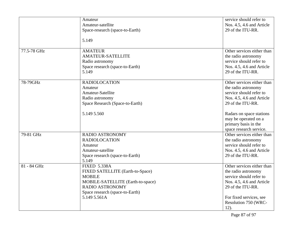|             | Amateur                           | service should refer to                          |
|-------------|-----------------------------------|--------------------------------------------------|
|             | Amateur-satellite                 | Nos. 4.5, 4.6 and Article                        |
|             | Space-research (space-to-Earth)   | 29 of the ITU-RR.                                |
|             |                                   |                                                  |
|             | 5.149                             |                                                  |
| 77.5-78 GHz | <b>AMATEUR</b>                    | Other services either than                       |
|             | <b>AMATEUR-SATELLITE</b>          | the radio astronomy                              |
|             | Radio astronomy                   | service should refer to                          |
|             | Space research (space-to-Earth)   | Nos. 4.5, 4.6 and Article                        |
|             | 5.149                             | 29 of the ITU-RR.                                |
| 78-79GHz    | <b>RADIOLOCATION</b>              | Other services either than                       |
|             | Amateur                           | the radio astronomy                              |
|             | Amateur-Satellite                 | service should refer to                          |
|             | Radio astronomy                   | Nos. 4.5, 4.6 and Article                        |
|             | Space Research (Space-to-Earth)   | 29 of the ITU-RR.                                |
|             | 5.149 5.560                       |                                                  |
|             |                                   | Radars on space stations<br>may be operated on a |
|             |                                   | primary basis in the                             |
|             |                                   | space research service.                          |
| 79-81 GHz   | <b>RADIO ASTRONOMY</b>            | Other services either than                       |
|             | <b>RADIOLOCATION</b>              | the radio astronomy                              |
|             | Amateur                           | service should refer to                          |
|             | Amateur-satellite                 | Nos. 4.5, 4.6 and Article                        |
|             | Space research (space-to-Earth)   | 29 of the ITU-RR.                                |
|             | 5.149                             |                                                  |
| 81 - 84 GHz | <b>FIXED 5.338A</b>               | Other services either than                       |
|             | FIXED SATELLITE (Earth-to-Space)  | the radio astronomy                              |
|             | <b>MOBILE</b>                     | service should refer to                          |
|             | MOBILE-SATELLITE (Earth-to-space) | Nos. 4.5, 4.6 and Article                        |
|             | <b>RADIO ASTRONOMY</b>            | 29 of the ITU-RR.                                |
|             | Space research (space-to-Earth)   |                                                  |
|             | 5.149 5.561A                      | For fixed services, see                          |
|             |                                   | Resolution 750 (WRC-                             |
|             |                                   | $12$ ).                                          |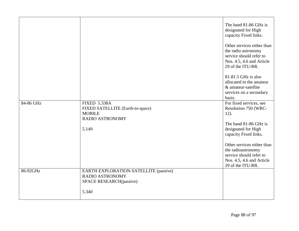|           |                                                         | The band 81-86 GHz is<br>designated for High<br>capacity Fixed links.                                                          |
|-----------|---------------------------------------------------------|--------------------------------------------------------------------------------------------------------------------------------|
|           |                                                         | Other services either than<br>the radio astronomy<br>service should refer to<br>Nos. 4.5, 4.6 and Article<br>29 of the ITU-RR. |
|           |                                                         | 81-81.5 GHz is also<br>allocated to the amateur                                                                                |
|           |                                                         | & amateur-satellite<br>services on a secondary<br>basis.                                                                       |
| 84-86 GHz | <b>FIXED 5.338A</b><br>FIXED SATELLITE (Earth-to-space) | For fixed services, see<br>Resolution 750 (WRC-                                                                                |
|           | <b>MOBILE</b>                                           | $12$ ).                                                                                                                        |
|           | <b>RADIO ASTRONOMY</b>                                  |                                                                                                                                |
|           |                                                         | The band 81-86 GHz is                                                                                                          |
|           | 5.149                                                   | designated for High<br>capacity Fixed links.                                                                                   |
|           |                                                         | Other services either than                                                                                                     |
|           |                                                         | the radioastronomy<br>service should refer to                                                                                  |
|           |                                                         | Nos. 4.5, 4.6 and Article                                                                                                      |
|           |                                                         | 29 of the ITU-RR.                                                                                                              |
| 86-92GHz  | EARTH EXPLORATION-SATELLITE (passive)                   |                                                                                                                                |
|           | <b>RADIO ASTRONOMY</b>                                  |                                                                                                                                |
|           | SPACE RESEARCH(passive)                                 |                                                                                                                                |
|           | 5.340                                                   |                                                                                                                                |
|           |                                                         |                                                                                                                                |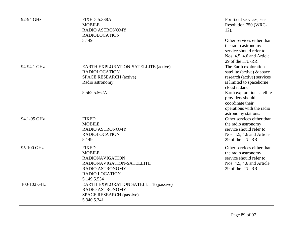| 92-94 GHz   | <b>FIXED 5.338A</b><br><b>MOBILE</b><br><b>RADIO ASTRONOMY</b><br><b>RADIOLOCATION</b>                                                                 | For fixed services, see<br>Resolution 750 (WRC-<br>$12$ ).                                                                                                                                                                                                 |
|-------------|--------------------------------------------------------------------------------------------------------------------------------------------------------|------------------------------------------------------------------------------------------------------------------------------------------------------------------------------------------------------------------------------------------------------------|
|             | 5.149                                                                                                                                                  | Other services either than<br>the radio astronomy<br>service should refer to<br>Nos. 4.5, 4.6 and Article<br>29 of the ITU-RR.                                                                                                                             |
| 94-94.1 GHz | <b>EARTH EXPLORATION-SATELLITE (active)</b><br><b>RADIOLOCATION</b><br><b>SPACE RESEARCH (active)</b><br>Radio astronomy<br>5.562 5.562A               | The Earth exploration-<br>satellite (active) & space<br>research (active) services<br>is limited to spaceborne<br>cloud radars.<br>Earth exploration satellite<br>providers should<br>coordinate their<br>operations with the radio<br>astronomy stations. |
| 94.1-95 GHz | <b>FIXED</b><br><b>MOBILE</b><br><b>RADIO ASTRONOMY</b><br><b>RADIOLOCATION</b><br>5.149                                                               | Other services either than<br>the radio astronomy<br>service should refer to<br>Nos. 4.5, 4.6 and Article<br>29 of the ITU-RR.                                                                                                                             |
| 95-100 GHz  | <b>FIXED</b><br><b>MOBILE</b><br><b>RADIONAVIGATION</b><br>RADIONAVIGATION-SATELLITE<br><b>RADIO ASTRONOMY</b><br><b>RADIO LOCATION</b><br>5.149 5.554 | Other services either than<br>the radio astronomy<br>service should refer to<br>Nos. 4.5, 4.6 and Article<br>29 of the ITU-RR.                                                                                                                             |
| 100-102 GHz | EARTH EXPLORATION SATELLITE (passive)<br><b>RADIO ASTRONOMY</b><br><b>SPACE RESEARCH (passive)</b><br>5.340 5.341                                      |                                                                                                                                                                                                                                                            |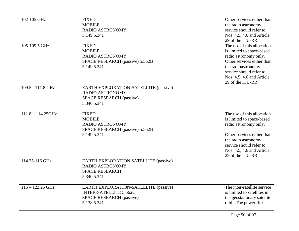| 102-105 GHz          | <b>FIXED</b><br><b>MOBILE</b><br><b>RADIO ASTRONOMY</b><br>5.149 5.341                                                   | Other services either than<br>the radio astronomy<br>service should refer to<br>Nos. 4.5, 4.6 and Article<br>29 of the ITU-RR.                                                                                     |
|----------------------|--------------------------------------------------------------------------------------------------------------------------|--------------------------------------------------------------------------------------------------------------------------------------------------------------------------------------------------------------------|
| 105-109.5 GHz        | <b>FIXED</b><br><b>MOBILE</b><br><b>RADIO ASTRONOMY</b><br>SPACE RESEARCH (passive) 5.562B<br>5.149 5.341                | The use of this allocation<br>is limited to space-based<br>radio astronomy only.<br>Other services either than<br>the radioastronomy<br>service should refer to<br>Nos. 4.5, 4.6 and Article<br>29 of the ITU-RR.  |
| 109.5 - 111.8 GHz    | EARTH EXPLORATION-SATELLITE (passive)<br><b>RADIO ASTRONOMY</b><br><b>SPACE RESEARCH (passive)</b><br>5.340 5.341        |                                                                                                                                                                                                                    |
| $111.8 - 114.25$ GHz | <b>FIXED</b><br><b>MOBILE</b><br><b>RADIO ASTRONOMY</b><br>SPACE RESEARCH (passive) 5.562B<br>5.149 5.341                | The use of this allocation<br>is limited to space-based<br>radio astronomy only.<br>Other services either than<br>the radio astronomy<br>service should refer to<br>Nos. 4.5, 4.6 and Article<br>29 of the ITU-RR. |
| 114.25-116 GHz       | <b>EARTH EXPLORATION SATELLITE (passive)</b><br><b>RADIO ASTRONOMY</b><br><b>SPACE RESEARCH</b><br>5.340 5.341           |                                                                                                                                                                                                                    |
| $116 - 122.25$ GHz   | EARTH EXPLORATION-SATELLITE (passive)<br><b>INTER-SATELLITE 5.562C</b><br><b>SPACE RESEARCH (passive)</b><br>5.138 5.341 | The inter-satellite service<br>is limited to satellites in<br>the geostationary satellite<br>orbit. The power flux-                                                                                                |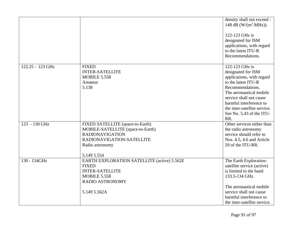|                    |                                                                                                                                                                | density shall not exceed -<br>148 dB (W/(m <sup>2</sup> .MHz)).<br>122-123 GHz is<br>designated for ISM<br>applications, with regard<br>to the latest ITU-R<br>Recommendations.                                                                                  |
|--------------------|----------------------------------------------------------------------------------------------------------------------------------------------------------------|------------------------------------------------------------------------------------------------------------------------------------------------------------------------------------------------------------------------------------------------------------------|
| $122.25 - 123$ GHz | <b>FIXED</b><br><b>INTER-SATELLITE</b><br><b>MOBILE 5.558</b><br>Amateur<br>5.138                                                                              | 122-123 GHz is<br>designated for ISM<br>applications, with regard<br>to the latest ITU-R<br>Recommendations.<br>The aeronautical mobile<br>service shall not cause<br>harmful interference to<br>the inter-satellite service.<br>See No. 5.43 of the ITU-<br>RR. |
| 123 - 130 GHz      | FIXED SATELLITE (space-to-Earth)<br>MOBILE-SATELLITE (space-to-Earth)<br><b>RADIONAVIGATION</b><br>RADIONAVIGATION-SATELLITE<br>Radio astronomy<br>5.149 5.554 | Other services either than<br>the radio astronomy<br>service should refer to<br>Nos. 4.5, 4.6 and Article<br>29 of the ITU-RR.                                                                                                                                   |
| 130 - 134GHz       | <b>EARTH EXPLORATION SATELLITE (active) 5.562E</b><br><b>FIXED</b><br><b>INTER-SATELLITE</b><br><b>MOBILE 5.558</b><br><b>RADIO ASTRONOMY</b><br>5.149 5.562A  | The Earth Exploration-<br>satellite service (active)<br>is limited to the band<br>133.5-134 GHz.<br>The aeronautical mobile<br>service shall not cause<br>harmful interference to<br>the inter-satellite service.                                                |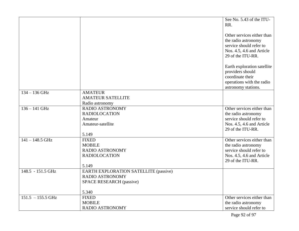|                     |                                              | See No. 5.43 of the ITU-    |
|---------------------|----------------------------------------------|-----------------------------|
|                     |                                              | RR.                         |
|                     |                                              |                             |
|                     |                                              | Other services either than  |
|                     |                                              | the radio astronomy         |
|                     |                                              | service should refer to     |
|                     |                                              | Nos. 4.5, 4.6 and Article   |
|                     |                                              | 29 of the ITU-RR.           |
|                     |                                              | Earth exploration satellite |
|                     |                                              | providers should            |
|                     |                                              | coordinate their            |
|                     |                                              | operations with the radio   |
|                     |                                              | astronomy stations.         |
| $134 - 136$ GHz     | <b>AMATEUR</b>                               |                             |
|                     | <b>AMATEUR SATELLITE</b>                     |                             |
|                     | Radio astronomy                              |                             |
| $136 - 141$ GHz     | <b>RADIO ASTRONOMY</b>                       | Other services either than  |
|                     | <b>RADIOLOCATION</b>                         | the radio astronomy         |
|                     | Amateur                                      | service should refer to     |
|                     | Amateur-satellite                            | Nos. 4.5, 4.6 and Article   |
|                     |                                              | 29 of the ITU-RR.           |
|                     | 5.149                                        |                             |
| $141 - 148.5$ GHz   | <b>FIXED</b>                                 | Other services either than  |
|                     | <b>MOBILE</b>                                | the radio astronomy         |
|                     | RADIO ASTRONOMY                              | service should refer to     |
|                     | <b>RADIOLOCATION</b>                         | Nos. 4.5, 4.6 and Article   |
|                     |                                              | 29 of the ITU-RR.           |
|                     | 5.149                                        |                             |
| 148.5 - 151.5 GHz   | <b>EARTH EXPLORATION SATELLITE (passive)</b> |                             |
|                     | <b>RADIO ASTRONOMY</b>                       |                             |
|                     | <b>SPACE RESEARCH (passive)</b>              |                             |
|                     | 5.340                                        |                             |
| $151.5 - 155.5$ GHz | <b>FIXED</b>                                 | Other services either than  |
|                     | <b>MOBILE</b>                                | the radio astronomy         |
|                     | RADIO ASTRONOMY                              | service should refer to     |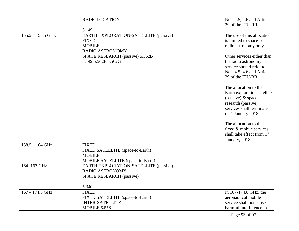|                     | <b>RADIOLOCATION</b>                         | Nos. 4.5, 4.6 and Article   |
|---------------------|----------------------------------------------|-----------------------------|
|                     |                                              | 29 of the ITU-RR.           |
|                     | 5.149                                        |                             |
| $155.5 - 158.5$ GHz | EARTH EXPLORATION-SATELLITE (passive)        | The use of this allocation  |
|                     | <b>FIXED</b>                                 | is limited to space-based   |
|                     | <b>MOBILE</b>                                | radio astronomy only.       |
|                     | <b>RADIO ASTROMOMY</b>                       |                             |
|                     | SPACE RESEARCH (passive) 5.562B              | Other services either than  |
|                     | 5.149 5.562F 5.562G                          | the radio astronomy         |
|                     |                                              | service should refer to     |
|                     |                                              | Nos. 4.5, 4.6 and Article   |
|                     |                                              | 29 of the ITU-RR.           |
|                     |                                              |                             |
|                     |                                              | The allocation to the       |
|                     |                                              | Earth exploration satellite |
|                     |                                              | (passive) & space           |
|                     |                                              | research (passive)          |
|                     |                                              | services shall terminate    |
|                     |                                              | on 1 January 2018.          |
|                     |                                              |                             |
|                     |                                              | The allocation to the       |
|                     |                                              | fixed & mobile services     |
|                     |                                              | shall take effect from 1st  |
|                     |                                              | January, 2018.              |
| $158.5 - 164$ GHz   | <b>FIXED</b>                                 |                             |
|                     | FIXED SATELLITE (space-to-Earth)             |                             |
|                     | <b>MOBILE</b>                                |                             |
|                     | MOBILE SATELLITE (space-to-Earth)            |                             |
| 164-167 GHz         | <b>EARTH EXPLORATION-SATELLITE (passive)</b> |                             |
|                     | <b>RADIO ASTRONOMY</b>                       |                             |
|                     | SPACE RESEARCH (passive)                     |                             |
|                     |                                              |                             |
|                     | 5.340                                        |                             |
| $167 - 174.5$ GHz   | <b>FIXED</b>                                 | In 167-174.8 GHz, the       |
|                     | FIXED SATELLITE (space-to-Earth)             | aeronautical mobile         |
|                     | <b>INTER-SATELLITE</b>                       | service shall not cause     |
|                     | <b>MOBILE 5.558</b>                          | harmful interference to     |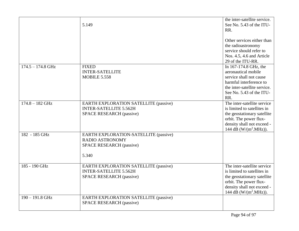|                     | 5.149                                                                                                            | the inter-satellite service.<br>See No. 5.43 of the ITU-<br>RR.                                                                                                                |
|---------------------|------------------------------------------------------------------------------------------------------------------|--------------------------------------------------------------------------------------------------------------------------------------------------------------------------------|
|                     |                                                                                                                  | Other services either than<br>the radioastronomy<br>service should refer to<br>Nos. 4.5, 4.6 and Article<br>29 of the ITU-RR.                                                  |
| $174.5 - 174.8$ GHz | <b>FIXED</b><br><b>INTER-SATELLITE</b><br><b>MOBILE 5.558</b>                                                    | In 167-174.8 GHz, the<br>aeronautical mobile<br>service shall not cause<br>harmful interference to<br>the inter-satellite service.<br>See No. 5.43 of the ITU-<br>RR.          |
| $174.8 - 182$ GHz   | <b>EARTH EXPLORATION SATELLITE (passive)</b><br><b>INTER-SATELLITE 5.562H</b><br><b>SPACE RESEARCH (passive)</b> | The inter-satellite service<br>is limited to satellites in<br>the geostationary satellite<br>orbit. The power flux-<br>density shall not exceed -<br>144 dB ( $W/(m^2.MHz)$ ). |
| 182 - 185 GHz       | EARTH EXPLORATION-SATELLITE (passive)<br><b>RADIO ASTRONOMY</b><br>SPACE RESEARCH (passive)<br>5.340             |                                                                                                                                                                                |
| 185 - 190 GHz       | <b>EARTH EXPLORATION SATELLITE (passive)</b><br><b>INTER-SATELLITE 5.562H</b><br><b>SPACE RESEARCH (passive)</b> | The inter-satellite service<br>is limited to satellites in<br>the geostationary satellite<br>orbit. The power flux-<br>density shall not exceed -<br>144 dB ( $W/(m^2.MHz)$ ). |
| $190 - 191.8$ GHz   | <b>EARTH EXPLORATION SATELLITE (passive)</b><br>SPACE RESEARCH (passive)                                         |                                                                                                                                                                                |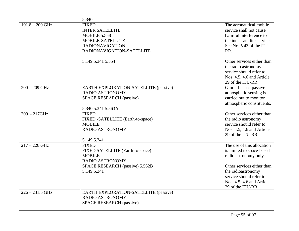|                   | 5.340                                                                                                                                           |                                                                                                                                                                                                                   |
|-------------------|-------------------------------------------------------------------------------------------------------------------------------------------------|-------------------------------------------------------------------------------------------------------------------------------------------------------------------------------------------------------------------|
| $191.8 - 200$ GHz | <b>FIXED</b><br><b>INTER SATELLITE</b><br><b>MOBILE 5.558</b><br><b>MOBILE-SATELLITE</b><br><b>RADIONAVIGATION</b><br>RADIONAVIGATION-SATELLITE | The aeronautical mobile<br>service shall not cause<br>harmful interference to<br>the inter-satellite service.<br>See No. 5.43 of the ITU-<br>RR.                                                                  |
|                   | 5.149 5.341 5.554                                                                                                                               | Other services either than<br>the radio astronomy<br>service should refer to<br>Nos. 4.5, 4.6 and Article<br>29 of the ITU-RR.                                                                                    |
| $200 - 209$ GHz   | EARTH EXPLORATION-SATELLITE (passive)<br><b>RADIO ASTRONOMY</b><br><b>SPACE RESEARCH (passive)</b><br>5.340 5.341 5.563A                        | Ground-based passive<br>atmospheric sensing is<br>carried out to monitor<br>atmospheric constituents.                                                                                                             |
| 209 - 217GHz      | <b>FIXED</b><br>FIXED -SATELLITE (Earth-to-space)<br><b>MOBILE</b><br><b>RADIO ASTRONOMY</b><br>5.149 5.341                                     | Other services either than<br>the radio astronomy<br>service should refer to<br>Nos. 4.5, 4.6 and Article<br>29 of the ITU-RR.                                                                                    |
| $217 - 226$ GHz   | <b>FIXED</b><br>FIXED SATELLITE (Earth-to-space)<br><b>MOBILE</b><br>RADIO ASTRONOMY<br>SPACE RESEARCH (passive) 5.562B<br>5.149 5.341          | The use of this allocation<br>is limited to space-based<br>radio astronomy only.<br>Other services either than<br>the radioastronomy<br>service should refer to<br>Nos. 4.5, 4.6 and Article<br>29 of the ITU-RR. |
| $226 - 231.5$ GHz | EARTH EXPLORATION-SATELLITE (passive)<br><b>RADIO ASTRONOMY</b><br><b>SPACE RESEARCH (passive)</b>                                              |                                                                                                                                                                                                                   |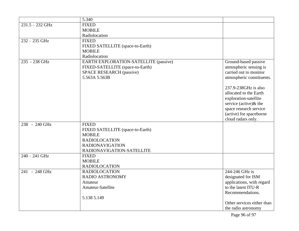|                   | 5.340                                 |                            |
|-------------------|---------------------------------------|----------------------------|
| $231.5 - 232$ GHz | <b>FIXED</b>                          |                            |
|                   | <b>MOBILE</b>                         |                            |
|                   | Radiolocation                         |                            |
| $232 - 235$ GHz   | <b>FIXED</b>                          |                            |
|                   | FIXED SATELLITE (space-to-Earth)      |                            |
|                   | <b>MOBILE</b>                         |                            |
|                   | Radiolocation                         |                            |
| 235 - 238 GHz     | EARTH EXPLORATION-SATELLITE (passive) | Ground-based passive       |
|                   | FIXED-SATELLITE (space-to-Earth)      | atmospheric sensing is     |
|                   | <b>SPACE RESEARCH (passive)</b>       | carried out to monitor     |
|                   | 5.563A 5.563B                         | atmospheric constituents.  |
|                   |                                       |                            |
|                   |                                       | 237.9-238GHz is also       |
|                   |                                       | allocated to the Earth     |
|                   |                                       | exploration-satellite      |
|                   |                                       | service (active) & the     |
|                   |                                       | space research service     |
|                   |                                       | (active) for spaceborne    |
|                   |                                       | cloud radars only.         |
| 238 - 240 GHz     | <b>FIXED</b>                          |                            |
|                   | FIXED SATELLITE (space-to-Earth)      |                            |
|                   | <b>MOBILE</b>                         |                            |
|                   | <b>RADIOLOCATION</b>                  |                            |
|                   | <b>RADIONAVIGATION</b>                |                            |
|                   | RADIONAVIGATION-SATELLITE             |                            |
| $240 - 241$ GHz   | <b>FIXED</b>                          |                            |
|                   | <b>MOBILE</b>                         |                            |
|                   | <b>RADIOLOCATION</b>                  |                            |
| 241 - 248 GHz     | <b>RADIOLOCATION</b>                  | 244-246 GHz is             |
|                   | <b>RADIO ASTRONOMY</b>                | designated for ISM         |
|                   | Amateur                               | applications, with regard  |
|                   | <b>Amateur-Satellite</b>              | to the latest ITU-R        |
|                   |                                       | Recommendations.           |
|                   | 5.138 5.149                           |                            |
|                   |                                       | Other services either than |
|                   |                                       | the radio astronomy        |